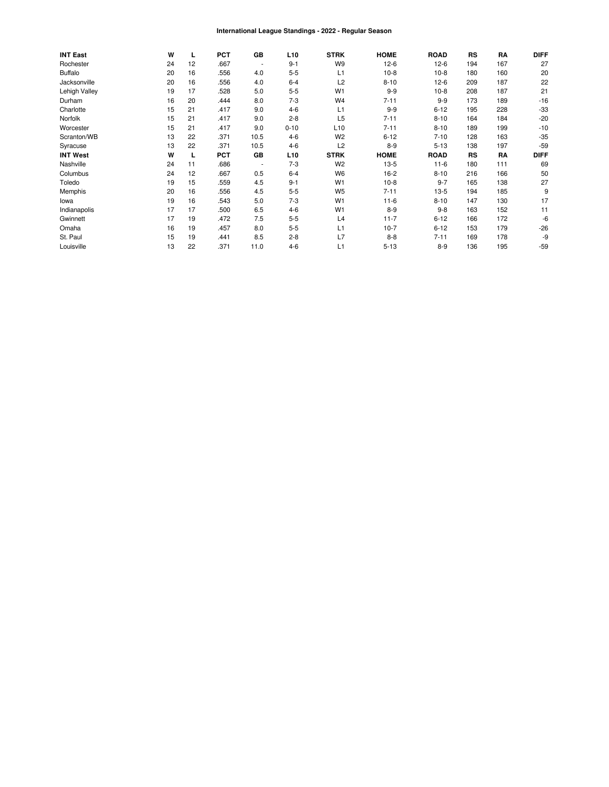#### International League Standings - 2022 - Regular Season

| <b>INT East</b> | W  | L  | <b>PCT</b> | GB             | L <sub>10</sub> | <b>STRK</b>     | <b>HOME</b> | <b>ROAD</b> | RS  | RA  | <b>DIFF</b> |
|-----------------|----|----|------------|----------------|-----------------|-----------------|-------------|-------------|-----|-----|-------------|
| Rochester       | 24 | 12 | .667       |                | $9 - 1$         | W9              | $12-6$      | $12-6$      | 194 | 167 | 27          |
| <b>Buffalo</b>  | 20 | 16 | .556       | 4.0            | $5 - 5$         | L1              | $10-8$      | $10-8$      | 180 | 160 | 20          |
| Jacksonville    | 20 | 16 | .556       | 4.0            | $6 - 4$         | L <sub>2</sub>  | $8 - 10$    | $12-6$      | 209 | 187 | 22          |
| Lehigh Valley   | 19 | 17 | .528       | 5.0            | $5 - 5$         | W <sub>1</sub>  | $9-9$       | $10-8$      | 208 | 187 | 21          |
| Durham          | 16 | 20 | .444       | 8.0            | $7 - 3$         | W <sub>4</sub>  | $7 - 11$    | $9-9$       | 173 | 189 | $-16$       |
| Charlotte       | 15 | 21 | .417       | 9.0            | $4-6$           | L1              | $9-9$       | $6 - 12$    | 195 | 228 | $-33$       |
| Norfolk         | 15 | 21 | .417       | 9.0            | $2 - 8$         | L <sub>5</sub>  | $7 - 11$    | $8 - 10$    | 164 | 184 | $-20$       |
| Worcester       | 15 | 21 | .417       | 9.0            | $0 - 10$        | L <sub>10</sub> | $7 - 11$    | $8 - 10$    | 189 | 199 | $-10$       |
| Scranton/WB     | 13 | 22 | .371       | 10.5           | $4-6$           | W <sub>2</sub>  | $6 - 12$    | $7 - 10$    | 128 | 163 | $-35$       |
| Syracuse        | 13 | 22 | .371       | 10.5           | $4-6$           | L2              | $8 - 9$     | $5 - 13$    | 138 | 197 | $-59$       |
| <b>INT West</b> | W  | L  | <b>PCT</b> | GB             | L <sub>10</sub> | <b>STRK</b>     | <b>HOME</b> | <b>ROAD</b> | RS  | RA  | <b>DIFF</b> |
| Nashville       | 24 | 11 | .686       | $\blacksquare$ | $7-3$           | W <sub>2</sub>  | $13-5$      | $11-6$      | 180 | 111 | 69          |
| Columbus        | 24 | 12 | .667       | 0.5            | $6 - 4$         | W <sub>6</sub>  | $16-2$      | $8 - 10$    | 216 | 166 | 50          |
| Toledo          | 19 | 15 | .559       | 4.5            | $9 - 1$         | W <sub>1</sub>  | $10-8$      | $9 - 7$     | 165 | 138 | 27          |
| Memphis         | 20 | 16 | .556       | 4.5            | $5 - 5$         | W <sub>5</sub>  | $7 - 11$    | $13-5$      | 194 | 185 | 9           |
| lowa            | 19 | 16 | .543       | 5.0            | $7 - 3$         | W <sub>1</sub>  | $11 - 6$    | $8 - 10$    | 147 | 130 | 17          |
| Indianapolis    | 17 | 17 | .500       | 6.5            | $4-6$           | W <sub>1</sub>  | $8 - 9$     | $9 - 8$     | 163 | 152 | 11          |
| Gwinnett        | 17 | 19 | .472       | 7.5            | $5 - 5$         | L4              | $11 - 7$    | $6 - 12$    | 166 | 172 | -6          |
| Omaha           | 16 | 19 | .457       | 8.0            | $5 - 5$         | L1              | $10-7$      | $6 - 12$    | 153 | 179 | $-26$       |
| St. Paul        | 15 | 19 | .441       | 8.5            | $2 - 8$         | L7              | $8 - 8$     | $7 - 11$    | 169 | 178 | -9          |
| Louisville      | 13 | 22 | .371       | 11.0           | $4 - 6$         | L1              | $5 - 13$    | $8 - 9$     | 136 | 195 | $-59$       |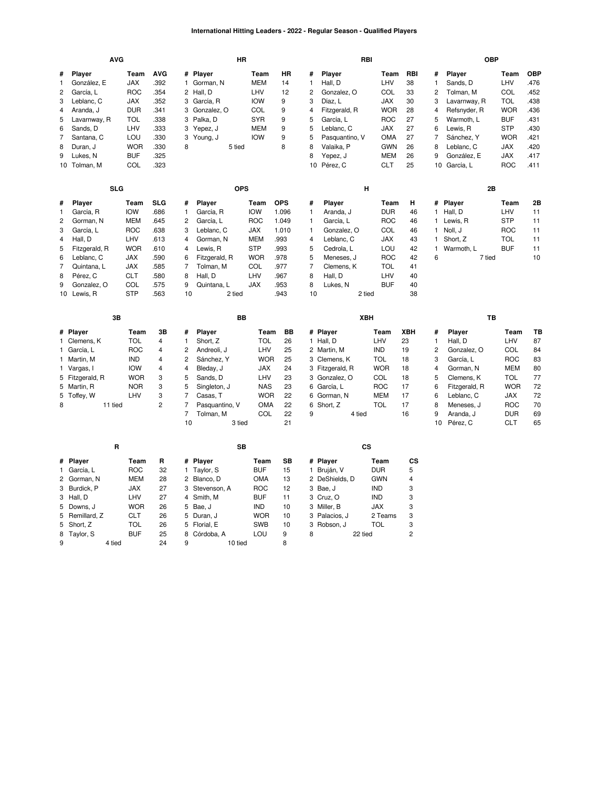## **International Hitting Leaders - 2022 - Regular Season - Qualified Players**

|                | <b>AVG</b>            |                    |                    |                | HR                      |                    |                 |                |                   | RBI         |                  |                         | <b>OBP</b>         |             |                    |
|----------------|-----------------------|--------------------|--------------------|----------------|-------------------------|--------------------|-----------------|----------------|-------------------|-------------|------------------|-------------------------|--------------------|-------------|--------------------|
| #<br>1         | Player<br>González, E | Team<br><b>JAX</b> | <b>AVG</b><br>.392 |                | # Player<br>1 Gorman, N | Team<br><b>MEM</b> | <b>HR</b><br>14 | #<br>1         | Player<br>Hall, D | Team<br>LHV | <b>RBI</b><br>38 | #<br>$\mathbf{1}$       | Player<br>Sands, D | Team<br>LHV | <b>OBP</b><br>.476 |
| 2              | García, L             | <b>ROC</b>         | .354               | 2              | Hall, D                 | LHV                | 12              | $\overline{c}$ | Gonzalez, O       | COL         | 33               | $\overline{c}$          | Tolman, M          | COL         | .452               |
| 3              | Leblanc, C            | <b>JAX</b>         | .352               | 3              | García, R               | <b>IOW</b>         | 9               | 3              | Díaz, L           | <b>JAX</b>  | 30               | 3                       | Lavarnway, R       | <b>TOL</b>  | .438               |
| 4              | Aranda, J             | <b>DUR</b>         | .341               | 3              | Gonzalez, O             | COL                | 9               | 4              | Fitzgerald, R     | <b>WOR</b>  | 28               | $\overline{\mathbf{4}}$ | Refsnyder, R       | <b>WOR</b>  | .436               |
| 5              | Lavarnway, R          | TOL                | .338               | 3              | Palka, D                | <b>SYR</b>         | 9               | 5              | García, L         | <b>ROC</b>  | 27               | 5                       | Warmoth, L         | <b>BUF</b>  | .431               |
| 6              | Sands, D              | LHV                | .333               | 3              | Yepez, J                | <b>MEM</b>         | 9               | 5              | Leblanc, C        | <b>JAX</b>  | 27               | 6                       | Lewis, R           | <b>STP</b>  | .430               |
| 7              | Santana, C            | LOU                | .330               | 3              | Young, J                | <b>IOW</b>         | 9               | 5              | Pasquantino, V    | OMA         | 27               | $\overline{7}$          | Sánchez, Y         | <b>WOR</b>  | .421               |
| 8              | Duran, J              | <b>WOR</b>         | .330               | 8              | 5 tied                  |                    | 8               | 8              | Valaika, P        | <b>GWN</b>  | 26               | 8                       | Leblanc, C         | <b>JAX</b>  | .420               |
| 9              | Lukes, N              | <b>BUF</b>         | .325               |                |                         |                    |                 | 8              | Yepez, J          | <b>MEM</b>  | 26               | 9                       | González, E        | JAX         | .417               |
|                | 10 Tolman, M          | COL                | .323               |                |                         |                    |                 | 10             | Pérez, C          | CLT         | 25               | 10                      | García, L          | <b>ROC</b>  | .411               |
|                | <b>SLG</b>            |                    |                    |                | <b>OPS</b>              |                    |                 |                | Н                 |             |                  |                         | 2B                 |             |                    |
| #              | Player                | Team               | <b>SLG</b>         | #              | Player                  | Team               | <b>OPS</b>      | #              | Player            | Team        | н                | #                       | Player             | Team        | 2B                 |
| 1              | García, R             | <b>IOW</b>         | .686               | 1              | García, R               | <b>IOW</b>         | 1.096           | 1              | Aranda, J         | <b>DUR</b>  | 46               | 1                       | Hall, D            | LHV         | 11                 |
| $\overline{c}$ | Gorman, N             | <b>MEM</b>         | .645               | 2              | García, L               | <b>ROC</b>         | 1.049           | $\mathbf{1}$   | García, L         | <b>ROC</b>  | 46               | $\mathbf{1}$            | Lewis, R           | <b>STP</b>  | 11                 |
| 3              | García, L             | <b>ROC</b>         | .638               | 3              | Leblanc, C              | <b>JAX</b>         | 1.010           | 1              | Gonzalez, O       | COL         | 46               | 1                       | Noll, J            | <b>ROC</b>  | 11                 |
| 4              | Hall, D               | LHV                | .613               | 4              | Gorman, N               | <b>MEM</b>         | .993            | 4              | Leblanc, C        | <b>JAX</b>  | 43               | $\mathbf{1}$            | Short, Z           | <b>TOL</b>  | 11                 |
| 5              | Fitzgerald, R         | <b>WOR</b>         | .610               | 4              | Lewis, R                | <b>STP</b>         | .993            | 5              | Cedrola, L        | LOU         | 42               | $\mathbf{1}$            | Warmoth, L         | <b>BUF</b>  | 11                 |
| 6              | Leblanc, C            | <b>JAX</b>         | .590               | 6              | Fitzgerald, R           | <b>WOR</b>         | .978            | 5              | Meneses, J        | <b>ROC</b>  | 42               | 6                       | 7 tied             |             | 10                 |
| $\overline{7}$ | Quintana, L           | JAX                | .585               | 7              | Tolman, M               | COL                | .977            | 7              | Clemens, K        | TOL         | 41               |                         |                    |             |                    |
| 8              | Pérez, C              | <b>CLT</b>         | .580               | 8              | Hall, D                 | LHV                | .967            | 8              | Hall, D           | LHV         | 40               |                         |                    |             |                    |
| 9              | Gonzalez, O           | COL                | .575               | 9              | Quintana, L             | <b>JAX</b>         | .953            | 8              | Lukes, N          | <b>BUF</b>  | 40               |                         |                    |             |                    |
|                | 10 Lewis, R           | <b>STP</b>         | .563               | 10             | 2 tied                  |                    | .943            | 10             | 2 tied            |             | 38               |                         |                    |             |                    |
|                |                       |                    |                    |                |                         |                    |                 |                |                   |             |                  |                         |                    |             |                    |
|                | 3B                    |                    |                    |                | BB                      |                    |                 |                |                   | XBH         |                  |                         | TB                 |             |                    |
|                | # Player              | Team               | 3B                 | #              | Player                  | Team               | BB              |                | # Player          | Team        | XBH              | #                       | Player             | Team        | TВ                 |
|                | 1 Clemens, K          | <b>TOL</b>         | 4                  | $\mathbf{1}$   | Short, Z                | <b>TOL</b>         | 26              |                | 1 Hall, D         | LHV         | 23               | $\mathbf{1}$            | Hall, D            | LHV         | 87                 |
|                | 1 García, L           | <b>ROC</b>         | 4                  | 2              | Andreoli, J             | LHV                | 25              |                | 2 Martin, M       | <b>IND</b>  | 19               | $\overline{c}$          | Gonzalez, O        | COL         | 84                 |
|                | 1 Martin, M           | <b>IND</b>         | $\overline{4}$     | 2              | Sánchez, Y              | <b>WOR</b>         | 25              |                | 3 Clemens, K      | <b>TOL</b>  | 18               | 3                       | García, L          | <b>ROC</b>  | 83                 |
|                | 1 Vargas, I           | <b>IOW</b>         | $\overline{4}$     | 4              | Bleday, J               | <b>JAX</b>         | 24              |                | 3 Fitzgerald, R   | <b>WOR</b>  | 18               | $\overline{4}$          | Gorman, N          | <b>MEM</b>  | 80                 |
|                | 5 Fitzgerald, R       | <b>WOR</b>         | 3                  | 5              | Sands, D                | LHV                | 23              |                | 3 Gonzalez, O     | COL         | 18               | 5                       | Clemens, K         | TOL         | 77                 |
|                | 5 Martin, R           | <b>NOR</b>         | 3                  | 5              | Singleton, J            | <b>NAS</b>         | 23              |                | 6 García, L       | ROC         | 17               | 6                       | Fitzgerald, R      | <b>WOR</b>  | 72                 |
| 5              | Toffey, W             | LHV                | 3                  | 7              | Casas, T                | <b>WOR</b>         | 22              |                | 6 Gorman, N       | <b>MEM</b>  | 17               | 6                       | Leblanc, C         | JAX         | 72                 |
| 8              | 11 tied               |                    | $\overline{c}$     | $\overline{7}$ | Pasquantino, V          | <b>OMA</b>         | 22              |                | 6 Short, Z        | TOL         | 17               | 8                       | Meneses, J         | <b>ROC</b>  | 70                 |
|                |                       |                    |                    | 7              | Tolman, M               | COL                | 22              | 9              | 4 tied            |             | 16               | 9                       | Aranda, J          | <b>DUR</b>  | 69                 |
|                |                       |                    |                    | 10             | 3 tied                  |                    | 21              |                |                   |             |                  | 10                      | Pérez, C           | <b>CLT</b>  | 65                 |
|                | R                     |                    |                    |                | SB                      |                    |                 |                |                   | CS          |                  |                         |                    |             |                    |
| #              | Player                | Team               | R                  | #              | <b>Player</b>           | Team               | SB              |                | # Player          | Team        | CS               |                         |                    |             |                    |
|                | 1 García, L           | <b>ROC</b>         | 32                 | 1              | Taylor, S               | <b>BUF</b>         | 15              |                | 1 Bruján, V       | <b>DUR</b>  | 5                |                         |                    |             |                    |
| 2              | Gorman, N             | MEM                | 28                 |                | 2 Blanco, D             | <b>OMA</b>         | 13              |                | 2 DeShields, D    | <b>GWN</b>  | 4                |                         |                    |             |                    |
| 3              | Burdick, P            | <b>JAX</b>         | 27                 | 3              | Stevenson, A            | <b>ROC</b>         | 12              |                | 3 Bae, J          | <b>IND</b>  | 3                |                         |                    |             |                    |
|                | 3 Hall, D             | LHV                | 27                 |                | 4 Smith, M              | <b>BUF</b>         | 11              |                | 3 Cruz, O         | <b>IND</b>  | 3                |                         |                    |             |                    |
| 5              | Downs, J              | <b>WOR</b>         | 26                 | 5              | Bae, J                  | <b>IND</b>         | 10              |                | 3 Miller, B       | <b>JAX</b>  | 3                |                         |                    |             |                    |
| 5              | Remillard, Z          | <b>CLT</b>         | 26                 | 5              | Duran, J                | <b>WOR</b>         | 10              |                | 3 Palacios, J     | 2 Teams     | 3                |                         |                    |             |                    |
| 5              | Short, Z              | <b>TOL</b>         | 26                 | 5              | Florial, E              | <b>SWB</b>         | 10              |                | 3 Robson, J       | TOL         | 3                |                         |                    |             |                    |
| 8              | Taylor, S             | <b>BUF</b>         | 25                 | 8              | Córdoba, A              | LOU                | 9               | 8              | 22 tied           |             | $\overline{c}$   |                         |                    |             |                    |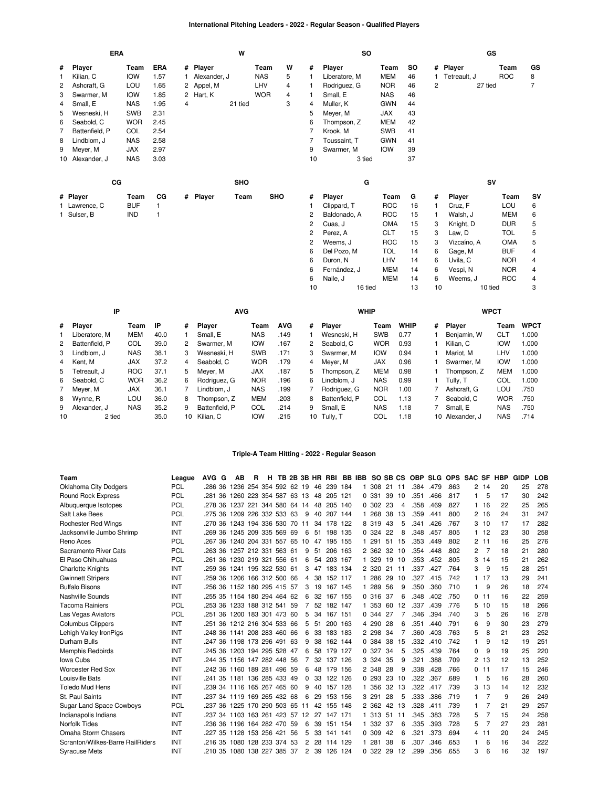## **International Pitching Leaders - 2022 - Regular Season - Qualified Players**

|                | ERA            |                    |              | W              |                    |            |                    |            |                |                | <b>SO</b>          |             |                |              | GS                 |                         |
|----------------|----------------|--------------------|--------------|----------------|--------------------|------------|--------------------|------------|----------------|----------------|--------------------|-------------|----------------|--------------|--------------------|-------------------------|
| #              | Player         | Team               | <b>ERA</b>   | #              | Player             | Team       |                    | W          | #              | Player         | Team               | SO          |                | # Player     | Team               | GS                      |
| 1              | Kilian, C      | <b>IOW</b>         | 1.57         |                | Alexander, J       |            | <b>NAS</b>         | 5          | 1              | Liberatore, M  | <b>MEM</b>         | 46          | $\mathbf{1}$   | Tetreault, J | <b>ROC</b>         | 8                       |
| 2              | Ashcraft, G    | LOU                | 1.65         | 2              | Appel, M           |            | LHV                | 4          | 1              | Rodriguez, G   | <b>NOR</b>         | 46          | 2              | 27 tied      |                    | $\overline{7}$          |
| 3              | Swarmer, M     | <b>IOW</b>         | 1.85         | $\overline{c}$ | Hart, K            |            | <b>WOR</b>         | 4          | 1              | Small, E       | <b>NAS</b>         | 46          |                |              |                    |                         |
| 4              | Small, E       | <b>NAS</b>         | 1.95         | 4              |                    | 21 tied    |                    | 3          | 4              | Muller, K      | <b>GWN</b>         | 44          |                |              |                    |                         |
| 5              | Wesneski, H    | <b>SWB</b>         | 2.31         |                |                    |            |                    |            | 5              | Meyer, M       | <b>JAX</b>         | 43          |                |              |                    |                         |
| 6              | Seabold, C     | <b>WOR</b>         | 2.45         |                |                    |            |                    |            | 6              | Thompson, Z    | <b>MEM</b>         | 42          |                |              |                    |                         |
| $\overline{7}$ | Battenfield, P | COL                | 2.54         |                |                    |            |                    |            | 7              | Krook, M       | <b>SWB</b>         | 41          |                |              |                    |                         |
| 8              | Lindblom, J    | <b>NAS</b>         | 2.58         |                |                    |            |                    |            | $\overline{7}$ | Toussaint, T   | <b>GWN</b>         | 41          |                |              |                    |                         |
| 9              | Meyer, M       | <b>JAX</b>         | 2.97         |                |                    |            |                    |            | 9              | Swarmer, M     | <b>IOW</b>         | 39          |                |              |                    |                         |
| 10             | Alexander, J   | <b>NAS</b>         | 3.03         |                |                    |            |                    |            | 10             | 3 tied         |                    | 37          |                |              |                    |                         |
|                | CG             |                    |              |                |                    | <b>SHO</b> |                    |            |                | G              |                    |             |                |              | SV                 |                         |
|                | # Player       | Team               | CG           |                | # Player           | Team       |                    | <b>SHO</b> | #              | Player         | Team               | G           | #              | Player       | Team               | SV                      |
|                | 1 Lawrence, C  | <b>BUF</b>         | $\mathbf{1}$ |                |                    |            |                    |            | 1              | Clippard, T    | <b>ROC</b>         | 16          | $\mathbf{1}$   | Cruz, F      | LOU                | 6                       |
|                | 1 Sulser, B    | <b>IND</b>         | 1            |                |                    |            |                    |            | 2              | Baldonado, A   | <b>ROC</b>         | 15          | $\mathbf{1}$   | Walsh, J     | <b>MEM</b>         | 6                       |
|                |                |                    |              |                |                    |            |                    |            | 2              | Cuas, J        | <b>OMA</b>         | 15          | 3              | Knight, D    | <b>DUR</b>         | 5                       |
|                |                |                    |              |                |                    |            |                    |            | 2              | Perez, A       | <b>CLT</b>         | 15          | 3              | Law, D       | <b>TOL</b>         | 5                       |
|                |                |                    |              |                |                    |            |                    |            | 2              | Weems, J       | <b>ROC</b>         | 15          | 3              | Vizcaíno, A  | <b>OMA</b>         | 5                       |
|                |                |                    |              |                |                    |            |                    |            | 6              | Del Pozo, M    | <b>TOL</b>         | 14          | 6              | Gage, M      | <b>BUF</b>         | $\overline{\mathbf{4}}$ |
|                |                |                    |              |                |                    |            |                    |            | 6              | Duron, N       | LHV                | 14          | 6              | Uvila, C     | <b>NOR</b>         | 4                       |
|                |                |                    |              |                |                    |            |                    |            | 6              | Fernández, J   | <b>MEM</b>         | 14          | 6              | Vespi, N     | <b>NOR</b>         | 4                       |
|                |                |                    |              |                |                    |            |                    |            | 6              | Naile, J       | <b>MEM</b>         | 14          | 6              | Weems, J     | <b>ROC</b>         | 4                       |
|                |                |                    |              |                |                    |            |                    |            | 10             |                | 16 tied            | 13          | 10             |              | 10 tied            | 3                       |
|                | IP             |                    |              |                |                    | <b>AVG</b> |                    |            |                | <b>WHIP</b>    |                    |             |                |              | <b>WPCT</b>        |                         |
|                |                |                    | IP           |                |                    |            |                    | <b>AVG</b> |                |                |                    | <b>WHIP</b> |                |              |                    |                         |
| #              | Player         | Team<br><b>MEM</b> | 40.0         | #              | Player<br>Small, E |            | Team<br><b>NAS</b> | .149       | #              | Player         | Team<br><b>SWB</b> | 0.77        | #<br>1         | Player       | Team<br><b>CLT</b> | <b>WPCT</b><br>1.000    |
| 1              | Liberatore, M  | COL                |              | 1              |                    |            |                    | .167       | 1<br>2         | Wesneski, H    | <b>WOR</b>         |             | 1              | Benjamin, W  |                    |                         |
| $\overline{c}$ | Battenfield, P |                    | 39.0         | 2              | Swarmer, M         |            | <b>IOW</b>         |            |                | Seabold, C     |                    | 0.93        |                | Kilian, C    | <b>IOW</b>         | 1.000                   |
| 3              | Lindblom, J    | <b>NAS</b>         | 38.1         | 3              | Wesneski, H        |            | <b>SWB</b>         | .171       | 3              | Swarmer, M     | <b>IOW</b>         | 0.94        | 1              | Mariot, M    | LHV                | 1.000                   |
| 4              | Kent, M        | <b>JAX</b>         | 37.2         | 4              | Seabold, C         |            | <b>WOR</b>         | .179       | 4              | Meyer, M       | <b>JAX</b>         | 0.96        | 1              | Swarmer, M   | <b>IOW</b>         | 1.000                   |
| 5              | Tetreault, J   | <b>ROC</b>         | 37.1         | 5              | Meyer, M           |            | <b>JAX</b>         | .187       | 5              | Thompson, Z    | <b>MEM</b>         | 0.98        | 1              | Thompson, Z  | <b>MEM</b>         | 1.000                   |
| 6              | Seabold, C     | <b>WOR</b>         | 36.2         | 6              | Rodriguez, G       |            | <b>NOR</b>         | .196       | 6              | Lindblom, J    | <b>NAS</b>         | 0.99        | 1              | Tully, T     | COL                | 1.000                   |
| 7              | Meyer, M       | <b>JAX</b>         | 36.1         | 7              | Lindblom, J        |            | <b>NAS</b>         | .199       | 7              | Rodriguez, G   | <b>NOR</b>         | 1.00        | 7              | Ashcraft, G  | LOU                | .750                    |
| 8              | Wynne, R       | LOU                | 36.0         | 8              | Thompson, Z        |            | <b>MEM</b>         | .203       | 8              | Battenfield, P | COL                | 1.13        | 7              | Seabold, C   | <b>WOR</b>         | .750                    |
| 9              | Alexander, J   | <b>NAS</b>         | 35.2         | 9              | Battenfield, P     |            | COL                | .214       | 9              | Small, E       | <b>NAS</b>         | 1.18        | $\overline{7}$ | Small, E     | <b>NAS</b>         | .750                    |

## **Triple-A Team Hitting - 2022 - Regular Season**

[Tully,](https://research.mlb.com/players/668684/stats#orgId=117) T [COL](https://research.mlb.com/teams/445/stats#timeframe=2022) 1.18

[Alexander,](https://research.mlb.com/players/669920/stats#orgId=117) J [NAS](https://research.mlb.com/teams/556/stats#timeframe=2022) .714

[Kilian,](https://research.mlb.com/players/668873/stats#orgId=117) C [IOW](https://research.mlb.com/teams/451/stats#timeframe=2022) .215

2 tied 35.0

| Team                             | League     | AVG G                                    | AВ                     | R | н |     |                |      |            |     |    | TB 2B 3B HR RBI BB IBB SO SB CS |     |    | <b>OBP</b> |      | SLG OPS SAC SF |                |     | HBP | GIDP | LOB |
|----------------------------------|------------|------------------------------------------|------------------------|---|---|-----|----------------|------|------------|-----|----|---------------------------------|-----|----|------------|------|----------------|----------------|-----|-----|------|-----|
| Oklahoma City Dodgers            | <b>PCL</b> | .286 36                                  | 1236 254 354 592 62 19 |   |   |     |                | 46   | 239        | 184 | 1. | 308                             | 21  | 11 | .384       | .479 | .863           | 2              | 14  | 20  | 25   | 278 |
| Round Rock Express               | <b>PCL</b> | 36<br>.281                               | 1260 223 354 587 63 13 |   |   |     |                | 48   | 205 121    |     |    | 0.331                           | 39  | 10 | .351       | .466 | .817           | 1              | 5   | 17  | 30   | 242 |
| Albuquerque Isotopes             | <b>PCL</b> | .278 36                                  | 1237 221 344 580 64 14 |   |   |     |                | 48   | 205 140    |     |    | 0.302                           | -23 | 4  | .358       | .469 | .827           |                | 16  | 22  | 25   | 265 |
| Salt Lake Bees                   | <b>PCL</b> | .275 36 1209 226 332 533 63              |                        |   |   |     | 9              |      | 40 207 144 |     |    | 1 268                           | 38  | 13 | .359       | .441 | .800           | 2              | 16  | 24  | 31   | 247 |
| <b>Rochester Red Wings</b>       | INT        | .270 36                                  | 1243 194 336 530 70 11 |   |   |     |                | 34   | 178 122    |     |    | 8 319                           | 43  | 5  | .341       | .426 | .767           | 3              | 10  | 17  | 17   | 282 |
| Jacksonville Jumbo Shrimp        | INT        | .269 36                                  | 1245 209 335 569 69    |   |   |     | 6              | 51   | 198 135    |     |    | 0.324                           | 22  | 8  | .348       | .457 | .805           | 1              | -12 | 23  | 30   | 258 |
| Reno Aces                        | <b>PCL</b> | .267 36 1240 204 331 557 65 10           |                        |   |   |     |                |      | 47 195 155 |     |    | 1 291                           | 51  | 15 | .353       | .449 | .802           | $\overline{c}$ | 11  | 16  | 25   | 276 |
| Sacramento River Cats            | PCL        | .263 36 1257 212 331 563 61              |                        |   |   |     | 9              | 51   | 206        | 163 |    | 2 362                           | 32  | 10 | .354       | .448 | .802           | 2              | 7   | 18  | 21   | 280 |
| El Paso Chihuahuas               | <b>PCL</b> | .261 36                                  | 1230 219 321 556 61    |   |   |     | 6              |      | 54 203 167 |     |    | 1 329                           | 19  | 10 | .353       | .452 | .805           | 3              | 14  | 15  | 21   | 262 |
| <b>Charlotte Knights</b>         | INT        | .259 36                                  | 1241 195 322 530 61    |   |   |     | 3              | 47   | 183 134    |     |    | 2 3 2 0                         | 21  | 11 | .337       | .427 | .764           | 3              | 9   | 15  | 28   | 251 |
| <b>Gwinnett Stripers</b>         | INT        | .259 36 1206 166 312 500 66              |                        |   |   |     |                | 4 38 | 152 117    |     |    | 1 286                           | 29  | 10 | .327       | .415 | .742           |                | 17  | 13  | 29   | 241 |
| <b>Buffalo Bisons</b>            | INT        | .256 36 1152 180 295 415 57              |                        |   |   |     | 3              | 19   | 167 145    |     | 1. | 289                             | 56  | 9  | .350       | .360 | .710           | 1              | 9   | 26  | 18   | 274 |
| Nashville Sounds                 | INT        | 255 35 1154 180 294 464 62               |                        |   |   |     | 6              | 32   | 167 155    |     |    | 0.316                           | -37 | 6  | .348       | .402 | .750           | 0              | 11  | 16  | 22   | 259 |
| <b>Tacoma Rainiers</b>           | <b>PCL</b> | .253 36 1233 188 312 541 59              |                        |   |   |     | $\overline{7}$ |      | 52 182 147 |     |    | 1 353                           | 60  | 12 | .337       | .439 | .776           | 5              | 10  | 15  | 18   | 266 |
| Las Vegas Aviators               | <b>PCL</b> | .251 36                                  | 1200 183 301 473 60    |   |   |     | 5              | 34   | 167 151    |     |    | 0 344                           | 27  |    | .346       | .394 | .740           | 3              | 5   | 26  | 16   | 278 |
| <b>Columbus Clippers</b>         | INT        | .251 36 1212 216 304 533 66              |                        |   |   |     | 5              | 51   | 200 163    |     |    | 4 290                           | 28  | 6  | .351       | .440 | .791           | 6              | 9   | 30  | 23   | 279 |
| Lehigh Valley IronPigs           | INT        | .248 36 1141 208 283 460 66              |                        |   |   |     | 6              | 33   | 183 183    |     |    | 2 2 9 8                         | 34  | 7  | .360       | .403 | .763           | 5              | 8   | 21  | 23   | 252 |
| Durham Bulls                     | INT        | 247 36 1198 173 296 491 63               |                        |   |   |     | 9              | 38   | 162 144    |     |    | 0 384                           | 38  | 15 | .332       | .410 | .742           |                | 9   | 12  | 19   | 251 |
| <b>Memphis Redbirds</b>          | INT        | .245 36 1203 194 295 528 47              |                        |   |   |     | 6              | 58   | 179 127    |     |    | 0 327                           | 34  | 5  | .325       | .439 | .764           | $\Omega$       | 9   | 19  | 25   | 220 |
| Iowa Cubs                        | INT        | .244 35 1156 147 282 448 56              |                        |   |   |     | 7              | 32   | 137        | 126 |    | 3 3 2 4                         | 35  | 9  | .321       | .388 | .709           | 2              | 13  | 12  | 13   | 252 |
| <b>Worcester Red Sox</b>         | INT        | 242 36 1160 189 281 496 59               |                        |   |   |     | 6              | 48   | 179 156    |     |    | 2 348                           | 28  | 9  | .338       | .428 | .766           | 0              | 11  | 17  | 15   | 246 |
| Louisville Bats                  | INT        | .241 35 1181 136 285 433 49              |                        |   |   |     | 0              | 33   | 122 126    |     |    | 0.293                           | 23  | 10 | .322       | .367 | .689           | 1              | 5   | 16  | 28   | 260 |
| <b>Toledo Mud Hens</b>           | INT        | 239 34 1116 165 267 465 60               |                        |   |   |     | 9              |      | 40 157 128 |     |    | 1 356                           | 32  | 13 | .322       | .417 | .739           | 3              | 13  | 14  | 12   | 232 |
| St. Paul Saints                  | INT        | .237 34 1119 169 265 432 68              |                        |   |   |     | 6              | 29   | 153 156    |     |    | 3 291                           | 28  | 5  | .333       | .386 | .719           |                |     | 9   | 26   | 249 |
| <b>Sugar Land Space Cowboys</b>  | <b>PCL</b> | .237 36                                  | 1225 170 290 503 65 11 |   |   |     |                | 42   | 155 148    |     |    | 2 3 6 2                         | 42  | 13 | .328       | .411 | .739           |                |     | 21  | 29   | 257 |
| Indianapolis Indians             | INT        | 237 34 1103 163 261 423 57 12 27 147 171 |                        |   |   |     |                |      |            |     |    | 1 313                           | 51  | 11 | .345       | .383 | .728           | 5              |     | 15  | 24   | 258 |
| Norfolk Tides                    | INT        | .236 36 1196 164 282 470 59              |                        |   |   |     | 6              | 39   | 151 154    |     |    | 1 332                           | 37  | 6  | .335       | .393 | .728           | 5              |     | 27  | 23   | 281 |
| Omaha Storm Chasers              | INT        | .227 35                                  | 1128 153 256 421       |   |   | -56 | 5              | 33   | 141 141    |     |    | 0 309                           | 42  | 6  | .321       | .373 | .694           | 4              | 11  | 20  | 24   | 245 |
| Scranton/Wilkes-Barre RailRiders | INT        | .216 35 1080 128 233 374 53              |                        |   |   |     | 2              | 28   | 114 129    |     |    | 1 281                           | 38  | 6  | .307       | .346 | .653           |                | 6   | 16  | 34   | 222 |
| <b>Syracuse Mets</b>             | INT        | 210 35 1080 138 227 385 37               |                        |   |   |     | $\overline{2}$ | 39   | 126 124    |     |    | 0.322                           | 29  | 12 | .299       | .356 | .655           | 3              | ĥ   | 16  | 32   | 197 |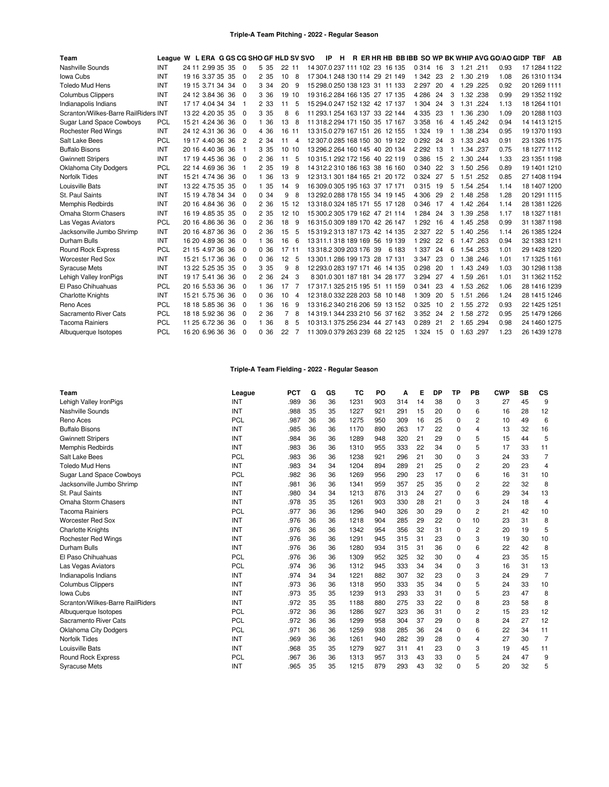| Team                                 | League W L ERA G GS CG SHO GF HLD SV SVO |                  |     |                |       |          |   | IP                             | H |  |        |         |    |                |           |      | R ER HR HB BB IBB SO WP BK WHIP AVG GO/AO GIDP TBF |                | AB |
|--------------------------------------|------------------------------------------|------------------|-----|----------------|-------|----------|---|--------------------------------|---|--|--------|---------|----|----------------|-----------|------|----------------------------------------------------|----------------|----|
| Nashville Sounds                     | INT                                      | 24 11 2.99 35 35 |     | $\Omega$       | 5 3 5 | 22 11    |   | 14 307.0 237 111 102 23 16 135 |   |  |        | 0 3 1 4 | 16 | 3              | 1.21 .211 |      | 0.93                                               | 17 1284 1122   |    |
| Iowa Cubs                            | INT                                      | 19 16 3.37 35    | -35 | $\Omega$       | 2 3 5 | 10       | 8 | 17 304 1 248 130 114 29 21 149 |   |  |        | 1 3 4 2 | 23 | 2              | 1.30 .219 |      | 1.08                                               | 26 1310 1134   |    |
| <b>Toledo Mud Hens</b>               | INT                                      | 19 15 3.71 34 34 |     | $\Omega$       | 3 3 4 | 20       | 9 | 15 298 0 250 138 123 31 11 133 |   |  |        | 2 2 9 7 | 20 | 4              | 1.29 .225 |      | 0.92                                               | 20 1269 1111   |    |
| <b>Columbus Clippers</b>             | INT                                      | 24 12 3.84 36 36 |     | $\Omega$       | 3 3 6 | 19<br>10 |   | 19 316 2 284 166 135 27 17 135 |   |  |        | 4 2 8 6 | 24 | 3              | 1.32 .238 |      | 0.99                                               | 29 1352 1192   |    |
| Indianapolis Indians                 | INT                                      | 17 17 4.04 34 34 |     | -1             | 2 3 3 | 11       | 5 | 15 294.0 247 152 132 42 17 137 |   |  |        | 1 3 0 4 | 24 | 3              | 1.31      | .224 | 1.13                                               | 18 1264 1101   |    |
| Scranton/Wilkes-Barre RailRiders INT |                                          | 13 22 4.20 35 35 |     | $\Omega$       | 3 3 5 | 8        | 6 | 11 293.1 254 163 137 33 22 144 |   |  |        | 4 3 3 5 | 23 |                | 1.36 .230 |      | 1.09                                               | 20 1288 1103   |    |
| Sugar Land Space Cowboys             | <b>PCL</b>                               | 15 21 4.24 36 36 |     | $\Omega$       | 1 36  | 13       | 8 | 11 318 2 294 171 150 35 17 167 |   |  |        | 3 3 5 8 | 16 | 4              | 1.45 242  |      | 0.94                                               | 14 14 13 12 15 |    |
| <b>Rochester Red Wings</b>           | INT                                      | 24 12 4.31 36 36 |     | $\Omega$       | 4 3 6 | 16<br>11 |   | 13 315 0 279 167 151 26 12 155 |   |  |        | 1 3 2 4 | 19 |                | 1.38 .234 |      | 0.95                                               | 19 1370 1193   |    |
| Salt Lake Bees                       | <b>PCL</b>                               | 19 17 4.40 36 36 |     | $\overline{c}$ | 2 3 4 | 11       | 4 | 12 307.0 285 168 150 30 19 122 |   |  |        | 0292    | 24 | 3              | 1.33 .243 |      | 0.91                                               | 23 1326 1175   |    |
| <b>Buffalo Bisons</b>                | INT                                      | 20 16 4.40 36 36 |     | -1             | 3 3 5 | 10<br>10 |   | 13 296 2 264 160 145 40 20 134 |   |  |        | 2 2 9 2 | 13 | 1              | 1.34 .237 |      | 0.75                                               | 18 1277 1112   |    |
| <b>Gwinnett Stripers</b>             | INT                                      | 17 19 4.45 36 36 |     | $\Omega$       | 2 3 6 | 11       | 5 | 10 315.1 292 172 156 40 22 119 |   |  |        | 0 3 8 6 | 15 | $\overline{2}$ | 1.30 .244 |      | 1.33                                               | 23 1351 1198   |    |
| Oklahoma City Dodgers                | <b>PCL</b>                               | 22 14 4.69 36 36 |     |                | 2 3 5 | 19       | 8 | 14 312.2 310 186 163 38 16 160 |   |  |        | 0 3 4 0 | 22 | 3              | 1.50 .256 |      | 0.89                                               | 19 1401 1210   |    |
| <b>Norfolk Tides</b>                 | INT                                      | 15 21 4.74 36 36 |     | $\Omega$       | 1 36  | 13       | 9 | 12 313.1 301 184 165 21        |   |  | 20 172 | 0 3 2 4 | 27 | 5              | 1.51      | .252 | 0.85                                               | 27 1408 1194   |    |
| Louisville Bats                      | <b>INT</b>                               | 13 22 4.75 35 35 |     | $\Omega$       | 1 35  | 14       | 9 | 16 309 0 305 195 163 37 17 171 |   |  |        | 0315    | 19 | 5              | 1.54 .254 |      | 1.14                                               | 18 1407 1200   |    |
| St. Paul Saints                      | INT                                      | 15 19 4.78 34 34 |     | $\Omega$       | 0.34  | 9        | 8 | 13 292.0 288 178 155 34 19 145 |   |  |        | 4 3 0 6 | 29 | 2              | 1.48 .258 |      | 1.28                                               | 20 1291 1115   |    |
| <b>Memphis Redbirds</b>              | INT                                      | 20 16 4.84 36 36 |     | $\Omega$       | 2 3 6 | 15<br>12 |   | 13 318 0 324 185 171 55 17 128 |   |  |        | 0 3 4 6 | 17 | 4              | 1.42.264  |      | 1.14                                               | 28 1381 1226   |    |
| Omaha Storm Chasers                  | INT                                      | 16 19 4.85 35 35 |     | $\Omega$       | 2 3 5 | 12 10    |   | 15 300.2 305 179 162 47 21 114 |   |  |        | 1 2 8 4 | 24 | 3              | 1.39 .258 |      | 1.17                                               | 18 1327 1181   |    |
| Las Vegas Aviators                   | PCL                                      | 20 16 4.86 36 36 |     | $\Omega$       | 2 3 6 | 18       | 9 | 16 315 0 309 189 170 42 26 147 |   |  |        | 1 2 9 2 | 16 | 4              | 1.45 .258 |      | 0.99                                               | 31 1387 1198   |    |
| Jacksonville Jumbo Shrimp            | <b>INT</b>                               | 20 16 4.87 36 36 |     | $\Omega$       | 2 3 6 | 15       | 5 | 15 319 2 313 187 173 42 14 135 |   |  |        | 2 3 2 7 | 22 | 5              | 1.40 .256 |      | 1.14                                               | 26 1385 1224   |    |
| Durham Bulls                         | INT                                      | 16 20 4.89 36 36 |     | $\Omega$       | 1 36  | 16       | 6 | 13 311 1 318 189 169 56 19 139 |   |  |        | 1 2 9 2 | 22 | 6              | 1.47 .263 |      | 0.94                                               | 32 1383 1211   |    |
| <b>Round Rock Express</b>            | <b>PCL</b>                               | 21 15 4.97 36    | 36  | $\Omega$       | 0.36  | 17<br>11 |   | 13 318 2 309 203 176 39        |   |  | 6 183  | 1 3 3 7 | 24 | 6              | 1.54 .253 |      | 1.01                                               | 29 1428 1220   |    |
| <b>Worcester Red Sox</b>             | INT                                      | 15 21 5.17 36 36 |     | $\Omega$       | 0.36  | 12       | 5 | 13 301.1 286 199 173 28 17 131 |   |  |        | 3 3 4 7 | 23 | $\Omega$       | 1.38 .246 |      | 1.01                                               | 17 1325 1161   |    |
| <b>Syracuse Mets</b>                 | INT                                      | 13 22 5.25 35 35 |     | $\Omega$       | 3 3 5 | 9        | 8 | 12 293.0 283 197 171 46 14 135 |   |  |        | 0298    | 20 |                | 1.43 .249 |      | 1.03                                               | 30 1298 1138   |    |
| Lehigh Valley IronPigs               | INT                                      | 19 17 5.41 36    | -36 | $\Omega$       | 2 3 6 | 24       | 3 | 8 301.0 301 187 181 34 28 177  |   |  |        | 3 2 9 4 | 27 | 4              | 1.59 .261 |      | 1.01                                               | 31 1362 1152   |    |
| El Paso Chihuahuas                   | PCL                                      | 20 16 5.53 36 36 |     | $\Omega$       | 1 36  | 17       |   | 17 317 1 325 215 195 51 11 159 |   |  |        | 0 341   | 23 | 4              | 1.53 .262 |      | 1.06                                               | 28 1416 1239   |    |
| <b>Charlotte Knights</b>             | INT                                      | 15 21 5.75 36 36 |     | $\Omega$       | 0.36  | 10       | 4 | 12 318.0 332 228 203 58 10 148 |   |  |        | 1 3 0 9 | 20 | 5              | 1.51 .266 |      | 1.24                                               | 28 1415 1246   |    |
| Reno Aces                            | <b>PCL</b>                               | 18 18 5.85 36    | -36 | $\Omega$       | 1 36  | 16       | 9 | 13 316 2 340 216 206 59 13 152 |   |  |        | 0 3 2 5 | 10 | 2              | 1.55 .272 |      | 0.93                                               | 22 1425 1251   |    |
| Sacramento River Cats                | <b>PCL</b>                               | 18 18 5.92 36 36 |     | $\Omega$       | 2 3 6 | 7        | 8 | 14 319 1 344 233 210 56 37 162 |   |  |        | 3 3 5 2 | 24 | 2              | 1.58 .272 |      | 0.95                                               | 25 1479 1266   |    |
| <b>Tacoma Rainiers</b>               | <b>PCL</b>                               | 11 25 6.72 36 36 |     | $\Omega$       | 1 36  | 8        | 5 | 10 313.1 375 256 234 44 27 143 |   |  |        | 0289    | 21 | 2              | 1.65 .294 |      | 0.98                                               | 24 1460 1275   |    |
| Albuquerque Isotopes                 | PCL                                      | 16 20 6.96 36 36 |     | $\Omega$       | 0.36  | 22       |   | 11 309.0 379 263 239 68 22 125 |   |  |        | 1 3 2 4 | 15 | $\Omega$       | 1.63 .297 |      | 1.23                                               | 26 1439 1278   |    |
|                                      |                                          |                  |     |                |       |          |   |                                |   |  |        |         |    |                |           |      |                                                    |                |    |

# **Triple-A Team Fielding - 2022 - Regular Season**

| Team                             | League     | <b>PCT</b> | G  | GS | TC   | PO  | А   | Е  | <b>DP</b> | <b>TP</b> | PB             | <b>CWP</b> | <b>SB</b> | CS             |
|----------------------------------|------------|------------|----|----|------|-----|-----|----|-----------|-----------|----------------|------------|-----------|----------------|
| Lehigh Valley IronPigs           | INT        | .989       | 36 | 36 | 1231 | 903 | 314 | 14 | 38        | 0         | 3              | 27         | 45        | 9              |
| Nashville Sounds                 | <b>INT</b> | .988       | 35 | 35 | 1227 | 921 | 291 | 15 | 20        | 0         | 6              | 16         | 28        | 12             |
| Reno Aces                        | <b>PCL</b> | .987       | 36 | 36 | 1275 | 950 | 309 | 16 | 25        | 0         | 2              | 10         | 49        | 6              |
| <b>Buffalo Bisons</b>            | INT        | .985       | 36 | 36 | 1170 | 890 | 263 | 17 | 22        | 0         | 4              | 13         | 32        | 16             |
| <b>Gwinnett Stripers</b>         | INT        | .984       | 36 | 36 | 1289 | 948 | 320 | 21 | 29        | 0         | 5              | 15         | 44        | 5              |
| Memphis Redbirds                 | <b>INT</b> | .983       | 36 | 36 | 1310 | 955 | 333 | 22 | 34        | $\Omega$  | 5              | 17         | 33        | 11             |
| Salt Lake Bees                   | <b>PCL</b> | .983       | 36 | 36 | 1238 | 921 | 296 | 21 | 30        | 0         | 3              | 24         | 33        | $\overline{7}$ |
| <b>Toledo Mud Hens</b>           | INT        | .983       | 34 | 34 | 1204 | 894 | 289 | 21 | 25        | 0         | 2              | 20         | 23        | 4              |
| <b>Sugar Land Space Cowboys</b>  | PCL        | .982       | 36 | 36 | 1269 | 956 | 290 | 23 | 17        | 0         | 6              | 16         | 31        | 10             |
| Jacksonville Jumbo Shrimp        | INT        | .981       | 36 | 36 | 1341 | 959 | 357 | 25 | 35        | 0         | 2              | 22         | 32        | 8              |
| St. Paul Saints                  | INT        | .980       | 34 | 34 | 1213 | 876 | 313 | 24 | 27        | 0         | 6              | 29         | 34        | 13             |
| Omaha Storm Chasers              | <b>INT</b> | .978       | 35 | 35 | 1261 | 903 | 330 | 28 | 21        | $\Omega$  | 3              | 24         | 18        | $\overline{4}$ |
| <b>Tacoma Rainiers</b>           | <b>PCL</b> | .977       | 36 | 36 | 1296 | 940 | 326 | 30 | 29        | 0         | $\overline{2}$ | 21         | 42        | 10             |
| <b>Worcester Red Sox</b>         | <b>INT</b> | .976       | 36 | 36 | 1218 | 904 | 285 | 29 | 22        | 0         | 10             | 23         | 31        | 8              |
| <b>Charlotte Knights</b>         | INT        | .976       | 36 | 36 | 1342 | 954 | 356 | 32 | 31        | 0         | $\overline{2}$ | 20         | 19        | 5              |
| <b>Rochester Red Wings</b>       | INT        | .976       | 36 | 36 | 1291 | 945 | 315 | 31 | 23        | $\Omega$  | 3              | 19         | 30        | 10             |
| Durham Bulls                     | <b>INT</b> | .976       | 36 | 36 | 1280 | 934 | 315 | 31 | 36        | 0         | 6              | 22         | 42        | 8              |
| El Paso Chihuahuas               | PCL        | .976       | 36 | 36 | 1309 | 952 | 325 | 32 | 30        | $\Omega$  | 4              | 23         | 35        | 15             |
| Las Vegas Aviators               | <b>PCL</b> | .974       | 36 | 36 | 1312 | 945 | 333 | 34 | 34        | 0         | 3              | 16         | 31        | 13             |
| Indianapolis Indians             | <b>INT</b> | .974       | 34 | 34 | 1221 | 882 | 307 | 32 | 23        | $\Omega$  | 3              | 24         | 29        | $\overline{7}$ |
| <b>Columbus Clippers</b>         | INT        | .973       | 36 | 36 | 1318 | 950 | 333 | 35 | 34        | 0         | 5              | 24         | 33        | 10             |
| Iowa Cubs                        | <b>INT</b> | .973       | 35 | 35 | 1239 | 913 | 293 | 33 | 31        | $\Omega$  | 5              | 23         | 47        | 8              |
| Scranton/Wilkes-Barre RailRiders | <b>INT</b> | .972       | 35 | 35 | 1188 | 880 | 275 | 33 | 22        | 0         | 8              | 23         | 58        | 8              |
| Albuquerque Isotopes             | PCL        | .972       | 36 | 36 | 1286 | 927 | 323 | 36 | 31        | $\Omega$  | 2              | 15         | 23        | 12             |
| Sacramento River Cats            | PCL        | .972       | 36 | 36 | 1299 | 958 | 304 | 37 | 29        | 0         | 8              | 24         | 27        | 12             |
| <b>Oklahoma City Dodgers</b>     | PCL        | .971       | 36 | 36 | 1259 | 938 | 285 | 36 | 24        | $\Omega$  | 6              | 22         | 34        | 11             |
| <b>Norfolk Tides</b>             | <b>INT</b> | .969       | 36 | 36 | 1261 | 940 | 282 | 39 | 28        | $\Omega$  | 4              | 27         | 30        | $\overline{7}$ |
| Louisville Bats                  | <b>INT</b> | .968       | 35 | 35 | 1279 | 927 | 311 | 41 | 23        | $\Omega$  | 3              | 19         | 45        | 11             |
| <b>Round Rock Express</b>        | <b>PCL</b> | .967       | 36 | 36 | 1313 | 957 | 313 | 43 | 33        | 0         | 5              | 24         | 47        | 9              |
| <b>Syracuse Mets</b>             | <b>INT</b> | .965       | 35 | 35 | 1215 | 879 | 293 | 43 | 32        | $\Omega$  | 5              | 20         | 32        | 5              |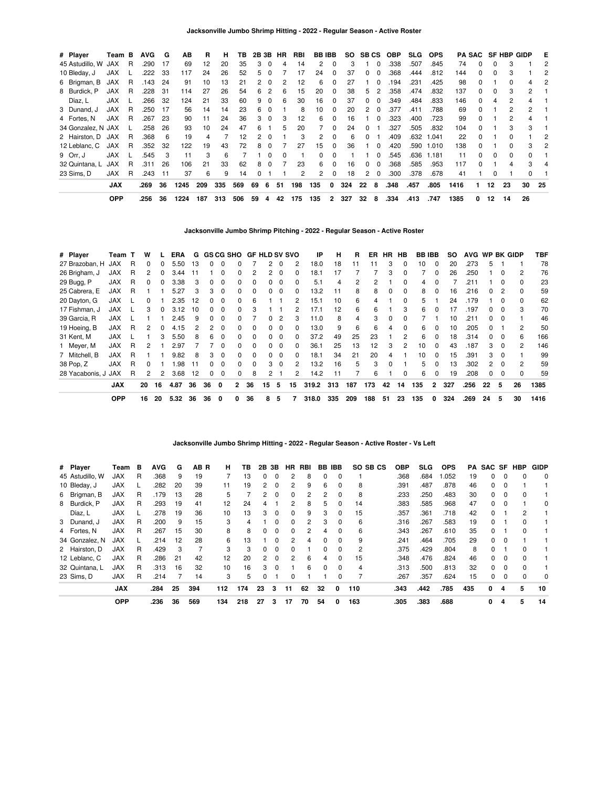| # Player           | Team B     |     | <b>AVG</b> | G   | AВ   | R   | н   | ΤВ  | 2B 3B |              | HR | RBI | <b>BBIBB</b> |          | <b>SO</b> | SB CS        |                         | <b>OBP</b> | <b>SLG</b> | <b>OPS</b> |      |              |              | <b>PA SAC SF HBP GIDP</b> |                      | E   |
|--------------------|------------|-----|------------|-----|------|-----|-----|-----|-------|--------------|----|-----|--------------|----------|-----------|--------------|-------------------------|------------|------------|------------|------|--------------|--------------|---------------------------|----------------------|-----|
| 45 Astudillo, W    | JAX        | R   | .290       | 17  | 69   | 12  | 20  | 35  | 3     | 0            | 4  | 14  | 2            | $\Omega$ | 3         |              | $\Omega$                | .338       | .507       | .845       | 74   | $\Omega$     |              | 3                         |                      | 2   |
| 10 Bleday, J       | <b>JAX</b> |     | .222       | 33  | 117  | 24  | 26  | 52  | 5     | $\Omega$     |    | 17  | 24           | 0        | 37        | O.           |                         | .368       | .444       | .812       | 144  | <sup>0</sup> | <sup>0</sup> |                           |                      |     |
| 6 Brigman, B       | JAX        | R   | .143       | 24  | 91   | 10  | 13  | 21  |       | - 0          | 2  | 12  | 6            | 0        | 27        |              | $\Omega$                | 194        | .231       | .425       | 98   |              |              |                           |                      |     |
| 8 Burdick, P       | <b>JAX</b> | R   | .228       | 31  | 114  | 27  | 26  | 54  | 6     | 2            | 6  | 15  | 20           | $\Omega$ | 38        | 5.           | 2                       | .358       | .474       | .832       | 137  | 0            | 0            | 3                         | $\mathbf{2}$         |     |
| Díaz, L            | <b>JAX</b> |     | .266       | 32  | 124  | 21  | 33  | 60  | 9     | $\Omega$     | 6  | 30  | 16           | 0        | 37        | 0            | $\Omega$                | .349       | .484       | .833       | 146  | $\Omega$     | 4            | 2                         | 4                    |     |
| 3 Dunand, J        | <b>JAX</b> | R   | .250       | 17  | 56   | 14  | 14  | 23  | 6     | <sup>0</sup> |    | 8   | 10           | $\Omega$ | 20        | 2            | $\Omega$                | .377       | .411       | .788       | 69   | <sup>0</sup> |              | 2                         | $\mathbf{2}^{\circ}$ |     |
| 4 Fortes, N        | <b>JAX</b> | - R | .267       | 23  | 90   | 11  | 24  | 36  |       | $\Omega$     |    | 12  | 6            | 0        | 16        |              |                         | .323       | .400       | .723       | 99   |              |              |                           |                      |     |
| 34 Gonzalez, N JAX |            |     | .258       | 26  | 93   | 10  | 24  | 47  | 6     |              | 5  | 20  |              | 0        | 24        | 0            |                         | .327       | .505       | .832       | 104  | $\Omega$     |              |                           | 3                    |     |
| 2 Hairston, D JAX  |            | -R  | .368       | 6   | 19   | 4   |     | 12  |       | $\Omega$     |    | 3   | 2            | $\Omega$ | 6         | 0            |                         | .409       | .632       | 1.041      | 22   | $\Omega$     |              | O.                        |                      | 2   |
| 12 Leblanc, C      | JAX        | R   | .352       | 32  | 122  | 19  | 43  | 72  | 8     | <sup>0</sup> |    | 27  | 15           | $\Omega$ | 36        |              | $\Omega$                | .420       | .590       | 1.010      | 138  | <sup>n</sup> |              | n                         | 3                    | 2   |
| 9 Orr. J           | <b>JAX</b> |     | .545       | 3   | 11   | 3   | 6   |     |       | $\Omega$     |    |     | 0            | 0        |           |              |                         | .545       | .636       | 1.181      | 11   | <sup>0</sup> | ŋ            | 0                         | <sup>0</sup>         |     |
| 32 Quintana, L     | <b>JAX</b> | R   | .311       | 26  | 106  | 21  | 33  | 62  | 8     | $\Omega$     |    | 23  | 6.           | 0        | 16        | O.           | 0                       | .368       | .585       | .953       | 117  | <sup>0</sup> |              |                           | 3                    | 4   |
| 23 Sims, D         | <b>JAX</b> | R   | .243       | -11 | 37   | 6   | 9   | 14  |       |              |    | 2   | $\mathbf{2}$ | $\Omega$ | 18        | $\mathbf{2}$ | $\overline{\mathbf{0}}$ | .300       | .378       | .678       | 41   |              |              |                           | <sup>0</sup>         |     |
|                    | <b>JAX</b> |     | .269       | 36  | 1245 | 209 | 335 | 569 | 69    | 6            | 51 | 198 | 135          | 0        | 324       | 22           | 8                       | .348       | .457       | .805       | 1416 |              | 12           | 23                        | 30                   | -25 |
|                    | <b>OPP</b> |     | .256       | 36  | 1224 | 187 | 313 | 506 | 59    | 4            | 42 | 175 | 135          | 2        | 327       | 32           | 8                       | .334       | .413       | .747       | 1385 | 0            | 12           | 14                        | 26                   |     |

**Jacksonville Jumbo Shrimp Pitching - 2022 - Regular Season - Active Roster**

| # Player            | Team T     |   | W  |                | ERA  | G   |          |              | <b>GS CG SHO</b> | <b>GF HLD SV SVO</b> |                |          |          | IP    | н   | R   | ER  | HR. | HB           | <b>BB IBB</b> |                | SO. | <b>AVG</b> | WP BK GIDP   |          |                | TBF  |
|---------------------|------------|---|----|----------------|------|-----|----------|--------------|------------------|----------------------|----------------|----------|----------|-------|-----|-----|-----|-----|--------------|---------------|----------------|-----|------------|--------------|----------|----------------|------|
| 27 Brazoban, H      | <b>JAX</b> | R |    | 0              | 5.50 | 13  | 0        | $\Omega$     |                  |                      |                | $\Omega$ | 2        | 18.0  | 18  | 11  |     | 3   | $\Omega$     | 10            | $\Omega$       | 20  | .273       | 5.           |          |                | 78   |
| 26 Brigham, J       | <b>JAX</b> | R | 2  | 0              | 3.44 | 11  |          | 0            | 0                |                      |                |          |          | 18.1  | 17  |     |     | 3   |              |               |                | 26  | .250       |              |          | 2              | 76   |
| 29 Bugg, P          | <b>JAX</b> | R | 0  | $\Omega$       | 3.38 | 3   | $\Omega$ | $\Omega$     | 0                | $\Omega$             | 0              | 0        | 0        | 5.1   | 4   | 2   | 2   |     | 0            | 4             | $\Omega$       |     | .211       |              |          | $\Omega$       | 23   |
| 25 Cabrera, E       | <b>JAX</b> | R |    |                | 5.27 | 3   | 3        | $\Omega$     | 0                | $\Omega$             | $\Omega$       | 0        | $\Omega$ | 13.2  | 11  | 8   | 8   | 0   | $\Omega$     | 8             | $\Omega$       | 16  | .216       | 0            |          | $\Omega$       | 59   |
| 20 Dayton, G        | <b>JAX</b> |   | 0  |                | 2.35 | 12  | 0        | $\Omega$     | 0                | 6                    |                |          | 2        | 15.1  | 10  | 6   | 4   |     | <sup>0</sup> | 5             |                | 24  | .179       |              | $\Omega$ | 0              | 62   |
| 17 Fishman, J       | <b>JAX</b> |   | 3  |                | 3.12 | 10  | O.       | $\Omega$     | <sup>0</sup>     | 3                    |                |          | 2        | 17.1  | 12  | 6   | 6   |     | 3            | 6             |                | 17  | .197       |              | $\Omega$ | 3              | 70   |
| 39 Garcia, R        | <b>JAX</b> |   |    |                | 2.45 | 9   | $\Omega$ | $\Omega$     | 0                |                      |                |          | з        | 11.0  | 8   | 4   | 3   | 0   | <sup>0</sup> |               |                | 10  | .211       | O.           |          |                | 46   |
| 19 Hoeing, B        | <b>JAX</b> | R | 2  | $\Omega$       | 4.15 | 2   | 2        | $\Omega$     | 0                | $\Omega$             | 0              | - 0      | $\Omega$ | 13.0  | 9   | 6   | 6   | 4   | $\Omega$     | 6             | $\Omega$       | 10  | .205       | $\Omega$     |          | $\overline{c}$ | 50   |
| 31 Kent, M          | <b>JAX</b> |   |    | 3              | 5.50 | 8   | 6.       | $\Omega$     | 0                | $\Omega$             | $\Omega$       | $\Omega$ | $\Omega$ | 37.2  | 49  | 25  | 23  |     | 2            | 6             | $\Omega$       | 18  | .314       | $\Omega$     | $\Omega$ | 6              | 166  |
| 1 Meyer, M          | <b>JAX</b> | R | 2  |                | 2.97 |     |          | $\Omega$     | <sup>0</sup>     | $\Omega$             | 0              | $\Omega$ | $\Omega$ | 36.1  | 25  | 13  | 12  | 3   | 2            | 10            | $\Omega$       | 43  | .187       | 3            | $\Omega$ | 2              | 146  |
| 7 Mitchell, B       | <b>JAX</b> | R |    |                | 9.82 | 8   | 3        | $\Omega$     | <sup>0</sup>     | $\Omega$             | O.             |          | 0        | 18.1  | 34  | 21  | 20  | 4   |              | 10            |                | 15  | .391       | 3            |          |                | 99   |
| 38 Pop, Z           | <b>JAX</b> | R | 0  |                | .98  | -11 | $\Omega$ | $\Omega$     | 0                | $\Omega$             | 3              | $\Omega$ | 2        | 13.2  | 16  | 5   | 3   | 0   |              | 5             | $\Omega$       | 13  | .302       | $\mathbf{2}$ |          | 2              | 59   |
| 28 Yacabonis, J JAX |            | R | 2  | $\overline{2}$ | 3.68 | 12  | $\Omega$ | 0            | 0                | 8                    | $\overline{2}$ |          | 2        | 14.2  | 11  |     | 6   |     | $\Omega$     | 6             | $\Omega$       | 19  | .208       | 0            | $\Omega$ | 0              | 59   |
|                     | <b>JAX</b> |   | 20 | 16             | 4.87 | 36  | 36       | $\mathbf{0}$ | $\mathbf{2}$     | 36                   | 15             | 5        | 15       | 319.2 | 313 | 187 | 173 | 42  | 14           | 135           | $\overline{2}$ | 327 | .256       | 22           | 5        | 26             | 1385 |
|                     | <b>OPP</b> |   | 16 | 20             | 5.32 | 36  | 36       | 0            | 0                | 36                   | 8              | 5        |          | 318.0 | 335 | 209 | 188 | 51  | 23           | 135           | 0              | 324 | .269       | 24           | 5        | 30             | 1416 |

## **Jacksonville Jumbo Shrimp Hitting - 2022 - Regular Season - Active Roster - Vs Left**

| # Player        | Team       | в | <b>AVG</b> | G  | AB R | н.  | TB. |                | 2B 3B    | HR.           | RBI | BB | <b>IBB</b> | SO SB CS | <b>OBP</b> | <b>SLG</b> | <b>OPS</b> | PA. |          |          | SAC SF HBP   | <b>GIDP</b> |
|-----------------|------------|---|------------|----|------|-----|-----|----------------|----------|---------------|-----|----|------------|----------|------------|------------|------------|-----|----------|----------|--------------|-------------|
| 45 Astudillo, W | JAX        | R | .368       | 9  | 19   |     | 13  | $\Omega$       | $\Omega$ |               | 8   | 0  | $\Omega$   |          | .368       | .684       | .052       | 19  | 0        | 0        |              | 0           |
| 10 Bleday, J    | <b>JAX</b> |   | .282       | 20 | 39   | 11  | 19  | 2              | $\Omega$ | 2             | 9   | 6  | $\Omega$   | 8        | .391       | .487       | .878       | 46  | 0        | $\Omega$ |              |             |
| 6 Brigman, B    | <b>JAX</b> | R | .179       | 13 | 28   | 5   |     | 2              | $\Omega$ | $\Omega$      | 2   | 2  | $\Omega$   | 8        | .233       | .250       | .483       | 30  | $\Omega$ | $\Omega$ | <sup>0</sup> |             |
| 8 Burdick, P    | <b>JAX</b> | R | .293       | 19 | 41   | 12  | 24  | 4              |          | 2             | 8   | 5  | 0          | 14       | .383       | .585       | .968       | 47  | 0        | 0        |              | 0           |
| Díaz, L         | <b>JAX</b> |   | .278       | 19 | 36   | 10  | 13  | 3              | $\Omega$ | $\Omega$      | 9   | 3  | $\Omega$   | 15       | .357       | .361       | .718       | 42  | 0        |          | 2            |             |
| 3 Dunand, J     | <b>JAX</b> | R | .200       | 9  | 15   | 3   | 4   |                | $\Omega$ | $\Omega$      | 2   | 3  | 0          | 6        | .316       | .267       | .583       | 19  | 0        |          |              |             |
| 4 Fortes, N     | <b>JAX</b> | R | .267       | 15 | 30   | 8   | 8   | 0              | $\Omega$ | $\Omega$      | 2   | 4  | $\Omega$   | 6        | .343       | .267       | .610       | 35  | 0        |          | $\Omega$     |             |
| 34 Gonzalez, N  | <b>JAX</b> |   | .214       | 12 | 28   | 6   | 13  |                | $\Omega$ | $\mathcal{P}$ | 4   | 0  | $\Omega$   | 9        | .241       | .464       | .705       | 29  | 0        | $\Omega$ |              |             |
| 2 Hairston, D   | <b>JAX</b> | R | .429       | 3  |      | 3   | 3   | $\Omega$       | $\Omega$ | $\Omega$      |     | 0  | $\Omega$   | 2        | .375       | .429       | .804       | 8   | 0        |          |              |             |
| 12 Leblanc, C   | <b>JAX</b> | R | .286       | 21 | 42   | 12  | 20  | $\overline{2}$ | $\Omega$ | $\mathcal{P}$ | 6   | 4  | 0          | 15       | .348       | .476       | .824       | 46  | $\Omega$ | $\Omega$ | $\Omega$     |             |
| 32 Quintana, L  | <b>JAX</b> | R | .313       | 16 | 32   | 10  | 16  | 3              | $\Omega$ |               | 6   | 0  | $\Omega$   | 4        | .313       | .500       | .813       | 32  | $\Omega$ | $\Omega$ | $\Omega$     |             |
| 23 Sims, D      | JAX        | R | .214       |    | 14   | 3   | 5   | 0              |          | $\Omega$      |     |    | 0          |          | .267       | .357       | .624       | 15  | 0        | $\Omega$ | $\Omega$     | 0           |
|                 | <b>JAX</b> |   | .284       | 25 | 394  | 112 | 174 | 23             | 3        | 11            | 62  | 32 | 0          | 110      | .343       | .442       | .785       | 435 | 0        | 4        | 5            | 10          |
|                 | <b>OPP</b> |   | .236       | 36 | 569  | 134 | 218 | 27             | з        | 17            | 70  | 54 | 0          | 163      | .305       | .383       | .688       |     | 0        | 4        | 5            | 14          |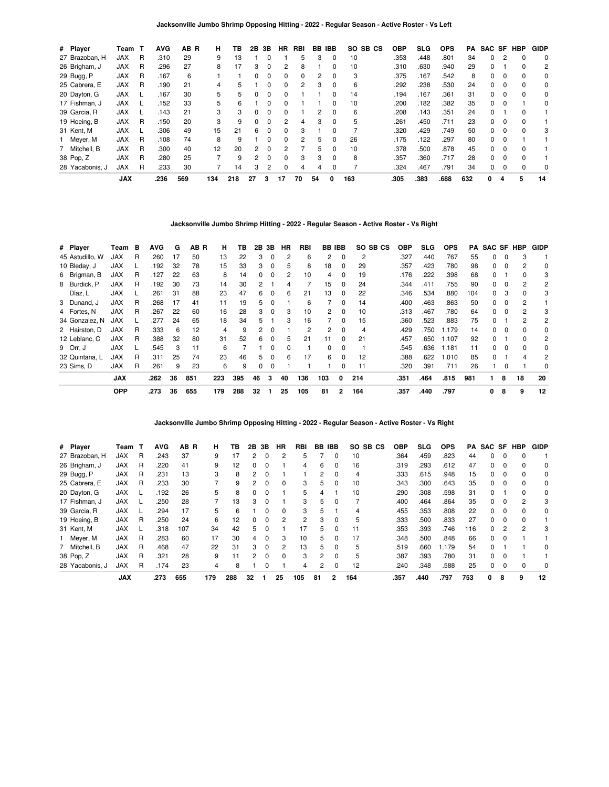**Jacksonville Jumbo Shrimp Opposing Hitting - 2022 - Regular Season - Active Roster - Vs Left**

| # Player        | Team       | — Т | <b>AVG</b> | AB R | н   | ΤВ  | 2Β | 3В             | HR.          | RBI | BB | <b>IBB</b>   | SO SB CS | <b>OBP</b> | SLG  | <b>OPS</b> | PA  |   |          | SAC SF HBP | <b>GIDP</b> |
|-----------------|------------|-----|------------|------|-----|-----|----|----------------|--------------|-----|----|--------------|----------|------------|------|------------|-----|---|----------|------------|-------------|
| 27 Brazoban, H  | JAX        | R   | .310       | 29   | 9   | 13  |    | 0              |              | 5   | 3  | 0            | 10       | .353       | .448 | .801       | 34  | 0 | 2        | 0          | 0           |
| 26 Brigham, J   | <b>JAX</b> | R   | .296       | 27   | 8   | 17  | 3  | 0              | 2            | 8   |    | 0            | 10       | .310       | .630 | .940       | 29  | 0 |          | $\Omega$   | 2           |
| 29 Bugg, P      | <b>JAX</b> | R   | .167       | 6    |     |     |    | 0              | 0            | 0   | 2  |              | 3        | .375       | .167 | .542       | 8   | 0 |          |            | 0           |
| 25 Cabrera, E   | <b>JAX</b> | R   | .190       | 21   | 4   | 5   |    | 0              | $\Omega$     | 2   | 3  | 0            | 6        | .292       | .238 | .530       | 24  | 0 | $\Omega$ | $\Omega$   | 0           |
| 20 Dayton, G    | <b>JAX</b> |     | .167       | 30   | 5   | 5   |    | 0              | <sup>0</sup> |     |    |              | 14       | .194       | .167 | .361       | 31  | 0 |          | $\Omega$   | 0           |
| 17 Fishman, J   | <b>JAX</b> |     | .152       | 33   | 5   | 6   |    | 0              | <sup>0</sup> |     |    |              | 10       | .200       | .182 | .382       | 35  | 0 | $\Omega$ |            | $\Omega$    |
| 39 Garcia, R    | <b>JAX</b> |     | .143       | 21   | 3   | 3   |    | 0              | 0            |     | 2  | 0            | 6        | .208       | .143 | .351       | 24  | 0 |          |            |             |
| 19 Hoeing, B    | <b>JAX</b> | R   | .150       | 20   | 3   | 9   | 0  | 0              | 2            | 4   | 3  | 0            | 5        | .261       | .450 | .711       | 23  | 0 | $\Omega$ | $\Omega$   |             |
| 31 Kent, M      | <b>JAX</b> |     | .306       | 49   | 15  | 21  | 6  | <sup>0</sup>   | <sup>0</sup> | 3   |    | <sup>0</sup> |          | .320       | .429 | .749       | 50  | 0 | $\Omega$ | $\Omega$   | 3           |
| Meyer, M        | <b>JAX</b> | R   | .108       | 74   | 8   | 9   |    | 0              | <sup>0</sup> | 2   | 5  | 0            | 26       | .175       | .122 | .297       | 80  | 0 |          |            |             |
| 7 Mitchell, B   | <b>JAX</b> | R   | .300       | 40   | 12  | 20  | 2  | <sup>0</sup>   | 2            |     | 5. | $\Omega$     | 10       | .378       | .500 | .878       | 45  | 0 | $\Omega$ | $\Omega$   |             |
| 38 Pop, Z       | <b>JAX</b> | R   | .280       | 25   |     | 9   | 2  | O              | $\Omega$     | 3   | 3  | $\Omega$     | 8        | .357       | .360 | .717       | 28  | 0 | $\Omega$ |            |             |
| 28 Yacabonis, J | <b>JAX</b> | R   | .233       | 30   |     | 14  | 3  | $\overline{c}$ | 0            | 4   | 4  | 0            |          | .324       | .467 | .791       | 34  | 0 | $\Omega$ | $\Omega$   | 0           |
|                 | <b>JAX</b> |     | .236       | 569  | 134 | 218 | 27 | з              | 17           | 70  | 54 | 0            | 163      | .305       | .383 | .688       | 632 | 0 | 4        | 5          | 14          |

**Jacksonville Jumbo Shrimp Hitting - 2022 - Regular Season - Active Roster - Vs Right**

| # Player        | Team       | в | <b>AVG</b> | G  | AB R | н   | ΓВ  | 2В       | 3В          | HR | RBI | <b>BB IBB</b>  |              | SO SB CS       | OBP  | <b>SLG</b> | <b>OPS</b> | PA  | SAC SF       |          | HBP | <b>GIDP</b>    |
|-----------------|------------|---|------------|----|------|-----|-----|----------|-------------|----|-----|----------------|--------------|----------------|------|------------|------------|-----|--------------|----------|-----|----------------|
| 45 Astudillo, W | <b>JAX</b> | R | .260       | 17 | 50   | 13  | 22  | 3        | 0           | 2  | 6   | 2              | 0            | 2              | .327 | .440       | .767       | 55  | 0            | 0        | 3   |                |
| 10 Bleday, J    | JAX        |   | .192       | 32 | 78   | 15  | 33  | 3        | 0           | 5  | 8   | 18             | $\Omega$     | 29             | .357 | .423       | .780       | 98  | 0            | 0        | 2   | 0              |
| 6 Brigman, B    | <b>JAX</b> | R | .127       | 22 | 63   | 8   | 14  | $\Omega$ | $\Omega$    | 2  | 10  | 4              | $\Omega$     | 19             | .176 | .222       | .398       | 68  | 0            |          | 0   | 3              |
| 8 Burdick, P    | <b>JAX</b> | R | .192       | 30 | 73   | 14  | 30  |          |             | 4  |     | 15             | $\Omega$     | 24             | .344 | .411       | .755       | 90  | 0            | $\Omega$ | 2   | 2              |
| Díaz, L         | <b>JAX</b> |   | .261       | 31 | 88   | 23  | 47  | 6        | 0           | 6  | 21  | 13             | 0            | 22             | .346 | .534       | .880       | 104 | 0            | 3        |     | 3              |
| 3 Dunand, J     | <b>JAX</b> | R | .268       | 17 | 41   | 11  | 19  | 5.       | 0           |    | 6   |                | $\Omega$     | 14             | .400 | .463       | .863       | 50  | 0            | 0        | 2   |                |
| 4 Fortes, N     | <b>JAX</b> | R | .267       | 22 | 60   | 16  | 28  | 3        | 0           | 3  | 10  | $\overline{2}$ | $\Omega$     | 10             | .313 | .467       | .780       | 64  | 0            | $\Omega$ | 2   | 3              |
| 34 Gonzalez, N  | <b>JAX</b> |   | .277       | 24 | 65   | 18  | 34  | 5        |             | 3  | 16  |                | $\Omega$     | 15             | .360 | .523       | .883       | 75  | 0            |          | 2   | 2              |
| 2 Hairston, D   | <b>JAX</b> | R | .333       | 6  | 12   | 4   | 9   |          | $\mathbf 0$ |    | 2   | 2              | $\Omega$     | $\overline{4}$ | .429 | .750       | 1.179      | 14  | 0            | $\Omega$ |     | 0              |
| 12 Leblanc, C   | <b>JAX</b> | R | .388       | 32 | 80   | 31  | 52  | 6        | 0           | 5  | 21  | 11             | 0            | 21             | 457  | .650       | 1.107      | 92  | 0            |          |     | 2              |
| 9 Orr, J        | <b>JAX</b> |   | .545       | 3  | 11   | 6   |     |          | $\Omega$    | 0  |     | 0              | $\Omega$     |                | .545 | .636       | 1.181      | 11  | 0            | $\Omega$ | 0   | 0              |
| 32 Quintana. L  | <b>JAX</b> | R | .311       | 25 | 74   | 23  | 46  | 5        | $\Omega$    | 6  | 17  | 6              | $\Omega$     | 12             | .388 | .622       | .010       | 85  | <sup>0</sup> |          | 4   | $\overline{2}$ |
| 23 Sims, D      | <b>JAX</b> | R | .261       | 9  | 23   | 6   | 9   | 0        | $\mathbf 0$ |    |     |                | 0            | 11             | .320 | .391       | .711       | 26  |              | 0        |     | 0              |
|                 | <b>JAX</b> |   | .262       | 36 | 851  | 223 | 395 | 46       | 3           | 40 | 136 | 103            | 0            | 214            | .351 | .464       | .815       | 981 |              | 8        | 18  | 20             |
|                 | <b>OPP</b> |   | .273       | 36 | 655  | 179 | 288 | 32       |             | 25 | 105 | 81             | $\mathbf{2}$ | 164            | .357 | .440       | .797       |     | 0            | 8        | 9   | 12             |

**Jacksonville Jumbo Shrimp Opposing Hitting - 2022 - Regular Season - Active Roster - Vs Right**

| # Player        | Team       | п | <b>AVG</b> | AB R | н   | ΤВ  | 2В       | 3В       | HR       | RBI |    | BB IBB   | SO.<br>SB CS | <b>OBP</b> | SLG. | <b>OPS</b> | PA  | SAC SF |          | HBP      | <b>GIDP</b> |
|-----------------|------------|---|------------|------|-----|-----|----------|----------|----------|-----|----|----------|--------------|------------|------|------------|-----|--------|----------|----------|-------------|
| 27 Brazoban, H  | JAX        | R | .243       | 37   | 9   | 17  | 2        | $\Omega$ | 2        | 5   |    | $\Omega$ | 10           | .364       | .459 | .823       | 44  | 0      |          |          |             |
| 26 Brigham, J   | <b>JAX</b> | R | .220       | 41   | 9   | 12  | 0        | $\Omega$ |          | 4   | 6  | $\Omega$ | 16           | .319       | .293 | .612       | 47  | 0      | $\Omega$ |          | 0           |
| 29 Bugg, P      | <b>JAX</b> | R | .231       | 13   | 3   | 8   | 2        | 0        |          |     |    | 0        | 4            | .333       | .615 | .948       | 15  | 0      |          |          | 0           |
| 25 Cabrera, E   | <b>JAX</b> | R | .233       | 30   |     | 9   |          | $\Omega$ | $\Omega$ | 3   | 5  | $\Omega$ | 10           | .343       | .300 | .643       | 35  | 0      | $\Omega$ | $\Omega$ | 0           |
| 20 Dayton, G    | <b>JAX</b> |   | .192       | 26   | 5   | 8   |          | 0        |          | 5   | 4  |          | 10           | .290       | .308 | .598       | 31  | 0      |          |          | 0           |
| 17 Fishman, J   | <b>JAX</b> |   | .250       | 28   |     | 13  | 3        | $\Omega$ |          | 3   | 5  | $\Omega$ |              | .400       | .464 | .864       | 35  | 0      | 0        | 2        | 3           |
| 39 Garcia, R    | <b>JAX</b> |   | .294       | 17   | 5   | 6   |          | $\Omega$ | $\Omega$ | 3   | 5  |          | 4            | .455       | .353 | .808       | 22  | 0      |          |          | $\Omega$    |
| 19 Hoeing, B    | <b>JAX</b> | R | .250       | 24   | 6   | 12  | $\Omega$ | $\Omega$ | 2        | 2   | 3  | $\Omega$ | 5            | .333       | .500 | .833       | 27  | 0      | $\Omega$ |          |             |
| 31 Kent, M      | <b>JAX</b> |   | .318       | 107  | 34  | 42  | 5.       | $\Omega$ |          | 17  | 5  | $\Omega$ | 11           | .353       | .393 | .746       | 116 | 0      | 2        | 2        | 3           |
| 1 Meyer, M      | <b>JAX</b> | R | .283       | 60   | 17  | 30  | 4        | $\Omega$ | 3        | 10  | 5. |          | 17           | .348       | .500 | .848       | 66  | 0      |          |          |             |
| 7 Mitchell, B   | <b>JAX</b> | R | .468       | 47   | 22  | 31  | 3        | $\Omega$ | 2        | 13  | 5  | $\Omega$ | 5            | .519       | .660 | 1.179      | 54  | 0      |          |          | $\Omega$    |
| 38 Pop, Z       | <b>JAX</b> | R | .321       | 28   | 9   |     |          |          | $\Omega$ | 3   | 2  | $\Omega$ | 5            | .387       | .393 | .780       | 31  | 0      |          |          |             |
| 28 Yacabonis, J | <b>JAX</b> | R | .174       | 23   | 4   | 8   |          | $\Omega$ |          | 4   | 2  | $\Omega$ | 12           | .240       | .348 | .588       | 25  | 0      | $\Omega$ | $\Omega$ | $\Omega$    |
|                 | <b>JAX</b> |   | .273       | 655  | 179 | 288 | 32       |          | 25       | 105 | 81 | 2        | 164          | .357       | .440 | .797       | 753 | 0      | 8        | 9        | 12          |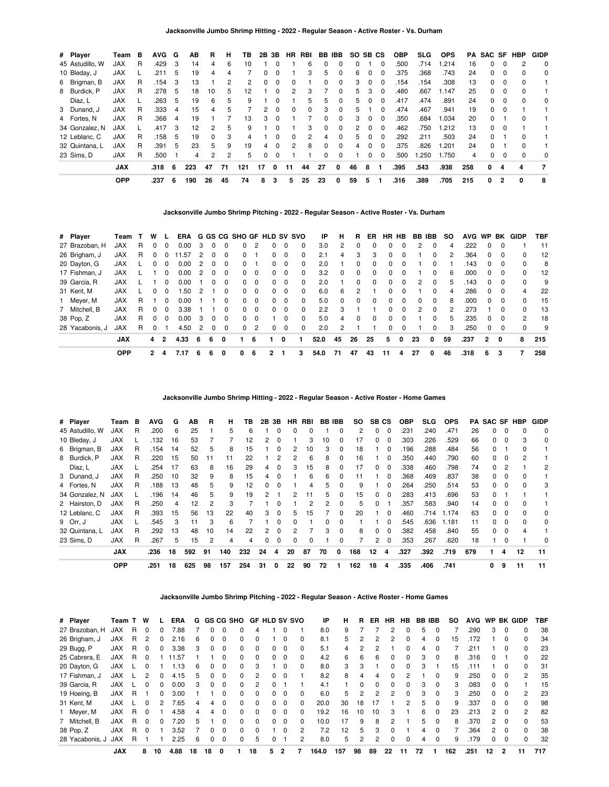| # Player        | Геаm       | в | <b>AVG</b> | G  | AВ  | R        | н  | ΤВ  | 2Β           | 3В       | HR           | RBI      |    | BB IBB       | SO. | SB CS |          | <b>OBP</b> | SLG. | <b>OPS</b> | PA  |              |          | SAC SF HBP | <b>GIDP</b>    |
|-----------------|------------|---|------------|----|-----|----------|----|-----|--------------|----------|--------------|----------|----|--------------|-----|-------|----------|------------|------|------------|-----|--------------|----------|------------|----------------|
| 45 Astudillo. W | JAX        | R | .429       | 3  | 14  | 4        | 6  | 10  |              |          |              | 6        | 0  |              | n   |       | 0        | .500       | .714 | .214       | 16  | 0            |          | 2          | 0              |
| 10 Bleday, J    | <b>JAX</b> |   | .211       | 5  | 19  | 4        | 4  |     | <sup>0</sup> |          |              | 3        | 5  | 0            | 6   |       |          | .375       | .368 | .743       | 24  | 0            | 0        | $\Omega$   | 0              |
| 6 Brigman, B    | <b>JAX</b> | R | .154       | 3  | 13  |          | 2  | 2   | 0            | $\Omega$ | 0            |          | 0  | $\Omega$     | 3   | 0     | $\Omega$ | .154       | .154 | .308       | 13  | 0            | 0        | $\Omega$   |                |
| 8 Burdick, P    | <b>JAX</b> | R | .278       | 5  | 18  | 10       | 5  | 12  |              | $\Omega$ | 2            | 3        |    | <sup>0</sup> | 5   | 3     | $\Omega$ | .480       | .667 | 1.147      | 25  | 0            | $\Omega$ | $\Omega$   |                |
| Díaz, L         | <b>JAX</b> |   | .263       | 5  | 19  | 6        | 5  | 9   |              | $\Omega$ |              | 5        | 5  | $\Omega$     | 5   | n     | $\Omega$ | .417       | .474 | .891       | 24  | 0            | $\Omega$ | $\Omega$   | 0              |
| 3 Dunand, J     | <b>JAX</b> | R | .333       | 4  | 15  | 4        | 5  |     | 2            | $\Omega$ | <sup>0</sup> | $\Omega$ | 3  | $\Omega$     | 5   |       | $\Omega$ | .474       | .467 | .941       | 19  | 0            |          |            |                |
| 4 Fortes, N     | <b>JAX</b> | R | .368       | -4 | 19  |          |    | 13  | 3            | $\Omega$ |              |          | 0  | $\Omega$     | 3   | 0     | $\Omega$ | .350       | .684 | 1.034      | 20  | <sup>o</sup> |          | $\Omega$   |                |
| 34 Gonzalez, N  | <b>JAX</b> |   | .417       | 3  | 12  | 2        | 5  | 9   |              | $\Omega$ |              | 3        | 0  | $\Omega$     | 2   |       | $\Omega$ | .462       | .750 | 1.212      | 13  | <sup>0</sup> | $\Omega$ |            |                |
| 12 Leblanc, C   | JAX        | R | .158       | 5  | 19  | $\Omega$ | 3  | 4   |              | $\Omega$ | $\Omega$     | 2        | 4  | $\Omega$     | 5   | 0     | $\Omega$ | .292       | .211 | .503       | 24  | 0            |          | $\Omega$   |                |
| 32 Quintana, L  | <b>JAX</b> | R | .391       | 5  | 23  | 5        | 9  | 19  | 4            | $\Omega$ | 2            | 8        | 0  | $\Omega$     | 4   |       | $\Omega$ | .375       | .826 | 1.201      | 24  | 0            |          | $\Omega$   |                |
| 23 Sims, D      | <b>JAX</b> | R | .500       |    | 4   | 2        | 2  | 5   | $\Omega$     | $\Omega$ |              |          | 0  | $\Omega$     |     | 0     | $\Omega$ | .500       | .250 | 1.750      | 4   | 0            | $\Omega$ | $\Omega$   | 0              |
|                 | <b>JAX</b> |   | .318       | 6  | 223 | 47       | 71 | 121 | 17           | 0        | 11           | 44       | 27 | 0            | 46  | 8     |          | .395       | .543 | .938       | 258 | 0            | 4        | 4          | $\overline{7}$ |
|                 | <b>OPP</b> |   | .237       | 6  | 190 | 26       | 45 | 74  | 8            | 3        | 5            | 25       | 23 | 0            | 59  | 5     |          | .316       | .389 | .705       | 215 | 0            | 2        | 0          | 8              |

**Jacksonville Jumbo Shrimp Pitching - 2022 - Regular Season - Active Roster - Vs. Durham**

| # Player        | Team       |   | w |              | ERA   |   |   |   |          |          | G GS CG SHO GF HLD SV SVO |          |          | ΙP            | н            | R  | ER.      | <b>HR</b>    | HB.      | BB IBB        |          | <b>SO</b> | <b>AVG</b> | <b>WP</b>    | BK       | GIDP     | TBF |
|-----------------|------------|---|---|--------------|-------|---|---|---|----------|----------|---------------------------|----------|----------|---------------|--------------|----|----------|--------------|----------|---------------|----------|-----------|------------|--------------|----------|----------|-----|
| 27 Brazoban, H  | <b>JAX</b> | R |   | <sup>0</sup> | 0.00  | з |   |   | $\Omega$ | 2        |                           | 0        | $\Omega$ | 3.0           | 2            | 0  | 0        | 0            | 0        | 2             | 0        | 4         | .222       | 0            |          |          | 11  |
| 26 Brigham, J   | <b>JAX</b> | R | 0 |              | 11.57 | 2 | 0 | 0 | $\Omega$ |          | 0                         | 0        | 0        | 2.1           | 4            | 3  | 3        | 0            | 0        |               | 0        | 2         | .364       | 0            |          | 0        | 12  |
| 20 Dayton, G    | <b>JAX</b> |   | 0 |              | 0.00  | 2 | 0 | 0 | $\Omega$ |          | $\Omega$                  | 0        | $\Omega$ | 2.0           |              | 0  | 0        | 0            | 0        |               | 0        |           | 143        | 0            | $\Omega$ | 0        | 8   |
| 17 Fishman, J   | <b>JAX</b> |   |   | $\Omega$     | 0.00  | 2 | 0 | 0 | $\Omega$ | $\Omega$ | $\Omega$                  | $\Omega$ | $\Omega$ | 3.2           | <sup>0</sup> | 0  | $\Omega$ | $\Omega$     | 0        |               | $\Omega$ | 6         | .000       | 0            | $\Omega$ | 0        | 12  |
| 39 Garcia, R    | <b>JAX</b> |   |   |              | 0.00  |   | 0 | 0 | $\Omega$ | $\Omega$ | $\Omega$                  | $\Omega$ | $\Omega$ | 2.0           |              | 0  | 0        | $\Omega$     | 0        | 2             | $\Omega$ | 5         | .143       | <sup>0</sup> | $\Omega$ | $\Omega$ | 9   |
| 31 Kent, M      | <b>JAX</b> |   | 0 |              | .50   |   |   | 0 | $\Omega$ | $\Omega$ | $\Omega$                  | $\Omega$ | $\Omega$ | 6.0           | 6            | 2  |          | 0            | 0        |               | 0        | 4         | .286       | 0            | $\Omega$ | 4        | 22  |
| 1 Meyer, M      | <b>JAX</b> | R |   | $\Omega$     | 0.00  |   |   | 0 | $\Omega$ | $\Omega$ | $\Omega$                  | 0        | $\Omega$ | 5.0           | $\Omega$     | 0  | 0        | $\Omega$     | $\Omega$ | 0             | $\Omega$ | 8         | .000       | <sup>0</sup> | $\Omega$ | 0        | 15  |
| 7 Mitchell, B   | <b>JAX</b> | R | 0 |              | 3.38  |   |   | 0 | $\Omega$ | $\Omega$ | $\Omega$                  | $\Omega$ | $\Omega$ | $2.2^{\circ}$ | 3            |    |          | <sup>0</sup> | 0        | $\mathcal{P}$ | $\Omega$ | 2         | .273       |              | $\Omega$ | $\Omega$ | 13  |
| 38 Pop, Z       | JAX        | R | 0 | $\Omega$     | 0.00  | 3 | 0 | 0 | $\Omega$ | $\Omega$ |                           | 0        | $\Omega$ | 5.0           | 4            | 0  | 0        | 0            | 0        |               | 0        | 5.        | .235       | $\Omega$     | $\Omega$ | 2        | 18  |
| 28 Yacabonis, J | JAX        | R | 0 |              | 4.50  |   | 0 | 0 | $\Omega$ | 2        | $\Omega$                  | 0        | $\Omega$ | 2.0           | 2            |    |          | O            | 0        |               | $\Omega$ | 3         | .250       | <sup>0</sup> | $\Omega$ | $\Omega$ | 9   |
|                 | <b>JAX</b> |   | 4 | 2            | 4.33  | 6 | 6 | 0 |          | 6        |                           | 0        |          | 52.0          | 45           | 26 | 25       | 5            | $\Omega$ | 23            | $\Omega$ | 59        | .237       | $\mathbf{2}$ | 0        | 8        | 215 |
|                 | <b>OPP</b> |   | 2 | 4            | 7.17  | 6 | 6 | 0 | 0        | 6        | 2                         |          | 3        | 54.0          | 71           | 47 | 43       | 11           | 4        | 27            | 0        | 46        | .318       | 6            | 3        | 7        | 258 |

**Jacksonville Jumbo Shrimp Hitting - 2022 - Regular Season - Active Roster - Home Games**

| # Player        | Team       | в | AVG  | G  | AВ  | R  | н   | ΤВ  | 2В | 3В | HR | RBI            | <b>BB IBB</b> |          | SO. | SB CS |          | <b>OBP</b> | <b>SLG</b> | <b>OPS</b> |     | <b>PA SAC SF HBP</b> |          |    | <b>GIDP</b> |
|-----------------|------------|---|------|----|-----|----|-----|-----|----|----|----|----------------|---------------|----------|-----|-------|----------|------------|------------|------------|-----|----------------------|----------|----|-------------|
| 45 Astudillo, W | <b>JAX</b> | R | .200 | 6  | 25  |    | 5   | 6   |    | 0  | 0  |                |               | 0        | 2   | 0     | 0        | .231       | .240       | .471       | 26  | 0                    | 0        |    | 0           |
| 10 Bleday, J    | <b>JAX</b> |   | .132 | 16 | 53  |    |     | 12  | 2  |    |    |                | 10            | 0        | 17  |       |          | .303       | .226       | .529       | 66  | 0                    |          | 3  | 0           |
| 6 Brigman, B    | <b>JAX</b> | R | .154 | 14 | 52  | 5  | 8   | 15  |    | 0  | 2  | 10             | 3             | 0        | 18  |       | 0        | .196       | .288       | .484       | 56  |                      |          |    |             |
| 8 Burdick, P    | <b>JAX</b> | R | .220 | 15 | 50  | 11 | 11  | 22  |    | 2  | 2  | 6              | 8             | $\Omega$ | 16  |       | $\Omega$ | .350       | .440       | .790       | 60  | <sup>0</sup>         | 0        | 2  |             |
| Díaz, L         | <b>JAX</b> |   | .254 | 17 | 63  | 8  | 16  | 29  | 4  | 0  | 3  | 15             | 8             | 0        | 17  | 0     | $\Omega$ | .338       | .460       | .798       | 74  | 0                    | 2        |    | 2           |
| 3 Dunand, J     | <b>JAX</b> | R | .250 | 10 | 32  | 9  | 8   | 15  | 4  |    |    | 6              | 6             | 0        | 11  |       | 0        | .368       | .469       | .837       | 38  | <sup>0</sup>         |          |    |             |
| 4 Fortes, N     | <b>JAX</b> | R | .188 | 13 | 48  | 5  | 9   | 12  | 0  | 0  |    | 4              | 5.            | 0        | 9   |       | 0        | .264       | .250       | .514       | 53  | 0                    | 0        |    | 3           |
| 34 Gonzalez. N  | <b>JAX</b> |   | .196 | 14 | 46  | 5  | 9   | 19  | 2  |    | 2  | 11             | 5.            | $\Omega$ | 15  | O.    | $\Omega$ | .283       | .413       | .696       | 53  | <sup>0</sup>         |          |    |             |
| 2 Hairston, D   | <b>JAX</b> | R | .250 | 4  | 12  | 2  | 3   |     |    | 0  |    | $\overline{2}$ | 2             | 0        | 5   | 0     |          | .357       | .583       | .940       | 14  | O.                   |          |    |             |
| 12 Leblanc, C   | <b>JAX</b> | R | .393 | 15 | 56  | 13 | 22  | 40  | 3  | 0  | 5  | 15             |               | $\Omega$ | 20  |       | 0        | .460       | .714       | 1.174      | 63  | <sup>0</sup>         |          |    | 0           |
| 9 Orr, J        | <b>JAX</b> |   | .545 | 3  | 11  | 3  | 6   |     |    | 0  | 0  |                |               | 0        |     |       | $\Omega$ | .545       | .636       | 1.181      | 11  | 0                    | 0        |    | 0           |
| 32 Quintana, L  | <b>JAX</b> | R | .292 | 13 | 48  | 10 | 14  | 22  | 2  | 0  | 2  |                | 3             | $\Omega$ | 8   | 0     | $\Omega$ | .382       | .458       | .840       | 55  | <sup>0</sup>         | $\Omega$ | 4  |             |
| 23 Sims, D      | <b>JAX</b> | R | .267 | 5  | 15  | 2  | 4   | 4   | 0  | 0  | 0  | 0              |               | 0        |     | 2     | $\Omega$ | .353       | .267       | .620       | 18  |                      |          |    | 0           |
|                 | <b>JAX</b> |   | .236 | 18 | 592 | 91 | 140 | 232 | 24 | 4  | 20 | 87             | 70            | 0        | 168 | 12    | 4        | .327       | .392       | .719       | 679 |                      | 4        | 12 | 11          |
|                 | <b>OPP</b> |   | .251 | 18 | 625 | 98 | 157 | 254 | 31 | 0  | 22 | 90             | 72            |          | 162 | 18    | 4        | .335       | .406       | .741       |     | 0                    | 9        | 11 | 11          |

**Jacksonville Jumbo Shrimp Pitching - 2022 - Regular Season - Active Roster - Home Games**

| # Player        | Team T     |   | W |              | <b>ERA</b> | G  |    |              | GS CG SHO    | GF.      | <b>HLD SV SVO</b> |          |   | ΙP    | н   | R            | ER | HR.      | <b>HB</b> | BB. | <b>IBB</b> | so  | <b>AVG</b> | <b>WP</b>    |          | BK GIDP       | TBF |
|-----------------|------------|---|---|--------------|------------|----|----|--------------|--------------|----------|-------------------|----------|---|-------|-----|--------------|----|----------|-----------|-----|------------|-----|------------|--------------|----------|---------------|-----|
| 27 Brazoban, H  | <b>JAX</b> | R | 0 |              | 7.88       |    |    |              |              | 4        |                   | 0        |   | 8.0   | 9   |              |    |          |           | 5   |            |     | 290        | 3            | 0        | 0             | 38  |
| 26 Brigham, J   | <b>JAX</b> | R | 2 | 0            | 2.16       | 6  |    | 0            |              | 0        |                   | 0        | 0 | 8.1   | 5.  | 2            |    |          | 0         | 4   | 0          | 15  | .172       |              | 0        | 0             | 34  |
| 29 Bugg, P      | <b>JAX</b> | R |   | 0            | 3.38       | 3  |    | 0            |              | 0        | 0                 | 0        | 0 | 5.1   | 4   |              |    |          | 0         | 4   | $\Omega$   |     | .211       |              | 0        | 0             | 23  |
| 25 Cabrera, E   | <b>JAX</b> | R | 0 |              | 11.57      |    |    | 0            | <sup>0</sup> | $\Omega$ | <sup>0</sup>      | 0        | 0 | 4.2   | 6   | 6            | 6  | $\Omega$ | $\Omega$  | 3   | $\Omega$   | 8   | .316       | $\Omega$     |          | $\Omega$      | 22  |
| 20 Dayton, G    | <b>JAX</b> |   |   |              | .13        | 6  |    | 0            |              | 3        |                   | 0        | 0 | 8.0   | 3   | 3            |    |          | $\Omega$  | 3   |            | 15  | .111       |              | 0        | 0             | 31  |
| 17 Fishman, J   | <b>JAX</b> |   | 2 | <sup>0</sup> | 4.15       | 5  |    | $\Omega$     | <sup>n</sup> | 2        | <sup>0</sup>      | $\Omega$ |   | 8.2   | 8   | 4            | 4  |          | 2         |     | $\Omega$   | 9   | .250       | $\Omega$     | $\Omega$ | $\mathcal{P}$ | 35  |
| 39 Garcia, R    | <b>JAX</b> |   |   |              | 0.00       | з  |    | $\Omega$     |              | 2        |                   |          |   | 4.1   |     | <sup>0</sup> | 0  |          | $\Omega$  | 3   | $\Omega$   | 3   | .083       | <sup>o</sup> | $\Omega$ |               | 15  |
| 19 Hoeing, B    | <b>JAX</b> | R |   | 0            | 3.00       |    |    | <sup>0</sup> | <sup>n</sup> | $\Omega$ | <sup>0</sup>      | $\Omega$ | 0 | 6.0   | 5.  | 2            | 2  | 2        | $\Omega$  | 3   | $\Omega$   | 3   | .250       | 0            | $\Omega$ | 2             | 23  |
| 31 Kent, M      | <b>JAX</b> |   |   |              | 7.65       | 4  | 4  | $\Omega$     |              | $\Omega$ | <sup>0</sup>      | $\Omega$ | 0 | 20.0  | 30  | 18           | 17 |          | 2         | 5   | $\Omega$   | 9   | .337       | 0            | $\Omega$ | <sup>0</sup>  | 98  |
| Meyer, M        | <b>JAX</b> | R |   |              | 4.58       | 4  | 4  | 0            |              | $\Omega$ | <sup>0</sup>      | $\Omega$ | 0 | 19.2  | 16  | 10           | 10 | з        |           | 6   | $\Omega$   | 23  | 213        | 2            | $\Omega$ | 2             | 82  |
| 7 Mitchell, B   | <b>JAX</b> | R | O |              | 7.20       | 5  |    | 0            |              | $\Omega$ | <sup>0</sup>      | $\Omega$ | 0 | 10.0  | 17  | 9            | 8  |          |           | 5   | $\Omega$   | 8   | .370       | 2            | $\Omega$ | $\Omega$      | 53  |
| 38 Pop, Z       | <b>JAX</b> | R | 0 |              | 3.52       |    |    | 0            |              | $\Omega$ |                   | $\Omega$ | 2 | 7.2   | 12  | 5            | 3  |          |           | 4   | $\Omega$   |     | .364       | 2            | $\Omega$ | $\Omega$      | 38  |
| 28 Yacabonis, J | <b>JAX</b> | R |   |              | 2.25       | 6  |    | 0            | 0            | 5        | 0                 |          | 2 | 8.0   | 5.  | 2            | 2  | $\Omega$ | $\Omega$  | 4   | 0          | 9   | .179       | 0            | 0        | 0             | 32  |
|                 | <b>JAX</b> |   | 8 | 10           | 4.88       | 18 | 18 | 0            |              | 18       | 5                 | 2        |   | 164.0 | 157 | 98           | 89 | 22       | 11        | 72  |            | 162 | .251       | 12           |          | 11            | 717 |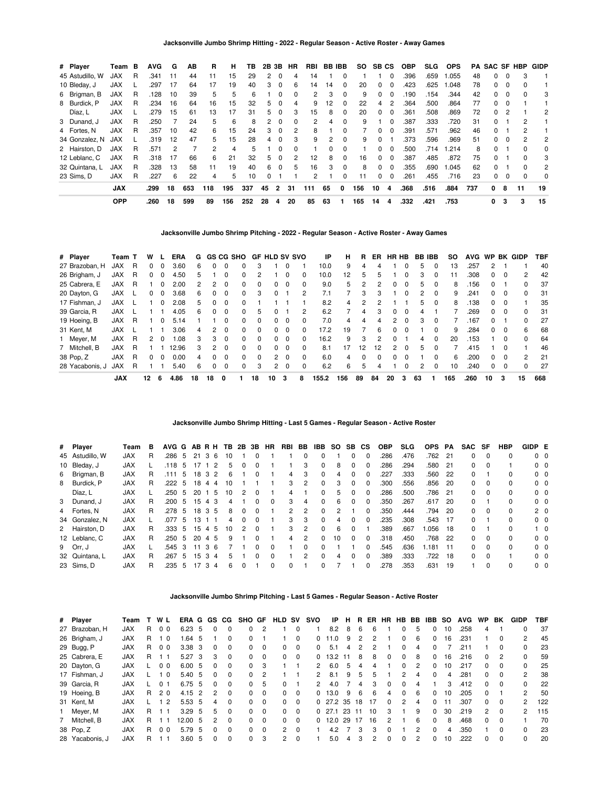| # Player        | Team       | в | AVG  | G  | AВ  | R              | н   | ΤВ  | 2B 3B |          | <b>HR</b>      | <b>RBI</b>           | <b>BB IBB</b> |          | SO. | SB CS |          | OBP  | SLG  | <b>OPS</b> | PA  |              |          | <b>SAC SF HBP</b> | <b>GIDP</b> |
|-----------------|------------|---|------|----|-----|----------------|-----|-----|-------|----------|----------------|----------------------|---------------|----------|-----|-------|----------|------|------|------------|-----|--------------|----------|-------------------|-------------|
| 45 Astudillo, W | <b>JAX</b> | R | .341 | 11 | 44  | 11             | 15  | 29  | 2     | - 0      | 4              | 14                   |               | $\Omega$ |     |       | 0        | .396 | .659 | 1.055      | 48  | 0            | $\Omega$ | 3                 |             |
| 10 Bleday, J    | <b>JAX</b> |   | .297 | 17 | 64  | 17             | 19  | 40  | 3     | - 0      | 6              | 14                   | 14            | $\Omega$ | 20  | 0     | $\Omega$ | .423 | .625 | 1.048      | 78  | 0            | $\Omega$ | o                 |             |
| 6 Brigman, B    | <b>JAX</b> | R | .128 | 10 | 39  | 5              | 5   | 6   |       | $\Omega$ | $\Omega$       | $\mathbf{2}^{\circ}$ | 3             | $\Omega$ | 9   | 0     | $\Omega$ | .190 | .154 | .344       | 42  | 0            | $\Omega$ | ŋ                 | 3           |
| 8 Burdick, P    | <b>JAX</b> | R | .234 | 16 | 64  | 16             | 15  | 32  | 5     | - 0      | 4              | 9                    | 12            | 0        | 22  | 4     | 2        | .364 | .500 | .864       | 77  | 0            |          |                   |             |
| Díaz, L         | <b>JAX</b> |   | .279 | 15 | 61  | 13             | 17  | 31  | 5.    | - 0      | 3              | 15                   | 8             | 0        | 20  | 0     | $\Omega$ | .361 | .508 | .869       | 72  | 0            |          |                   | 2           |
| 3 Dunand, J     | <b>JAX</b> | R | .250 |    | 24  | 5              | 6   | 8   | 2     | $\Omega$ | $\Omega$       | 2                    | 4             | $\Omega$ | 9   |       | $\Omega$ | .387 | .333 | .720       | 31  | $\Omega$     |          | 2                 |             |
| 4 Fortes, N     | <b>JAX</b> | R | .357 | 10 | 42  | 6              | 15  | 24  | 3     | - 0      | 2              | 8                    |               | 0        |     | 0     | 0        | .391 | .571 | .962       | 46  | 0            |          | 2                 |             |
| 34 Gonzalez, N  | <b>JAX</b> |   | .319 | 12 | 47  | 5              | 15  | 28  | 4     | 0        | 3              | 9                    | 2             | $\Omega$ | 9   | 0     |          | .373 | .596 | .969       | 51  | 0            | $\Omega$ | 2                 | 2           |
| 2 Hairston, D   | <b>JAX</b> | R | .571 | 2  |     | $\overline{2}$ | 4   | 5   |       | $\Omega$ | $\Omega$       |                      | 0             | $\Omega$ |     | 0     | $\Omega$ | .500 | .714 | 1.214      | 8   | $\Omega$     |          | <sup>0</sup>      | 0           |
| 12 Leblanc, C   | <b>JAX</b> | R | .318 | 17 | 66  | 6              | 21  | 32  | 5.    | $\Omega$ | $\overline{2}$ | 12                   | 8             | 0        | 16  | 0     | - 0      | .387 | .485 | .872       | 75  | O.           |          | ŋ                 | 3           |
| 32 Quintana, L  | <b>JAX</b> | R | .328 | 13 | 58  | 11             | 19  | 40  | 6     | - 0      | 5              | 16                   | 3             | $\Omega$ | 8   | 0     | $\Omega$ | .355 | .690 | 1.045      | 62  | <sup>0</sup> |          | 0                 | 2           |
| 23 Sims. D      | <b>JAX</b> | R | .227 | 6  | 22  | 4              | 5   | 10  | 0     |          |                |                      |               | 0        | 11  | 0     | $\Omega$ | .261 | .455 | .716       | 23  | 0            | $\Omega$ | 0                 | 0           |
|                 | <b>JAX</b> |   | .299 | 18 | 653 | 118            | 195 | 337 | 45    | 2        | 31             | 111                  | 65            | 0        | 156 | 10    | 4        | .368 | .516 | .884       | 737 | 0            | 8        | 11                | 19          |
|                 | <b>OPP</b> |   | .260 | 18 | 599 | 89             | 156 | 252 | 28    | 4        | 20             | 85                   | 63            |          | 165 | 14    | 4        | .332 | .421 | .753       |     | 0            | 3        | 3                 | 15          |

**Jacksonville Jumbo Shrimp Pitching - 2022 - Regular Season - Active Roster - Away Games**

| # Player        | Team T     |   | w  |          | ERA   | G  |              |              | GS CG SHO GF HLD SV SVO |    |               |          |              | ΙP    | н   | R  | ER.          | HR HB         |              |    | <b>BB IBB</b> | so  | <b>AVG</b> |               |              | WP BK GIDP    | TBF |
|-----------------|------------|---|----|----------|-------|----|--------------|--------------|-------------------------|----|---------------|----------|--------------|-------|-----|----|--------------|---------------|--------------|----|---------------|-----|------------|---------------|--------------|---------------|-----|
| 27 Brazoban, H  | <b>JAX</b> | R | 0  | 0        | 3.60  | 6  |              |              | 0                       | 3  |               |          |              | 10.0  | 9   | 4  |              |               |              | 5  | $\Omega$      | 13  | .257       | $\mathcal{P}$ |              |               | 40  |
| 26 Brigham, J   | JAX        | R | 0  | $\Omega$ | 4.50  | 5  |              | 0            | $\Omega$                | 2  |               |          | <sup>0</sup> | 10.0  | 12  | 5  | ь            |               | 0            | 3  | 0             | 11  | .308       | 0             | 0            | $\mathcal{P}$ | 42  |
| 25 Cabrera, E   | <b>JAX</b> | R |    | 0        | 2.00  | 2  | 2            | 0            | 0                       | 0  | 0             | $\Omega$ |              | 9.0   | 5   |    |              | 0             | 0            | 5  | $\Omega$      | 8   | .156       | 0             |              | 0             | 37  |
| 20 Dayton, G    | JAX        |   | 0  | $\Omega$ | 3.68  | 6  | <sup>0</sup> | 0            | $\Omega$                | 3  | 0             |          | 2            | 7.1   |     | 3  |              |               | <sup>0</sup> |    | $\Omega$      | 9   | .241       | 0             |              | $\Omega$      | 31  |
| 17 Fishman, J   | JAX        |   |    | $\Omega$ | 2.08  | 5. | 0            | 0            | $\Omega$                |    |               |          |              | 8.2   | 4   | 2  |              |               |              | 5  | $\Omega$      | 8   | .138       | 0             | $\Omega$     |               | 35  |
| 39 Garcia, R    | <b>JAX</b> |   |    |          | 4.05  | 6  | <sup>0</sup> | 0            | 0                       | 5  |               |          | 2            | 6.2   |     | 4  |              | 0             | 0            |    |               |     | .269       | 0             | 0            | 0             | 31  |
| 19 Hoeing, B    | JAX        | R |    | 0        | 5.14  |    |              | 0            | 0                       | 0  | 0             | $\Omega$ | <sup>0</sup> | 7.0   | 4   | 4  | 4            | 2             | 0            | з  | $\Omega$      |     | 167        | 0             |              | <sup>0</sup>  | 27  |
| 31 Kent, M      | JAX        |   |    |          | 3.06  | 4  | 2            | 0            | $\Omega$                | 0  | 0             | $\Omega$ |              | 17.2  | 19  |    | 6            | 0             | 0            |    | $\Omega$      | 9   | .284       | $\Omega$      | $\Omega$     | 6             | 68  |
| Meyer, M        | <b>JAX</b> | R | 2  | $\Omega$ | 80.1  | 3  | 3            | 0            | 0                       | 0  | 0             | $\Omega$ |              | 16.2  | 9   | 3  |              | <sup>0</sup>  |              | 4  |               | 20  | .153       |               |              | $\Omega$      | 64  |
| 7 Mitchell, B   | <b>JAX</b> | R |    |          | 12.96 | 3  | 2            | 0            | $\Omega$                | 0  | <sup>0</sup>  | $\Omega$ | <sup>0</sup> | 8.1   | 17  | 12 | 12           | $\mathcal{P}$ | $\Omega$     | 5  | $\Omega$      |     | .415       |               | <sup>0</sup> |               | 46  |
| 38 Pop, Z       | <b>JAX</b> | R | 0  | $\Omega$ | 0.00  | 4  | $\Omega$     | $\Omega$     | $\Omega$                | 0  | $\mathbf{2}$  | - 0      | 0            | 6.0   | 4   | 0  | <sup>0</sup> | 0             | 0            |    | $\Omega$      | 6   | .200       | 0             | 0            | $\mathcal{P}$ | 21  |
| 28 Yacabonis, J | <b>JAX</b> | R |    |          | 5.40  | 6  | <sup>0</sup> | <sup>0</sup> | 0                       | 3  | $\mathcal{P}$ | $\Omega$ |              | 6.2   | 6   | 5  |              |               |              |    | <sup>0</sup>  | 10  | .240       | 0             |              | U             | 27  |
|                 | <b>JAX</b> |   | 12 | 6        | 4.86  | 18 | 18           | 0            |                         | 18 | 10            | 3        | 8            | 155.2 | 156 | 89 | 84           | 20            | 3            | 63 |               | 165 | .260       | 10            | 3            | 15            | 668 |

## **Jacksonville Jumbo Shrimp Hitting - Last 5 Games - Regular Season - Active Roster**

|   | # Player        | Team       | в | AVG G AB R H TB 2B 3B |    |    |              |                |   |              |              | HR.      | RBI BB        |               | IBB          | <b>SO</b>     | SB.          | <b>CS</b> | <b>OBP</b> | <b>SLG</b> | <b>OPS</b> | PA    | SAC SF |          | <b>HBP</b> | GIDP E         |            |
|---|-----------------|------------|---|-----------------------|----|----|--------------|----------------|---|--------------|--------------|----------|---------------|---------------|--------------|---------------|--------------|-----------|------------|------------|------------|-------|--------|----------|------------|----------------|------------|
|   | 45 Astudillo, W | <b>JAX</b> | R | .286                  | -5 | 21 | $\mathbf{3}$ | 6<br>10        |   |              |              |          |               | $\Omega$      | $\Omega$     |               | 0            | $\Omega$  | .286       | .476       | .762       | 21    | 0      | $\Omega$ | $\Omega$   | $0\quad 0$     |            |
|   | 10 Bleday, J    | <b>JAX</b> |   | .118                  | 5  |    |              | 2              | 5 |              |              |          |               | 3             | $\Omega$     | 8             |              | 0         | .286       | .294       | .580       | 21    | 0      | $\Omega$ |            | $0\quad 0$     |            |
| 6 | Brigman, B      | <b>JAX</b> | R | .111                  | 5  | 18 | 3            | 2              | 6 |              | <sup>0</sup> |          | 4             | 3             | $\Omega$     | 4             | 0            | $\Omega$  | .227       | .333       | .560       | 22    | 0      |          | $\Omega$   | $0\quad 0$     |            |
| 8 | Burdick, P      | <b>JAX</b> | R | .222                  | -5 | 18 | 4            | 10<br>-4       |   |              |              |          | 3             | $\mathcal{P}$ | $\Omega$     | 3             | 0            | $\Omega$  | .300       | .556       | .856       | -20   | 0      | $\Omega$ | $\Omega$   | 0 <sub>0</sub> |            |
|   | Díaz. L         | <b>JAX</b> |   | .250                  | 5  | 20 |              | 5<br>10        |   | 2            | $\Omega$     |          | 4             |               | <sup>0</sup> | 5             | 0            | $\Omega$  | .286       | .500       | .786       | $-21$ | 0      | $\Omega$ | $\Omega$   | $0\quad 0$     |            |
|   | 3 Dunand, J     | <b>JAX</b> | R | .200                  | 5  | 15 | 4            | 3              | 4 |              | <sup>0</sup> | $\Omega$ | 3             | 4             | $\Omega$     | 6             | 0            | $\Omega$  | .350       | .267       | .617       | -20   | 0      |          | $\Omega$   | $0\quad 0$     |            |
|   | 4 Fortes, N     | <b>JAX</b> | R | .278                  | 5  | 18 | 3            | -5             | 8 | $\Omega$     | <sup>0</sup> |          | $\mathcal{P}$ | $\mathcal{P}$ | $\Omega$     | $\mathcal{P}$ |              | $\Omega$  | .350       | .444       | .794       | -20   | 0      | $\Omega$ | $\Omega$   | 2 <sub>0</sub> |            |
|   | 34 Gonzalez, N  | <b>JAX</b> |   | .077                  | 5  | 13 |              |                | 4 | $\Omega$     | $\Omega$     |          | 3             | 3             | $\Omega$     | 4             | 0            | $\Omega$  | .235       | .308       | .543       | -17   | 0      |          |            | $0\quad 0$     |            |
|   | 2 Hairston, D   | <b>JAX</b> | R | .333                  | 5  | 15 | 4            | 5<br>10        |   | 2            | $\Omega$     |          | 3             | $\mathcal{P}$ | $\Omega$     | 6             | 0            |           | .389       | .667       | .056       | 18    | 0      |          | $\Omega$   |                | $1\quad$ 0 |
|   | 12 Leblanc, C   | <b>JAX</b> | R | .250                  | -5 | 20 | 4            | -5             | 9 |              |              |          | 4             | 2             | $\Omega$     | 10            | 0            | $\Omega$  | .318       | .450       | .768       | -22   | 0      | $\Omega$ | $\Omega$   | $0\quad 0$     |            |
|   | 9 Orr, J        | <b>JAX</b> |   | .545                  | 3  | 11 | 3            | 6              |   |              |              | $\Omega$ |               | $\Omega$      | $\Omega$     |               |              | 0         | .545       | .636       | 1.181      | 11    | 0      | $\Omega$ | $\Omega$   | $0\quad 0$     |            |
|   | 32 Quintana, L  | <b>JAX</b> | R | .267                  | -5 | 15 | -3           | $\overline{4}$ | 5 |              | <sup>0</sup> | $\Omega$ |               | 2             | $\Omega$     | 4             | <sup>0</sup> | $\Omega$  | .389       | .333       | .722       | 18    | 0      | $\Omega$ |            | 0 <sub>0</sub> |            |
|   | 23 Sims, D      | <b>JAX</b> | R | .235                  | 5  |    | 3            | 4              | 6 | <sup>0</sup> |              | 0        | 0             |               |              |               |              | 0         | .278       | .353       | .631       | 19    |        |          | $\Omega$   | $0\quad 0$     |            |

## **Jacksonville Jumbo Shrimp Pitching - Last 5 Games - Regular Season - Active Roster**

| # Player        | Team       |    | WL             | ERA G GS CG |     |              |          | SHO GF       |                | <b>HLD</b>     | <b>SV</b> | svo           | IP             | н   | R  | ER  | <b>HR</b> | HB BB         |               | IBB      | -SO | <b>AVG</b> | WP.           | BK           | <b>GIDP</b> | TBF |
|-----------------|------------|----|----------------|-------------|-----|--------------|----------|--------------|----------------|----------------|-----------|---------------|----------------|-----|----|-----|-----------|---------------|---------------|----------|-----|------------|---------------|--------------|-------------|-----|
| 27 Brazoban, H  | <b>JAX</b> | R. | 0 <sub>0</sub> | 6.23        | 5   | <sup>0</sup> | 0        | <sup>o</sup> |                |                | 0         |               | 8.2            | 8   | 6  | 6   |           | 0             | 5             | $\Omega$ | 10  | .258       | 4             |              | 0           | 37  |
| 26 Brigham, J   | JAX        | R. | 10             | 1.64 5      |     |              | $\Omega$ | $\Omega$     |                |                | 0         | 0             | 11.0           | 9   | 2  | 2   |           | 0             | -6            | $\Omega$ | 16  | .231       |               | 0            | 2           | 45  |
| 29 Bugg, P      | <b>JAX</b> | R. | 0 <sub>0</sub> | 3.38 3      |     | $\Omega$     | $\Omega$ | 0            | $\Omega$       | 0              | 0         | 0             | 5.1            | 4   |    | 2   |           | 0             | 4             | $\Omega$ |     | .211       |               | 0            |             | 23  |
| 25 Cabrera, E   | <b>JAX</b> | R. |                | 5.27        | - 3 | 3            | $\Omega$ | 0            | $\Omega$       | 0              | $\Omega$  | 0             | 13.2           |     | 8  | 8   | $\Omega$  | $\Omega$      | 8             | $\Omega$ | 16  | .216       | $\Omega$      | 2            | 0           | 59  |
| 20 Dayton, G    | <b>JAX</b> |    | 0 <sub>0</sub> | 6.00        | - 5 | $\Omega$     | $\Omega$ | $\Omega$     | -3             |                |           | $\mathcal{P}$ | 6.0            | 5   | 4  | 4   |           | $\Omega$      | $\mathcal{P}$ | $\Omega$ | 10  | .217       | 0             | <sup>0</sup> | O.          | 25  |
| 17 Fishman, J   | <b>JAX</b> |    | 10             | 5.40 5      |     | $\Omega$     | $\Omega$ | 0            | $\overline{2}$ |                |           | 2             | 8.1            | 9   | 5  | 5   |           | 2             | 4             | $\Omega$ | 4   | .281       | $\Omega$      | 0            | 2           | 38  |
| 39 Garcia, R    | <b>JAX</b> |    | 0 <sup>1</sup> | 6.75        | - 5 | <sup>0</sup> | $\Omega$ | 0            | 5              | 0              |           | 2             | 4.0            |     | 4  | 3   | $\Omega$  | <sup>0</sup>  | 4             |          | 3   | .412       | 0             | 0            | 0           | 22  |
| 19 Hoeing, B    | <b>JAX</b> | R. | 20             | $4.15$ 2    |     | 2            | $\Omega$ | 0            | $\Omega$       | 0              | $\Omega$  | 0             | 13.0           | 9   | 6  | 6   | 4         | $\Omega$      | -6            | $\Omega$ | 10  | .205       | $\Omega$      |              | 2           | 50  |
| 31 Kent, M      | <b>JAX</b> |    | $\overline{2}$ | 5.53, 5     |     | 4            | $\Omega$ | 0            | $\Omega$       | 0              | $\Omega$  |               | $0$ 27.2 35 18 |     |    | -17 | $\Omega$  | $\mathcal{P}$ | 4             | $\Omega$ |     | .307       | 0             | $\Omega$     | 2           | 122 |
| 1 Meyer, M      | <b>JAX</b> | R. |                | 3.29        | - 5 | 5.           | $\Omega$ | 0            | $\Omega$       | 0              | $\Omega$  |               | $0$ 27.1       | -23 | 11 | 10  | 3         |               | 9             | $\Omega$ | 30  | .219       | $\mathcal{P}$ | $\Omega$     | 2           | 115 |
| 7 Mitchell, B   | JAX        | R. |                | 12.00       | -5  | 2            | $\Omega$ | 0            | $\Omega$       | <sup>0</sup>   | $\Omega$  | <sup>0</sup>  | 12.0           | 29  | 17 | 16  | 2         |               | 6             | $\Omega$ | 8   | .468       | 0             | $\Omega$     |             | 70  |
| 38 Pop, Z       | JAX        | R. | 0 <sub>0</sub> | 5.79        | -5  |              | $\Omega$ | 0            | $\Omega$       | 2              | $\Omega$  |               | 4.2            |     | з  | з   |           |               |               | $\Omega$ | 4   | .350       |               | <sup>0</sup> | 0           | 23  |
| 28 Yacabonis, J | <b>JAX</b> | R. |                | 3.60        | - 5 | $\Omega$     | $\Omega$ | 0            | 3              | $\overline{2}$ | $\Omega$  |               | 5.0            | 4   | 3  | 2   | $\Omega$  | 0             | 2             | 0        | 10  | .222       | 0             | $\Omega$     |             | 20  |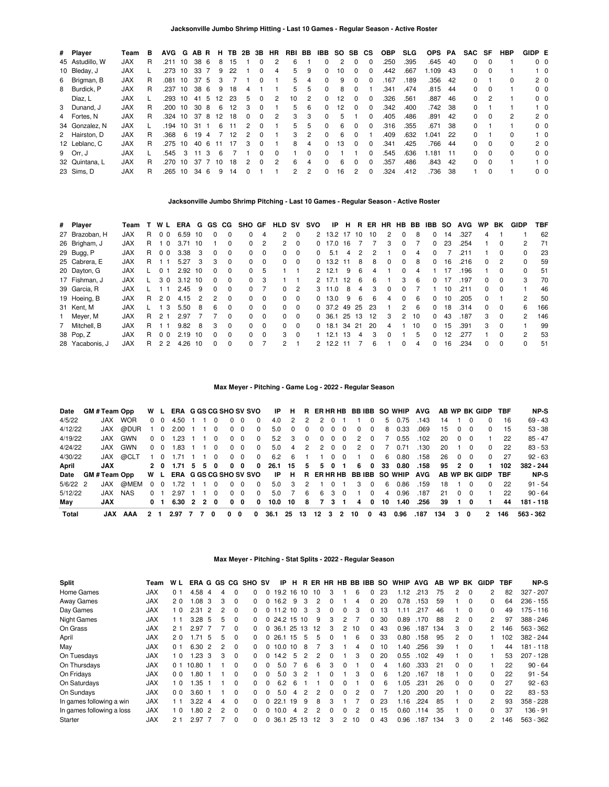| # Player        | Team       | в  | <b>AVG</b> | G  | AB R |     | н.                | TB. | 2B           | 3B       | <b>HR</b> | RBI BB |   | IBB      | SO. | SB CS        |              | <b>OBP</b> | <b>SLG</b> | <b>OPS</b> | PA   | SAC | SF       | HBP          | GIDP E |                |
|-----------------|------------|----|------------|----|------|-----|-------------------|-----|--------------|----------|-----------|--------|---|----------|-----|--------------|--------------|------------|------------|------------|------|-----|----------|--------------|--------|----------------|
| 45 Astudillo, W | <b>JAX</b> | R  | .211       | 10 | 38 6 |     | 8                 | 15  |              |          |           | 6      |   |          | 2   |              | $\Omega$     | 250        | .395       | .645       | -40  | 0   | $\Omega$ |              |        | 0 <sub>0</sub> |
| 10 Bleday, J    | <b>JAX</b> |    | .273       | 10 | 33   |     | 9                 | 22  |              | 0        | 4         | 5.     | 9 | $\Omega$ | 10  | <sup>0</sup> | 0            | .442       | .667       | 1.109      | -43  | 0   | - 0      |              |        | $1\quad 0$     |
| 6 Brigman, B    | <b>JAX</b> | R. | .081       | 10 | 37   | 5   | 3                 |     |              | 0        |           | 5.     | 4 | $\Omega$ | 9   | $\Omega$     | 0            | .167       | .189       | .356       | 42   | 0   |          | 0            |        | $2\quad0$      |
| 8 Burdick, P    | <b>JAX</b> | R. | .237       | 10 | 38   | - 6 | 9                 | 18  | 4            |          |           | 5.     | 5 | $\Omega$ | 8   | <sup>0</sup> |              | .341       | .474       | .815       | -44  | 0   | $\Omega$ |              |        | 0 <sub>0</sub> |
| Díaz, L         | <b>JAX</b> |    | .293 10    |    | 41   | -5  | $12 \overline{ }$ | -23 | 5            | 0        | 2         | 10     | 2 |          | 12  |              | 0            | .326       | .561       | .887       | 46   | 0   |          |              |        | 0 <sub>0</sub> |
| 3 Dunand, J     | <b>JAX</b> | R  | .200       | 10 | 30   | -8  | 6                 | 12  | 3            |          |           | 5.     | 6 |          | 12  | $\Omega$     | $\Omega$     | .342       | .400       | .742       | 38   | 0   |          |              |        | $1\quad 0$     |
| 4 Fortes, N     | <b>JAX</b> | R  | .324 10    |    | 378  |     | 12                | 18  | <sup>0</sup> | 0        | 2         | 3      | 3 | $\Omega$ | 5   |              | <sup>0</sup> | .405       | .486       | .891       | 42   | 0   | 0        | 2            |        | 2 <sub>0</sub> |
| 34 Gonzalez, N  | <b>JAX</b> |    | .194       | 10 | 31   |     | 6                 | 11  | 2            | 0        |           | 5.     | 5 |          | 6   | <sup>0</sup> | <sup>0</sup> | .316       | .355       | .671       | -38  | 0   |          |              |        | 0 <sub>0</sub> |
| 2 Hairston, D   | <b>JAX</b> | R  | .368       | 6  | 19   | -4  |                   | 12  | 2            | 0        |           | 3      | 2 | $\Omega$ | 6   | $\Omega$     |              | .409       | .632       | .041       | 22   | 0   |          | 0            |        | $1\quad 0$     |
| 12 Leblanc, C   | <b>JAX</b> | R. | .275       | 10 | 40 6 |     | 11                | 17  | 3            | $\Omega$ |           | 8      | 4 |          | 13  | $\Omega$     | 0            | .341       | .425       | .766       | -44  | 0   | $\Omega$ | <sup>0</sup> |        | 2 <sub>0</sub> |
| 9 Orr, J        | <b>JAX</b> |    | .545       | 3  | 11   | 3   | 6                 |     |              | 0        | 0         |        | 0 |          |     |              | <sup>0</sup> | 545.       | .636       | 1.181      | - 11 | 0   | $\Omega$ | 0            |        | 0 <sub>0</sub> |
| 32 Quintana, L  | <b>JAX</b> | R. | .270       | 10 | 37   |     | 10                | 18  |              | U        | 2         | 6      | 4 |          | 6   | $\Omega$     | O            | .357       | .486       | .843       | 42   | 0   | $\Omega$ |              |        | $1\quad$ 0     |
| 23 Sims, D      | <b>JAX</b> | R  | .265       | 10 | 34   | - 6 | 9                 | 14  |              |          |           | 2      | 2 |          | 16  | 2            | O            | .324       | .412       | 736        | 38   |     | $\Omega$ |              |        | 0 <sub>0</sub> |

## **Jacksonville Jumbo Shrimp Pitching - Last 10 Games - Regular Season - Active Roster**

| # Player        | Team       |    | WL             | ERA  |     |               | G GS CG      | SHO GF   |          | <b>HLD</b>     | sv       | svo      | IP         | н.  | В.  |     | ER HR        | HB BB         |    | IBB          | <b>SO</b> | <b>AVG</b> | WP.      | BK           | GIDP          | TBF |
|-----------------|------------|----|----------------|------|-----|---------------|--------------|----------|----------|----------------|----------|----------|------------|-----|-----|-----|--------------|---------------|----|--------------|-----------|------------|----------|--------------|---------------|-----|
| 27 Brazoban. H  | <b>JAX</b> | R. | 0 <sub>0</sub> | 6.59 | -10 | 0             | $\Omega$     | 0        | 4        | $\overline{2}$ | $\Omega$ |          | 2 13.2 17  |     | 10  | 10  | 2            | $\Omega$      | 8  | $\Omega$     | 14        | .327       | 4        |              |               | 62  |
| 26 Brigham, J   | <b>JAX</b> | R. | - 0            | 3.71 | 10  |               | <sup>0</sup> | $\Omega$ | 2        | 2              | $\Omega$ | 0        | 17.0       | 16  |     |     | 3            | $\Omega$      |    | 0            | 23        | .254       |          | $\Omega$     | 2             | 71  |
| 29 Bugg, P      | <b>JAX</b> | R. | 0 <sub>0</sub> | 3.38 | 3   | $\Omega$      | $\Omega$     | 0        | $\Omega$ | 0              | $\Omega$ | $\Omega$ | 5.1        | 4   | 2   | 2   |              | <sup>0</sup>  | 4  | $\Omega$     |           | .211       |          | <sup>0</sup> | <sup>0</sup>  | 23  |
| 25 Cabrera, E   | <b>JAX</b> | R. |                | 5.27 | 3   | 3             | $\Omega$     | 0        | $\Omega$ | 0              | $\Omega$ | $\Omega$ | 13.2 11    |     | 8   | 8   | <sup>0</sup> | $\Omega$      | 8  | $\Omega$     | 16        | .216       | $\Omega$ | 2            | 0             | 59  |
| 20 Dayton, G    | <b>JAX</b> |    | $\Omega$       | 2.92 | 10  | $\Omega$      | $\Omega$     | 0        | 5        |                |          |          | 2, 12.1    | 9   | 6   | 4   |              | <sup>0</sup>  | 4  |              | 17        | .196       |          | $\Omega$     | 0             | 51  |
| 17 Fishman, J   | <b>JAX</b> |    | 30             | 3.12 | 10  | $\Omega$      | $\Omega$     | 0        | 3        |                |          |          | 2 17.1     | 12  | 6   | 6   |              | 3             | 6  | $\Omega$     | 17        | .197       | $\Omega$ | $\Omega$     | 3             | 70  |
| 39 Garcia, R    | <b>JAX</b> |    |                | 2.45 | -9  | $\mathbf{0}$  | $\Omega$     | 0        |          | 0              | 2        |          | $3 \t11.0$ | 8   | 4   | 3   | $\Omega$     | <sup>0</sup>  |    |              | 10        | .211       | 0        | $\Omega$     |               | 46  |
| 19 Hoeing, B    | <b>JAX</b> | R. | 20             | 4.15 | 2   | $\mathcal{P}$ | $\Omega$     | 0        | $\Omega$ | 0              | $\Omega$ |          | 0, 13.0    | 9   | 6   | 6   | 4            | <sup>0</sup>  | 6  | $\Omega$     | 10        | .205       | 0        |              | $\mathcal{P}$ | 50  |
| 31 Kent, M      | <b>JAX</b> |    | -3             | 5.50 | 8   | 6             | $\Omega$     | $\Omega$ | $\Omega$ | 0              | $\Omega$ |          | 0 37.2     | 49  | -25 | -23 |              | $\mathcal{P}$ | 6  | $\Omega$     | 18        | .314       | $\Omega$ | $\Omega$     | 6             | 166 |
| 1 Meyer, M      | <b>JAX</b> | R. | 21             | 2.97 |     |               | $\Omega$     | 0        | $\Omega$ | $\Omega$       | $\Omega$ |          | 0 36.1 25  |     | 13  | 12  | 3            | 2             | 10 | $\Omega$     | 43        | .187       | 3        | $\Omega$     | 2             | 146 |
| 7 Mitchell, B   | <b>JAX</b> | R. |                | 9.82 | 8   | 3             | $\Omega$     | 0        | $\Omega$ | 0              | $\Omega$ |          | $0$ 18.1   | -34 | -21 | 20  | 4            |               | 10 | $\Omega$     | 15        | .391       | 3        | $\Omega$     |               | 99  |
| 38 Pop. Z       | <b>JAX</b> | R. | 0 <sub>0</sub> | 2.19 | 10  | $\Omega$      | $\Omega$     | 0        | $\Omega$ | 3              | $\Omega$ |          | 12.1       | -13 | 4   | 3   | <sup>n</sup> |               | 5  | <sup>0</sup> | 12        | .277       |          | <sup>0</sup> | $\mathcal{P}$ | 53  |
| 28 Yacabonis, J | <b>JAX</b> | R. | 22             | 4.26 | 10  | 0             | 0            | 0        |          | 2              |          |          | 12.2       |     |     | 6   |              | $\Omega$      | 4  | 0            | 16        | .234       | 0        | $\Omega$     | 0             | 51  |

## **Max Meyer - Pitching - Game Log - 2022 - Regular Season**

| Date       | <b>GM # Team Opp</b> |            |                         | W L        | <b>ERA G GS CG SHO SV SVO</b> |                |                |          |          |              |              | IP   | н          |          |              |                |                |    |            |    | R ERHRHB BBIBB SO WHIP AVG |            |     |          |                | AB WP BK GIDP TBF |     | NP-S      |
|------------|----------------------|------------|-------------------------|------------|-------------------------------|----------------|----------------|----------|----------|--------------|--------------|------|------------|----------|--------------|----------------|----------------|----|------------|----|----------------------------|------------|-----|----------|----------------|-------------------|-----|-----------|
| 4/5/22     | <b>JAX</b>           | <b>WOR</b> |                         | $0\quad 0$ | 4.50                          |                |                |          | $\Omega$ | $\Omega$     | 0            | 4.0  | 2          | 2        | $\mathbf{2}$ | $\Omega$       |                |    | $^{\circ}$ | 5  | 0.75                       | .143       | 14  |          |                |                   | 16  | $69 - 43$ |
| 4/12/22    | JAX                  | @DUR       |                         |            | 2.00                          |                |                |          | $\Omega$ | - 0          | 0            | 5.0  | $^{\circ}$ | $\Omega$ | 0            |                |                | 0  | $\Omega$   | 8  | 0.33                       | .069       | 15  | 0        | - 0            | 0                 | 15  | $53 - 38$ |
| 4/19/22    | JAX                  | GWN        |                         |            | 1.23                          |                |                |          | $\Omega$ | - 0          | 0            | 5.2  | 3          | $\Omega$ | 0            | 0              | 0              | 2  | 0          |    | 0.55                       | .102       | 20  | $\Omega$ | - 0            |                   | 22  | $85 - 47$ |
| 4/24/22    | JAX.                 | GWN        |                         | $0\quad 0$ | 1.83                          |                |                |          |          | $0\quad 0$   | 0            | 5.0  | 4          | 2        | 2            | - 0            | - 0            | 2  | $^{(1)}$   |    | 0.71                       | .130       | 20  |          | $\Omega$       | $\Omega$          | 22  | $83 - 53$ |
| 4/30/22    | JAX                  | @CLT       |                         | 10         | 1.71                          |                |                | $\Omega$ |          | $0\quad 0$   | $\Omega$     | 6.2  | -6         |          |              | - 0            | - 0            |    | $\Omega$   | 6  | 0.80                       | .158       | 26  | $\Omega$ | $\overline{0}$ | $\Omega$          | 27  | $92 - 63$ |
| April      | <b>JAX</b>           |            |                         |            | 2 0 1.71 5 5 0                |                |                |          | 0        | - 0          | 0            | 26.1 | -15        | 5        |              | 50             | - 1            | 6. | 0          | 33 | 0.80                       | .158       | 95  |          | 20             |                   | 102 | 382 - 244 |
| Date       | <b>GM # Team Opp</b> |            |                         |            | W L ERA G GS CG SHO SV SVO    |                |                |          |          |              |              | IP.  | -H         |          |              |                |                |    |            |    | R ERHRHB BBIBB SO WHIP     | <b>AVG</b> |     |          |                | AB WP BK GIDP     | TBF | NP-S      |
| $5/6/22$ 2 | JAX                  | @MEM       |                         | $0\quad 0$ | 1.72                          |                |                | $\Omega$ | $\Omega$ | - 0          | $\Omega$     | 5.0  | 3          | 2        |              | $\overline{0}$ |                | 3  | $\Omega$   | 6  | 0.86                       | .159       | 18  |          | $\Omega$       | $\Omega$          | 22  | $91 - 54$ |
| 5/12/22    | <b>XAL.</b>          | NAS        |                         |            | 2.97                          |                |                |          | $\Omega$ | $\Omega$     | <sup>0</sup> | 5.0  |            | 6        | 6            | 3              | $\Omega$       |    | $\Omega$   | 4  | 0.96                       | .187       | 21  | $\Omega$ | $\Omega$       |                   | 22  | $90 - 64$ |
| Mav        | <b>JAX</b>           |            |                         | 0 1        | 6.30                          | $\overline{2}$ | $\overline{2}$ | 0        | $\Omega$ | <sup>0</sup> | 0            | 10.0 | 10         | 8        | 7            | 3              |                | 4  | 0          | 10 | 1.40                       | .256       | 39  |          | 0              |                   | 44  | 181 - 118 |
| Total      | JAX                  | AAA        | $\overline{\mathbf{2}}$ |            | 2.97                          |                |                | O        | 0        | 0            | 0            | 36.1 | 25         | 13       | 12           | 3              | $\overline{2}$ | 10 | 0          | 43 | 0.96                       | .187       | 134 | 3        | 0              | 2                 | 146 | 563 - 362 |

#### **Max Meyer - Pitching - Stat Splits - 2022 - Regular Season**

| <b>Split</b>              | Team       | W L            |                   |    |               |          | ERA G GS CG SHO SV |          | IP         | H  |   | R ER |              |              |                | HR HB BB IBB SO |    | <b>WHIP</b> | <b>AVG</b> | AB. | <b>WP</b> | BK       | <b>GIDP</b>    | TBF | NP-S        |
|---------------------------|------------|----------------|-------------------|----|---------------|----------|--------------------|----------|------------|----|---|------|--------------|--------------|----------------|-----------------|----|-------------|------------|-----|-----------|----------|----------------|-----|-------------|
| Home Games                | <b>JAX</b> | 0 <sub>1</sub> | 4.58              | 4  | 4             | $\Omega$ | 0                  | 0        | 19.2 16 10 |    |   | 10   | 3            |              | 6              | 0               | 23 | 1.12        | .213       | 75  | 2         | $\Omega$ | $\overline{2}$ | 82  | $327 - 207$ |
| <b>Away Games</b>         | <b>JAX</b> | 20             | 0.08              | -3 | 3             | $\Omega$ |                    |          | 16.2       | 9  | 3 |      | O            |              | 4              |                 | 20 | 0.78        | .153       | 59  |           | 0        | 0              | 64  | $236 - 155$ |
| Day Games                 | <b>JAX</b> | 10             | 2.31              | 2  | 2             | 0        |                    | 0        | 11.210     |    | 3 | 3    | 0            | 0            | 3              | 0               | 13 | 1.11        | .217       | 46  |           | $\Omega$ | 0              | 49  | $175 - 116$ |
| <b>Night Games</b>        | <b>JAX</b> | 11             | 3.28 <sub>5</sub> |    | 5             | $\Omega$ |                    | $\Omega$ | 24.2 15 10 |    |   | 9    | 3            | 2            |                | 0               | 30 | 0.89        | .170       | 88  | 2         | $\Omega$ | 2              | 97  | 388 - 246   |
| On Grass                  | <b>JAX</b> | 2 <sub>1</sub> | 2.97              |    |               | $\Omega$ |                    |          | 36.1 25 13 |    |   | 12   | 3            | 2            | 10             | 0               | 43 | 0.96        | .187       | 134 | 3         | $\Omega$ | 2              | 146 | 563 - 362   |
| April                     | <b>JAX</b> | 20             | 1.71              | -5 | 5             | $\Omega$ | 0                  | $\Omega$ | 26.1 15    |    | 5 | 5    |              |              | 6              | 0               | 33 | 0.80        | .158       | 95  | 2         | $\Omega$ |                | 102 | 382 - 244   |
| May                       | <b>JAX</b> | 0 <sub>1</sub> | 6.30 2            |    | 2             | $\Omega$ | <sup>o</sup>       | $\Omega$ | 10.0 10    |    | 8 |      | 3            |              | 4              | 0               | 10 | 1.40        | .256       | 39  |           | $\Omega$ |                | 44  | $181 - 118$ |
| On Tuesdays               | <b>JAX</b> | $\Omega$       | .23               | -3 | 3             | $\Omega$ |                    |          | 14.2       | 5  | 2 |      | <sup>0</sup> |              | 3              | 0               | 20 | 0.55        | .102       | 49  |           | 0        |                | 53  | $207 - 128$ |
| On Thursdays              | <b>JAX</b> | 0 <sub>1</sub> | 10.80             |    |               | $\Omega$ | <sup>o</sup>       |          | 5.0        |    | 6 | 6    | 3            | <sup>0</sup> |                | 0               | 4  | 1.60        | .333       | 21  | 0         | $\Omega$ |                | 22  | $90 - 64$   |
| On Fridays                | <b>JAX</b> | 0 <sub>0</sub> | 1.80              | ÷  |               | $\Omega$ | <sup>o</sup>       | $\Omega$ | 5.0        | 3  | 2 |      | <sup>0</sup> |              | 3              | 0               | 6  | 1.20        | .167       | 18  |           | $\Omega$ | 0              | 22  | $91 - 54$   |
| On Saturdays              | <b>JAX</b> | 0              | .35               |    |               | 0        | 0                  |          | 6.2        | 6  |   |      | 0            | ŋ            |                | 0               | 6  | l.05        | .231       | 26  | $\Omega$  | $\Omega$ | 0              | 27  | $92 - 63$   |
| On Sundays                | <b>JAX</b> | 0 <sub>0</sub> | 3.60              |    |               | $\Omega$ | 0                  |          | 5.0        | 4  | 2 | 2    | 0            | <sup>0</sup> | $\overline{2}$ | $\Omega$        |    | 1.20        | .200       | 20  |           | 0        | 0              | 22  | $83 - 53$   |
| In games following a win  | <b>JAX</b> | - 1            | 3.22              | 4  | 4             | $\Omega$ |                    |          | 22.1       | 19 | 9 | 8    | 3            |              |                | 0               | 23 | 1.16        | .224       | 85  |           | $\Omega$ | 2              | 93  | $358 - 228$ |
| In games following a loss | <b>JAX</b> | 1 <sub>0</sub> | -80               | 2  | $\mathcal{P}$ | 0        |                    |          | 10.0       | 4  | 2 | 2    | O            | <sup>0</sup> | 2              |                 | 15 | 0.60        | .114       | 35  |           | 0        | 0              | 37  | $136 - 91$  |
| Starter                   | <b>JAX</b> | 21             | 2.97 7            |    |               | 0        |                    | $\Omega$ | 36.1 25 13 |    |   | 12   | 3            | 2            | 10             | 0               | 43 | 0.96        | .187 134   |     | 3         | $\Omega$ | 2              | 146 | 563 - 362   |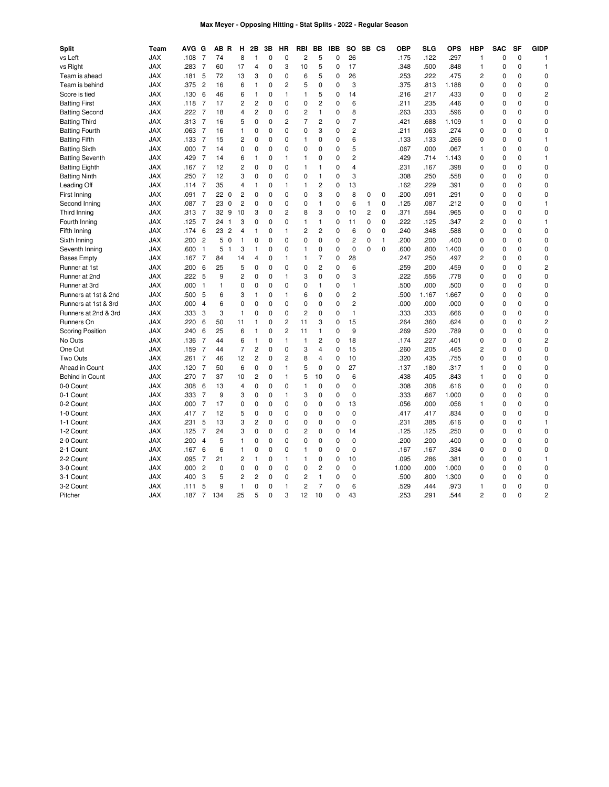## **Max Meyer - Opposing Hitting - Stat Splits - 2022 - Regular Season**

| <b>Split</b>            | Team       | <b>AVG</b> | G              | ΑВ  | R<br>н                           | 2Β             | 3B          | HR             | <b>RBI</b>     | BB             | IBB         | SO.            | SB CS          |             | <b>OBP</b> | SLG   | OPS   | <b>HBP</b>     | <b>SAC</b>  | SF          | <b>GIDP</b>    |
|-------------------------|------------|------------|----------------|-----|----------------------------------|----------------|-------------|----------------|----------------|----------------|-------------|----------------|----------------|-------------|------------|-------|-------|----------------|-------------|-------------|----------------|
| vs Left                 | <b>JAX</b> | .108       | $\overline{7}$ | 74  | 8                                | $\mathbf{1}$   | 0           | $\mathbf 0$    | $\overline{c}$ | 5              | 0           | 26             |                |             | .175       | .122  | .297  | $\mathbf{1}$   | $\mathbf 0$ | $\mathbf 0$ | 1              |
| vs Right                | <b>JAX</b> | .283       | $\overline{7}$ | 60  | 17                               | 4              | 0           | 3              | 10             | 5              | 0           | 17             |                |             | .348       | .500  | .848  | $\mathbf{1}$   | $\mathbf 0$ | 0           | 1              |
| Team is ahead           | <b>JAX</b> | .181       | 5              | 72  | 13                               | 3              | 0           | $\mathbf 0$    | 6              | 5              | 0           | 26             |                |             | .253       | 222   | .475  | 2              | $\mathbf 0$ | $\Omega$    | $\mathbf 0$    |
| Team is behind          | <b>JAX</b> | .375       | $\overline{c}$ | 16  | 6                                | $\mathbf{1}$   | 0           | $\overline{c}$ | 5              | $\mathbf 0$    | 0           | 3              |                |             | .375       | .813  | 1.188 | 0              | 0           | 0           | 0              |
| Score is tied           | <b>JAX</b> | .130       | 6              | 46  | 6                                | $\mathbf{1}$   | 0           | $\mathbf{1}$   | 1              | 5              | 0           | 14             |                |             | .216       | 217   | .433  | 0              | 0           | 0           | 2              |
| <b>Batting First</b>    | <b>JAX</b> | .118       | $\overline{7}$ | 17  | $\overline{c}$                   | $\overline{c}$ | 0           | $\mathbf 0$    | 0              | $\overline{c}$ | 0           | 6              |                |             | .211       | .235  | .446  | 0              | $\mathbf 0$ | 0           | 0              |
| <b>Batting Second</b>   | <b>JAX</b> | .222       | 7              | 18  | 4                                | 2              | 0           | $\mathbf 0$    | $\overline{c}$ | 1              | 0           | 8              |                |             | .263       | .333  | .596  | 0              | $\mathbf 0$ | 0           | 0              |
| <b>Batting Third</b>    | <b>JAX</b> | .313       | 7              | 16  | 5                                | $\mathbf 0$    | 0           | $\overline{c}$ | $\overline{7}$ | $\overline{c}$ | 0           | $\overline{7}$ |                |             | .421       | .688  | 1.109 | 1              | $\mathbf 0$ | 0           | 0              |
| <b>Batting Fourth</b>   | <b>JAX</b> | .063       | 7              | 16  | 1                                | 0              | 0           | $\mathbf 0$    | $\mathbf 0$    | 3              | 0           | $\overline{c}$ |                |             | .211       | .063  | .274  | 0              | $\mathbf 0$ | 0           | 0              |
| <b>Batting Fifth</b>    | <b>JAX</b> | .133       | 7              | 15  | 2                                | 0              | 0           | 0              | 1              | 0              | 0           | 6              |                |             | .133       | .133  | .266  | 0              | $\mathbf 0$ | $\Omega$    | 1              |
| <b>Batting Sixth</b>    | <b>JAX</b> | .000       | 7              | 14  | 0                                | 0              | 0           | $\mathbf 0$    | 0              | $\mathbf 0$    | 0           | 5              |                |             | .067       | .000  | .067  | 1              | $\mathbf 0$ | 0           | 0              |
| <b>Batting Seventh</b>  | <b>JAX</b> | .429       | $\overline{7}$ | 14  | 6                                | $\mathbf{1}$   | 0           | $\mathbf{1}$   | 1              | 0              | 0           | $\overline{c}$ |                |             | .429       | .714  | 1.143 | 0              | $\mathbf 0$ | 0           | 1              |
| <b>Batting Eighth</b>   | <b>JAX</b> | .167       | 7              | 12  | 2                                | 0              | 0           | $\mathbf 0$    | 1              | 1              | 0           | $\overline{4}$ |                |             | .231       | .167  | .398  | 0              | $\mathbf 0$ | 0           | 0              |
| <b>Batting Ninth</b>    | <b>JAX</b> | .250       | $\overline{7}$ | 12  | 3                                | $\mathbf 0$    | 0           | $\mathbf 0$    | $\mathbf 0$    | 1              | 0           | 3              |                |             | .308       | .250  | .558  | 0              | $\mathbf 0$ | 0           | 0              |
| Leading Off             | <b>JAX</b> | .114       | 7              | 35  | 4                                | 1              | 0           | $\mathbf{1}$   | $\mathbf{1}$   | $\overline{c}$ | 0           | 13             |                |             | .162       | .229  | .391  | 0              | 0           | 0           | 0              |
| First Inning            | <b>JAX</b> | .091       | $\overline{7}$ | 22  | $\overline{c}$<br>$\overline{0}$ | 0              | 0           | $\mathbf 0$    | 0              | 3              | 0           | 8              | 0              | $\mathbf 0$ | .200       | .091  | .291  | 0              | $\mathbf 0$ | 0           | 0              |
| Second Inning           | <b>JAX</b> | .087       | $\overline{7}$ | 23  | $\overline{c}$<br>$\mathbf 0$    | $\mathbf 0$    | 0           | $\mathbf 0$    | $\mathbf 0$    | 1              | 0           | 6              | $\mathbf{1}$   | $\pmb{0}$   | .125       | .087  | .212  | 0              | $\mathbf 0$ | 0           | 1              |
| Third Inning            | <b>JAX</b> | .313       | $\overline{7}$ | 32  | 9<br>10                          | 3              | 0           | $\overline{2}$ | 8              | 3              | 0           | 10             | $\overline{c}$ | $\mathbf 0$ | 371        | 594   | .965  | 0              | $\mathbf 0$ | 0           | 0              |
| Fourth Inning           | <b>JAX</b> | .125       | 7              | 24  | 3<br>$\overline{1}$              | $\mathbf 0$    | 0           | $\pmb{0}$      | $\mathbf{1}$   | 1              | 0           | 11             | 0              | $\pmb{0}$   | .222       | .125  | .347  | $\overline{c}$ | $\mathbf 0$ | 0           | 1              |
| Fifth Inning            | <b>JAX</b> | .174       | 6              | 23  | $\overline{2}$<br>$\overline{4}$ | $\mathbf{1}$   | 0           | $\mathbf{1}$   | $\overline{c}$ | 2              | 0           | 6              | $\mathbf 0$    | $\mathbf 0$ | .240       | 348   | .588  | $\mathbf 0$    | $\mathbf 0$ | 0           | 0              |
| Sixth Inning            | <b>JAX</b> | .200       | $\overline{c}$ | 5   | $\mathbf 0$<br>1                 | $\mathbf 0$    | 0           | $\mathbf 0$    | 0              | $\mathbf 0$    | 0           | $\overline{c}$ | 0              | 1           | .200       | .200  | .400  | 0              | $\mathbf 0$ | 0           | 0              |
| Seventh Inning          | <b>JAX</b> | .600       | $\mathbf{1}$   | 5   | 3<br>1                           | $\mathbf{1}$   | 0           | $\mathbf 0$    | 1              | 0              | 0           | $\mathbf 0$    | $\mathbf{0}$   | $\mathbf 0$ | .600       | .800  | 1.400 | 0              | $\mathbf 0$ | 0           | 0              |
| <b>Bases Empty</b>      | <b>JAX</b> | .167       | 7              | 84  | 14                               | 4              | 0           | $\mathbf{1}$   | 1              | 7              | 0           | 28             |                |             | .247       | .250  | .497  | 2              | $\mathbf 0$ | $\Omega$    | 0              |
| Runner at 1st           | <b>JAX</b> | .200       | 6              | 25  | 5                                | 0              | 0           | $\mathbf 0$    | 0              | 2              | 0           | 6              |                |             | .259       | .200  | .459  | 0              | $\mathbf 0$ | 0           | 2              |
| Runner at 2nd           | <b>JAX</b> | .222       | 5              | 9   | $\overline{c}$                   | 0              | 0           | $\overline{1}$ | 3              | $\mathbf 0$    | 0           | 3              |                |             | .222       | .556  | .778  | 0              | $\mathbf 0$ | $\Omega$    | 0              |
| Runner at 3rd           | <b>JAX</b> | .000       | $\mathbf{1}$   | 1   | 0                                | 0              | 0           | $\mathbf 0$    | 0              | 1              | 0           | 1              |                |             | .500       | .000  | .500  | 0              | $\mathbf 0$ | 0           | 0              |
| Runners at 1st & 2nd    | <b>JAX</b> | .500       | 5              | 6   | 3                                | $\mathbf{1}$   | $\mathbf 0$ | $\overline{1}$ | 6              | $\mathbf 0$    | 0           | $\overline{c}$ |                |             | .500       | 1.167 | 1.667 | 0              | $\mathbf 0$ | $\Omega$    | 0              |
| Runners at 1st & 3rd    | <b>JAX</b> | .000       | 4              | 6   | 0                                | 0              | 0           | $\mathbf 0$    | 0              | 0              | 0           | $\overline{c}$ |                |             | .000       | .000  | .000  | 0              | $\mathbf 0$ | 0           | 0              |
| Runners at 2nd & 3rd    | <b>JAX</b> | .333       | 3              | 3   | 1                                | 0              | 0           | $\mathbf 0$    | $\overline{c}$ | $\mathbf 0$    | 0           | $\mathbf{1}$   |                |             | .333       | .333  | .666  | 0              | $\mathbf 0$ | 0           | 0              |
| Runners On              | <b>JAX</b> | .220       | 6              | 50  | 11                               | $\mathbf{1}$   | 0           | $\overline{c}$ | 11             | 3              | 0           | 15             |                |             | .264       | .360  | .624  | 0              | $\mathbf 0$ | 0           | 2              |
| <b>Scoring Position</b> | <b>JAX</b> | .240       | 6              | 25  | 6                                | $\mathbf{1}$   | 0           | $\overline{c}$ | 11             | 1              | 0           | 9              |                |             | .269       | 520   | .789  | 0              | $\mathbf 0$ | 0           | 0              |
| No Outs                 | <b>JAX</b> | .136       | $\overline{7}$ | 44  | 6                                | $\mathbf{1}$   | 0           | $\mathbf{1}$   | $\mathbf{1}$   | $\overline{c}$ | 0           | 18             |                |             | .174       | .227  | .401  | 0              | $\mathbf 0$ | 0           | 2              |
| One Out                 | <b>JAX</b> | .159       | 7              | 44  | $\overline{7}$                   | $\overline{c}$ | 0           | $\mathbf 0$    | 3              | 4              | 0           | 15             |                |             | .260       | .205  | .465  | 2              | $\mathbf 0$ | 0           | 0              |
| Two Outs                | <b>JAX</b> | .261       | 7              | 46  | 12                               | $\overline{c}$ | 0           | $\overline{c}$ | 8              | 4              | 0           | 10             |                |             | .320       | .435  | .755  | $\mathbf 0$    | $\mathbf 0$ | 0           | 0              |
| Ahead in Count          | <b>JAX</b> | .120       | 7              | 50  | 6                                | 0              | $\mathbf 0$ | $\mathbf{1}$   | 5              | $\mathbf 0$    | 0           | 27             |                |             | .137       | .180  | .317  | 1              | $\mathbf 0$ | 0           | 0              |
| Behind in Count         | <b>JAX</b> | .270       | 7              | 37  | 10                               | $\overline{c}$ | $\Omega$    | $\mathbf{1}$   | 5              | 10             | 0           | 6              |                |             | .438       | .405  | .843  | $\mathbf{1}$   | $\mathbf 0$ | $\Omega$    | $\mathbf 0$    |
| 0-0 Count               | <b>JAX</b> | .308       | 6              | 13  | 4                                | 0              | 0           | $\mathbf 0$    | 1              | $\mathbf 0$    | 0           | $\mathbf 0$    |                |             | .308       | .308  | .616  | 0              | $\mathbf 0$ | 0           | 0              |
| 0-1 Count               | <b>JAX</b> | .333       | $\overline{7}$ | 9   | 3                                | $\mathbf 0$    | 0           | $\mathbf{1}$   | 3              | $\Omega$       | 0           | $\mathbf 0$    |                |             | .333       | .667  | 1.000 | $\Omega$       | $\mathbf 0$ | 0           | $\mathbf 0$    |
| 0-2 Count               | <b>JAX</b> | .000       | 7              | 17  | 0                                | 0              | 0           | $\mathbf 0$    | 0              | $\mathbf 0$    | 0           | 13             |                |             | .056       | .000  | .056  | 1              | 0           | 0           | 0              |
| 1-0 Count               | <b>JAX</b> | .417       | 7              | 12  | 5                                | 0              | 0           | $\mathbf 0$    | 0              | $\mathbf 0$    | 0           | $\mathbf 0$    |                |             | .417       | .417  | .834  | 0              | $\mathbf 0$ | 0           | 0              |
| 1-1 Count               | <b>JAX</b> | .231       | 5              | 13  | 3                                | $\overline{c}$ | 0           | $\mathbf 0$    | $\mathbf 0$    | $\mathbf 0$    | $\mathbf 0$ | $\mathbf 0$    |                |             | .231       | .385  | .616  | 0              | $\mathbf 0$ | 0           | 1              |
| 1-2 Count               | <b>JAX</b> | .125       | 7              | 24  | 3                                | $\mathbf 0$    | 0           | $\mathbf 0$    | $\overline{c}$ | $\mathbf 0$    | 0           | 14             |                |             | .125       | .125  | .250  | 0              | $\mathbf 0$ | 0           | 0              |
| 2-0 Count               | <b>JAX</b> | .200       | $\overline{4}$ | 5   | 1                                | 0              | 0           | $\mathbf 0$    | 0              | $\mathbf 0$    | 0           | $\pmb{0}$      |                |             | .200       | .200  | .400  | 0              | $\mathbf 0$ | 0           | $\mathbf 0$    |
| 2-1 Count               | <b>JAX</b> | .167       | 6              | 6   | 1                                | 0              | 0           | $\mathbf 0$    | 1              | $\mathbf 0$    | 0           | $\mathbf 0$    |                |             | .167       | .167  | .334  | 0              | $\mathbf 0$ | 0           | 0              |
| 2-2 Count               | <b>JAX</b> | .095       | $\overline{7}$ | 21  | 2                                | 1              | 0           | $\mathbf{1}$   | $\mathbf{1}$   | 0              | 0           | 10             |                |             | .095       | .286  | .381  | 0              | $\mathbf 0$ | 0           | 1              |
| 3-0 Count               | <b>JAX</b> | .000       | $\overline{2}$ | 0   | 0                                | 0              | 0           | $\mathbf 0$    | 0              | 2              | 0           | $\mathbf 0$    |                |             | 1.000      | .000  | 1.000 | 0              | $\mathbf 0$ | 0           | 0              |
| 3-1 Count               | <b>JAX</b> | .400       | 3              | 5   | $\overline{c}$                   | $\overline{c}$ | 0           | $\mathbf 0$    | $\overline{c}$ | 1              | 0           | 0              |                |             | .500       | .800  | 1.300 | 0              | $\mathbf 0$ | 0           | 0              |
| 3-2 Count               | <b>JAX</b> | .111       | 5              | 9   | 1                                | $\mathbf 0$    | $\mathbf 0$ | $\mathbf{1}$   | $\overline{c}$ | 7              | 0           | 6              |                |             | .529       | .444  | .973  | $\mathbf{1}$   | $\mathbf 0$ | 0           | 0              |
| Pitcher                 | <b>JAX</b> | .187       | $\overline{7}$ | 134 | 25                               | 5              | $\Omega$    | 3              | 12             | 10             | 0           | 43             |                |             | 253        | 291   | 544   | $\overline{c}$ | $\Omega$    | $\Omega$    | $\overline{2}$ |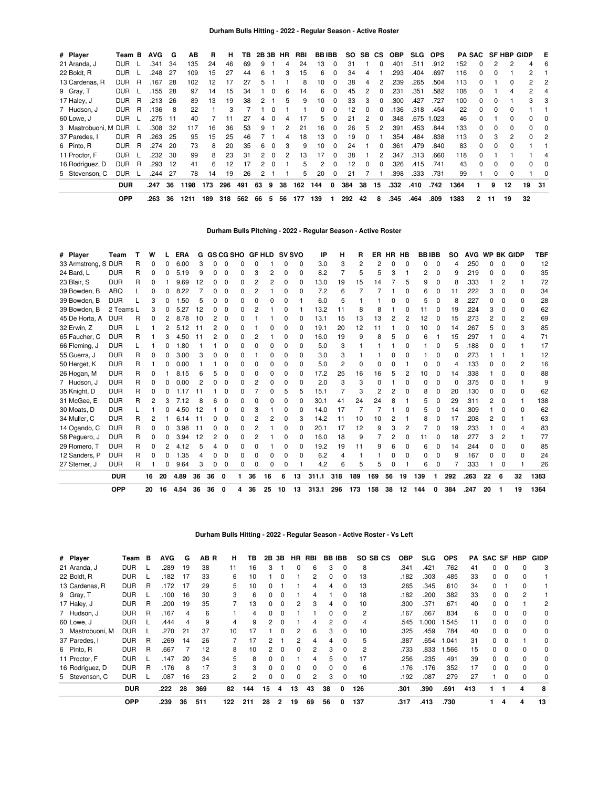| # Player         | Team B     |   | <b>AVG</b> | G  | AВ   | R   | н   | ΤВ  |    |          | 2B 3B HR | RBI | <b>BBIBB</b> |              | SO. | SB. | CS.          | <b>OBP</b> | <b>SLG</b> | <b>OPS</b> |      |              |              | <b>PA SAC SF HBP GIDP</b> |    | E   |
|------------------|------------|---|------------|----|------|-----|-----|-----|----|----------|----------|-----|--------------|--------------|-----|-----|--------------|------------|------------|------------|------|--------------|--------------|---------------------------|----|-----|
| 21 Aranda, J     | <b>DUR</b> |   | .341       | 34 | 135  | 24  | 46  | 69  | 9  |          |          | 24  | 13           | $\Omega$     | 31  |     |              | .401       | .511       | .912       | 152  |              |              |                           | 4  | 6   |
| 22 Boldt, R      | <b>DUR</b> |   | .248       | 27 | 109  | 15  | 27  | 44  | 6  |          | 3        | 15  | 6            | 0            | 34  | 4   |              | .293       | .404       | .697       | 116  |              |              |                           | 2  |     |
| 13 Cardenas, R   | <b>DUR</b> | R | .167       | 28 | 102  | 12  | 17  | 27  | 5  |          |          | 8   | 10           | 0            | 38  | 4   | 2            | .239       | .265       | .504       | 113  |              |              | 0                         | 2  | 2   |
| 9 Gray, T        | <b>DUR</b> |   | .155       | 28 | 97   | 14  | 15  | 34  |    | 0        | 6        | 14  | 6            | 0            | 45  | 2   | 0            | .231       | .351       | .582       | 108  | 0            |              | 4                         | 2  | 4   |
| 17 Haley, J      | <b>DUR</b> | R | .213       | 26 | 89   | 13  | 19  | 38  | 2  |          | 5        | 9   | 10           | 0            | 33  | 3   | $\Omega$     | .300       | .427       | .727       | 100  | <sup>0</sup> | $\Omega$     |                           | 3  | 3   |
| 7 Hudson, J      | <b>DUR</b> | R | .136       | 8  | 22   |     | 3   |     |    |          |          |     | 0            | 0            | 12  | 0   |              | .136       | .318       | .454       | 22   |              | O            | 0                         |    |     |
| 60 Lowe, J       | <b>DUR</b> |   | .275       | 11 | 40   |     | 11  | 27  | 4  |          |          |     | 5            | <sup>0</sup> | 21  |     | <sup>0</sup> | .348       | .675       | 1.023      | 46   |              |              | 0                         | n. | 0   |
| 3 Mastrobuoni, M | <b>DUR</b> |   | .308       | 32 | 117  | 16  | 36  | 53  | 9  |          |          | 21  | 16           | 0            | 26  | 5   | 2            | .391       | .453       | .844       | 133  | 0            | $\Omega$     | 0                         | 0  | 0   |
| 37 Paredes, I    | <b>DUR</b> | R | .263       | 25 | 95   | 15  | 25  | 46  |    |          | 4        | 18  | 13           | $\Omega$     | 19  | 0   |              | .354       | .484       | .838       | 113  | 0            | 3            | 2                         | 0  | 2   |
| 6 Pinto, R       | <b>DUR</b> | R | .274       | 20 | 73   | 8   | 20  | 35  | 6  | $\Omega$ | 3        | 9   | 10           | $\Omega$     | 24  |     | <sup>0</sup> | .361       | .479       | .840       | 83   | $\Omega$     | <sup>0</sup> | 0                         |    |     |
| 11 Proctor, F    | <b>DUR</b> |   | .232       | 30 | 99   | 8   | 23  | 31  | 2  | $\Omega$ |          | 13  | 17           | 0            | 38  |     | 2            | .347       | .313       | .660       | 118  |              |              |                           |    |     |
| 16 Rodríguez, D  | <b>DUR</b> | R | .293       | 12 | 41   | 6   | 12  | 17  |    | $\Omega$ |          | 5   | 2            | 0            | 12  | 0   | <sup>0</sup> | .326       | .415       | .741       | 43   |              | <sup>0</sup> | 0                         | 0  | 0   |
| 5 Stevenson, C   | <b>DUR</b> |   | .244       | 27 | 78   | 14  | 19  | 26  | 2  |          |          | 5   | 20           | 0            | 21  |     |              | .398       | .333       | .731       | 99   |              | 0            | 0                         |    | 0   |
|                  | <b>DUR</b> |   | .247       | 36 | 1198 | 173 | 296 | 491 | 63 | 9        | 38       | 162 | 144          | 0            | 384 | 38  | 15           | .332       | .410       | .742       | 1364 |              | 9            | 12                        | 19 | -31 |
|                  | <b>OPP</b> |   | .263       | 36 | 1211 | 189 | 318 | 562 | 66 | 5        | 56       | 177 | 139          |              | 292 | 42  | 8            | .345       | .464       | .809       | 1383 | 2            | 11           | 19                        | 32 |     |

**Durham Bulls Pitching - 2022 - Regular Season - Active Roster**

| # Player            | Team       |   | w  |    | <b>ERA</b> | G  |    | <b>GS CG SHO</b> |   | <b>GF HLD</b> |    |    | <b>SV SVO</b> | IP    | н              | R   | ER  |    | HR HB        | <b>BBIBB</b> |              | <b>SO</b> | <b>AVG</b> | WP BK GIDP |              |              | <b>TBF</b> |
|---------------------|------------|---|----|----|------------|----|----|------------------|---|---------------|----|----|---------------|-------|----------------|-----|-----|----|--------------|--------------|--------------|-----------|------------|------------|--------------|--------------|------------|
| 33 Armstrong, S DUR |            | R | 0  | ი  | 6.00       | З  |    | n                |   | n             |    |    | O             | 3.0   | З              | 2   | 2   | ი  | $\Omega$     |              | $\Omega$     | 4         | 250        |            | n            | O            | 12         |
| 24 Bard, L          | <b>DUR</b> | R | 0  | n  | 5.19       | 9  |    | 0                |   | 3             | 2  | 0  | 0             | 8.2   |                | 5   | 5   | 3  |              |              | 0            | 9         | 219        | ი          | 0            | 0            | 35         |
| 23 Blair, S         | <b>DUR</b> | R | 0  |    | 9.69       | 12 |    | O                |   | 2             |    | n  | $\Omega$      | 13.0  | 19             | 15  | 14  |    | 5            |              | 0            | 8         | .333       |            | 2            |              | 72         |
| 39 Bowden, B        | <b>ABQ</b> |   | ŋ  |    | .22<br>8   |    |    | በ                |   | 2             |    | 0  | O             | 7.2   | 6              |     |     |    | ŋ            |              |              | 11        | 222        |            |              | <sup>0</sup> | 34         |
| 39 Bowden, B        | <b>DUR</b> |   | 3  | n  | .50        | 5  |    | n                |   | n             |    | 0  |               | 6.0   | 5              |     |     | n  | n            |              |              | 8         | 227        |            |              | <sup>0</sup> | 28         |
| 39 Bowden, B        | 2 Teams L  |   | 3  | n  | .27<br>5   | 12 |    |                  |   | 2             |    | 0  |               | 13.2  | 11             | 8   | 8   |    | n            | 11           |              | 19        | .224       | 3          |              | <sup>0</sup> | 62         |
| 45 De Horta, A      | <b>DUR</b> | R | 0  |    | 8.78       | 10 |    | O                |   |               |    | 0  | <sup>0</sup>  | 13.1  | 15             | 13  | 13  | 2  | 2            | 12           | $\Omega$     | 15        | 273        | 2          |              | 2            | 69         |
| 32 Erwin, Z         | <b>DUR</b> |   |    |    | .12<br>5.  | 11 |    | O                |   |               |    | n  | <sup>0</sup>  | 19.1  | 20             | 12  | 11  |    | ŋ            | 10           | <sup>0</sup> | 14        | 267        |            |              | 3            | 85         |
| 65 Faucher, C       | <b>DUR</b> | R |    | 3  | 4.50       |    |    | O                |   | 2             |    | ŋ  | O             | 16.0  | 19             | 9   | 8   | 5  | ŋ            | 6            |              | 15        | 297        |            |              |              | 71         |
| 66 Fleming, J       | <b>DUR</b> |   |    | ი  | 1.80       |    |    | O                |   | ი             |    | 0  | <sup>0</sup>  | 5.0   | 3              |     |     |    | ŋ            |              |              | 5         | .188       |            |              |              | 17         |
| 55 Guerra, J        | <b>DUR</b> | R | 0  | 0  | 3.00       | З  |    |                  |   |               |    | n  | O             | 3.0   | З              |     |     |    |              |              | <sup>0</sup> | ŋ         | 273        |            |              |              | 12         |
| 50 Herget, K        | <b>DUR</b> | R |    | ი  | 0.00       |    |    |                  |   | ი             |    | 0  | 0             | 5.0   | $\overline{2}$ | 0   |     |    |              |              | 0            | 4         | 133        |            |              | 2            | 16         |
| 26 Hogan, M         | <b>DUR</b> | R | 0  |    | 8.<br>.15  | 6  |    |                  |   | 0             |    | n  | 0             | 17.2  | 25             | 16  | 16  | 5  | 2            | 10           | 0            | 14        | .338       |            |              | <sup>0</sup> | 88         |
| 7 Hudson, J         | <b>DUR</b> | R | 0  |    | 0.00       |    |    |                  |   | 2             |    | n  | $\Omega$      | 2.0   | З              | 3   |     |    | ŋ            |              | 0            | 0         | 375        |            |              |              | q          |
| 35 Knight, D        | <b>DUR</b> | R | 0  | n  | 1 1 7      | 11 |    |                  |   |               |    | 5  | 5             | 15.1  |                | 3   | 2   | 2  | 0            |              |              | 20        | .130       |            |              | 0            | 62         |
| 31 McGee, E         | <b>DUR</b> | R | 2  | 3  | 7.12       | 8  |    | n                |   | n             |    | n  | n             | 30.1  | 41             | 24  | 24  | 8  |              |              |              | 29        | .311       | 2          | <sup>0</sup> |              | 138        |
| 30 Moats, D         | <b>DUR</b> |   |    |    | 4.50       | 12 |    |                  |   | 3             |    | 0  | <sup>0</sup>  | 14.0  | 17             | 7   |     |    | n            | 5            |              | 14        | .309       |            |              | O            | 62         |
| 34 Muller, C        | <b>DUR</b> | R |    |    | 6.14       | 11 |    |                  |   | 2             |    | n  | 3             | 14.2  | 11             | 10  | 10  |    |              |              |              | 17        | .208       |            |              |              | 63         |
| 14 Ogando, C        | <b>DUR</b> | R | 0  | ი  | 3.98       | 11 |    | O                |   | 2             |    | 0  | 0             | 20.1  | 17             | 12  | 9   | 3  | 2            |              |              | 19        | 233        |            |              |              | 83         |
| 58 Peguero, J       | <b>DUR</b> | R | 0  |    | 3.94       | 12 |    | O                |   | 2             |    | 0  | O             | 16.0  | 18             | 9   |     | 2  | <sup>0</sup> | 11           |              | 18        | 277        |            |              |              | 77         |
| 29 Romero, T        | <b>DUR</b> | R | 0  |    | 4.12       |    |    |                  |   | ი             |    | n  | U             | 19.2  | 19             | 11  |     | հ  | n            |              |              | 14        | 244        |            |              | <sup>0</sup> | 85         |
| 12 Sanders, P       | <b>DUR</b> | R | 0  | 0  | .35        | 4  | O  | O                |   | 0             | O  | 0  | <sup>0</sup>  | 6.2   | 4              |     |     |    | ŋ            |              | 0            | 9         | .167       |            | <sup>0</sup> | <sup>0</sup> | 24         |
| 27 Sterner, J       | <b>DUR</b> | R |    | 0  | 9.64       | 3  | በ  | 0                |   | 0             | O  | 0  |               | 4.2   | 6              | 5   | 5   |    |              | 6            | 0            |           | .333       |            | 0            |              | 26         |
|                     | <b>DUR</b> |   | 16 | 20 | 4.89       | 36 | 36 | 0                |   | 36            | 16 | 6  | 13            | 311.1 | 318            | 189 | 169 | 56 | 19           | 139          |              | 292       | .263       | 22         | 6            | 32           | 1383       |
|                     | <b>OPP</b> |   | 20 | 16 | 4.54       | 36 | 36 | 0                | 4 | 36            | 25 | 10 | 13            | 313.1 | 296            | 173 | 158 | 38 | 12           | 144          | Ω            | 384       | .247       | 20         |              | 19           | 1364       |

**Durham Bulls Hitting - 2022 - Regular Season - Active Roster - Vs Left**

| # Player         | Team       | В | <b>AVG</b> | G  | AB R | н   | ΤВ  | 2В       | 3В       | HR       | RBI | <b>BB IBB</b> |          | SO SB CS       | OBP  | <b>SLG</b> | <b>OPS</b> |     | <b>PA SAC SF HBP</b> |          |              | <b>GIDP</b>    |
|------------------|------------|---|------------|----|------|-----|-----|----------|----------|----------|-----|---------------|----------|----------------|------|------------|------------|-----|----------------------|----------|--------------|----------------|
| 21 Aranda, J     | <b>DUR</b> |   | .289       | 19 | 38   | 11  | 16  | 3        |          | 0        | 6   | 3             | $\Omega$ | 8              | .341 | .421       | .762       | 41  |                      | $\Omega$ |              | 3              |
| 22 Boldt, R      | <b>DUR</b> |   | .182       | 17 | 33   | 6   | 10  |          | 0        |          |     | 0             | 0        | 13             | .182 | .303       | .485       | 33  |                      | 0        |              |                |
| 13 Cardenas, R   | <b>DUR</b> | R | .172       | 17 | 29   | 5   | 10  |          |          |          | 4   | 4             | 0        | 13             | .265 | .345       | .610       | 34  |                      |          |              |                |
| 9 Gray, T        | <b>DUR</b> |   | .100       | 16 | 30   | 3   | 6   | $\Omega$ | $\Omega$ |          | 4   |               | 0        | 18             | .182 | .200       | .382       | 33  | $\Omega$             | $\Omega$ | 2            |                |
| 17 Haley, J      | <b>DUR</b> | R | .200       | 19 | 35   |     | 13  | $\Omega$ | 0        | 2        | 3   | 4             | 0        | 10             | .300 | .371       | .671       | 40  | $\Omega$             | $\Omega$ |              | $\overline{c}$ |
| 7 Hudson, J      | <b>DUR</b> | R | .167       | 4  | 6    |     | 4   | $\Omega$ | 0        |          |     | <sup>0</sup>  | O        | $\overline{c}$ | .167 | .667       | .834       | 6   |                      | $\Omega$ |              | $\Omega$       |
| 60 Lowe, J       | <b>DUR</b> |   | .444       | 4  | 9    | 4   | 9   | 2        | 0        |          | 4   | 2             | 0        | 4              | .545 | 000.1      | 1.545      | 11  |                      | 0        |              | 0              |
| 3 Mastrobuoni. M | <b>DUR</b> |   | .270       | 21 | 37   | 10  | 17  |          | 0        | 2        | 6   | 3             | 0        | 10             | .325 | .459       | .784       | 40  | 0                    | $\Omega$ |              | 0              |
| 37 Paredes, I    | <b>DUR</b> | R | .269       | 14 | 26   |     | 17  | 2        |          | 2        | 4   | 4             | 0        | 5              | .387 | .654       | 1.041      | 31  | $\Omega$             | $\Omega$ |              | 0              |
| 6 Pinto, R       | <b>DUR</b> | R | .667       |    | 12   | 8   | 10  | 2        | $\Omega$ | $\Omega$ | 2   | 3             | $\Omega$ | 2              | .733 | .833       | .566       | 15  | 0                    | $\Omega$ | <sup>0</sup> | $\Omega$       |
| 11 Proctor, F    | <b>DUR</b> |   | .147       | 20 | 34   | 5   | 8   | $\Omega$ | $\Omega$ |          | 4   | 5             | O        | 17             | .256 | .235       | .491       | 39  |                      | 0        |              | 0              |
| 16 Rodríguez, D  | <b>DUR</b> | R | .176       | 8  | 17   | 3   | 3   | $\Omega$ | $\Omega$ | 0        | 0   | 0             | 0        | 6              | .176 | .176       | .352       | 17  | 0                    | $\Omega$ |              | $\Omega$       |
| 5 Stevenson, C   | <b>DUR</b> |   | .087       | 16 | 23   | 2   | 2   | 0        | 0        | $\Omega$ | 2   | 3             | 0        | 10             | .192 | .087       | .279       | 27  |                      | 0        | 0            | 0              |
|                  | <b>DUR</b> |   | .222       | 28 | 369  | 82  | 144 | 15       | 4        | 13       | 43  | 38            | 0        | 126            | .301 | .390       | .691       | 413 |                      |          | 4            | 8              |
|                  | <b>OPP</b> |   | .239       | 36 | 511  | 122 | 211 | 28       | 2        | 19       | 69  | 56            | 0        | 137            | .317 | .413       | .730       |     |                      | 4        | 4            | 13             |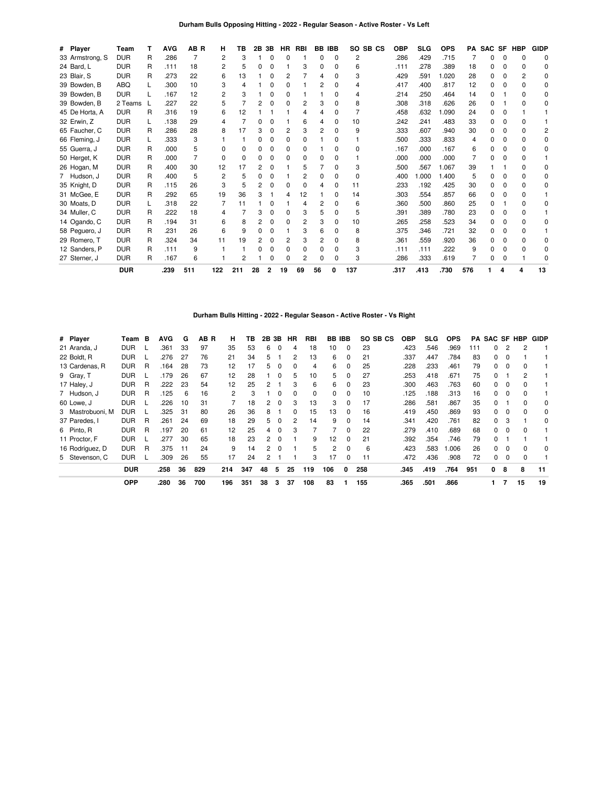## **Durham Bulls Opposing Hitting - 2022 - Regular Season - Active Roster - Vs Left**

| # Player        | Team       |   | <b>AVG</b> | AB R | н   | ΤВ  | 2Β | 3Β | HR | <b>RBI</b> |    | <b>BB IBB</b> |     | SO SB CS | <b>OBP</b> | <b>SLG</b> | <b>OPS</b> | PA  | SAC SF |   | <b>HBP</b>   | <b>GIDP</b>  |
|-----------------|------------|---|------------|------|-----|-----|----|----|----|------------|----|---------------|-----|----------|------------|------------|------------|-----|--------|---|--------------|--------------|
| 33 Armstrong, S | <b>DUR</b> | R | .286       |      | 2   | 3   |    | ŋ  |    |            | n  | $\Omega$      | 2   |          | .286       | .429       | .715       |     | n      |   |              | O            |
| 24 Bard, L      | <b>DUR</b> | R | .111       | 18   | 2   | 5   |    | 0  |    | 3          | 0  | <sup>0</sup>  | 6   |          | .111       | .278       | .389       | 18  | 0      |   | <sup>n</sup> | <sup>0</sup> |
| 23 Blair, S     | <b>DUR</b> | R | .273       | 22   | 6   | 13  |    | 0  | 2  |            | 4  | <sup>0</sup>  | 3   |          | .429       | .591       | 1.020      | 28  | O.     |   |              |              |
| 39 Bowden, B    | <b>ABQ</b> |   | .300       | 10   | 3   | 4   |    | 0  | n  |            | 2  | <sup>0</sup>  |     |          | .417       | .400       | .817       | 12  | O.     |   |              | <sup>0</sup> |
| 39 Bowden, B    | <b>DUR</b> |   | .167       | 12   | 2   | 3   |    | ŋ  |    |            |    |               |     |          | .214       | .250       | .464       | 14  | n      |   |              |              |
| 39 Bowden, B    | 2 Teams    |   | .227       | 22   | 5   | 7   |    | 0  |    | 2          | 3  | <sup>0</sup>  | 8   |          | .308       | .318       | .626       | 26  | 0      |   |              |              |
| 45 De Horta, A  | <b>DUR</b> | R | .316       | 19   | 6   | 12  |    |    |    |            |    |               |     |          | .458       | .632       | 1.090      | 24  | O.     |   |              |              |
| 32 Erwin, Z     | <b>DUR</b> |   | .138       | 29   | 4   |     |    | ŋ  |    | 6          | 4  | <sup>0</sup>  | 10  |          | .242       | .241       | .483       | 33  | 0      |   |              |              |
| 65 Faucher, C   | <b>DUR</b> | R | .286       | 28   | 8   | 17  |    |    | 2  | 3          | 2  |               | 9   |          | .333       | .607       | .940       | 30  | n      |   |              |              |
| 66 Fleming, J   | <b>DUR</b> |   | .333       | 3    |     |     |    | 0  | 0  | 0          |    |               |     |          | .500       | .333       | .833       |     | n      |   |              | O            |
| 55 Guerra, J    | <b>DUR</b> | R | .000       | 5    |     | 0   |    |    |    | 0          |    |               | 0   |          | .167       | .000       | .167       | 6   |        |   |              |              |
| 50 Herget, K    | <b>DUR</b> | R | .000       |      | ŋ   | 0   |    | 0  |    | 0          | n  |               |     |          | .000       | .000       | .000       |     | 0      |   |              |              |
| 26 Hogan, M     | <b>DUR</b> | R | .400       | 30   | 12  | 17  |    |    |    | 5          |    | <sup>0</sup>  | 3   |          | .500       | .567       | 1.067      | 39  |        |   |              |              |
| 7 Hudson, J     | <b>DUR</b> | R | .400       | 5    | 2   | 5   |    | ŋ  |    | 2          | 0  | <sup>0</sup>  | 0   |          | .400       | .000       | 1.400      | 5   | n      |   |              | n            |
| 35 Knight, D    | <b>DUR</b> | R | .115       | 26   | 3   | 5   |    |    |    | 0          | 4  | ი             | 11  |          | .233       | .192       | .425       | 30  | O.     |   |              |              |
| 31 McGee, E     | <b>DUR</b> | R | .292       | 65   | 19  | 36  |    |    |    | 12         |    | n             | 14  |          | .303       | .554       | .857       | 66  | 0      |   |              |              |
| 30 Moats, D     | <b>DUR</b> |   | .318       | 22   |     | 11  |    |    |    |            | 2  |               | 6   |          | .360       | .500       | .860       | 25  | n      |   |              |              |
| 34 Muller, C    | <b>DUR</b> | R | .222       | 18   | 4   |     |    |    |    | 3          | 5  | <sup>0</sup>  | 5   |          | .391       | .389       | .780       | 23  | O.     |   |              |              |
| 14 Ogando, C    | <b>DUR</b> | R | .194       | 31   | 6   | 8   |    |    |    |            | 3  |               | 10  |          | .265       | .258       | .523       | 34  |        |   |              |              |
| 58 Peguero, J   | <b>DUR</b> | R | .231       | 26   | 6   | 9   |    |    |    | 3          | 6  |               | 8   |          | .375       | .346       | .721       | 32  | n      |   |              |              |
| 29 Romero, T    | <b>DUR</b> | R | .324       | 34   | 11  | 19  |    |    |    | 3          | 2  |               | 8   |          | .361       | .559       | .920       | 36  |        |   |              |              |
| 12 Sanders, P   | <b>DUR</b> | R | .111       | 9    |     |     |    |    |    | ŋ          | 0  | <sup>0</sup>  | 3   |          | .111       | .111       | .222       | 9   | n      |   |              |              |
| 27 Sterner, J   | <b>DUR</b> | R | .167       | 6    |     | 2   |    |    |    | 2          | n  | 0             | 3   |          | .286       | .333       | .619       |     | 0      |   |              |              |
|                 | <b>DUR</b> |   | .239       | 511  | 122 | 211 | 28 |    | 19 | 69         | 56 |               | 137 |          | .317       | .413       | .730       | 576 |        | 4 | 4            | 13           |

#### **Durham Bulls Hitting - 2022 - Regular Season - Active Roster - Vs Right**

| # Player         | Team       | в | <b>AVG</b> | G  | AB R | н   | ΤВ  | 2В | 3В       | <b>HR</b>      | <b>RBI</b> | <b>BB IBB</b>     |              | SO SB CS | <b>OBP</b> | SLG  | <b>OPS</b> | PA  | <b>SAC SF</b> |          | HBP          | <b>GIDP</b> |
|------------------|------------|---|------------|----|------|-----|-----|----|----------|----------------|------------|-------------------|--------------|----------|------------|------|------------|-----|---------------|----------|--------------|-------------|
| 21 Aranda, J     | <b>DUR</b> |   | .361       | 33 | 97   | 35  | 53  | 6  | $\Omega$ | 4              | 18         | 10                | $\Omega$     | 23       | .423       | .546 | .969       | 111 | 0             | 2        | 2            |             |
| 22 Boldt, R      | <b>DUR</b> |   | .276       | 27 | 76   | 21  | 34  | 5. |          | 2              | 13         | 6                 | $\Omega$     | 21       | .337       | .447 | .784       | 83  | 0             |          |              |             |
| 13 Cardenas, R   | <b>DUR</b> | R | .164       | 28 | 73   | 12  | 17  | 5. | $\Omega$ | 0              | 4          | 6                 |              | 25       | .228       | .233 | .461       | 79  | 0             | 0        | 0            |             |
| 9 Gray, T        | <b>DUR</b> |   | .179       | 26 | 67   | 12  | 28  |    | $\Omega$ | 5.             | 10         | 5                 | $\Omega$     | 27       | .253       | .418 | .671       | 75  | 0             |          | 2            |             |
| 17 Haley, J      | <b>DUR</b> | R | .222       | 23 | 54   | 12  | 25  | 2  |          | 3              | 6          | 6                 | 0            | 23       | .300       | .463 | .763       | 60  | 0             | 0        | 0            |             |
| 7 Hudson, J      | <b>DUR</b> | R | .125       | 6  | 16   | 2   | 3   |    | $\Omega$ | $\Omega$       | $\Omega$   | 0                 | <sup>0</sup> | 10       | .125       | .188 | .313       | 16  | 0             | $\Omega$ | 0            |             |
| 60 Lowe, J       | <b>DUR</b> |   | .226       | 10 | 31   |     | 18  | 2  | 0        | 3              | 13         | 3                 | 0            | 17       | .286       | .581 | .867       | 35  | 0             |          | 0            | 0           |
| 3 Mastrobuoni. M | <b>DUR</b> |   | .325       | 31 | 80   | 26  | 36  | 8  |          | 0              | 15         | 13                | 0            | 16       | .419       | .450 | .869       | 93  | 0             | $\Omega$ | 0            | $\Omega$    |
| 37 Paredes. I    | <b>DUR</b> | R | .261       | 24 | 69   | 18  | 29  | 5  | $\Omega$ | $\overline{2}$ | 14         | 9                 | 0            | 14       | .341       | .420 | .761       | 82  | 0             | 3        |              | 0           |
| 6 Pinto, R       | <b>DUR</b> | R | .197       | 20 | 61   | 12  | 25  | 4  | $\Omega$ | 3              |            |                   | <sup>0</sup> | 22       | .279       | .410 | .689       | 68  | 0             | $\Omega$ | <sup>0</sup> |             |
| 11 Proctor, F    | <b>DUR</b> |   | 277        | 30 | 65   | 18  | 23  | 2  | $\Omega$ |                | 9          | $12 \overline{ }$ | $\Omega$     | 21       | .392       | .354 | .746       | 79  | 0             |          |              |             |
| 16 Rodríguez, D  | <b>DUR</b> | R | .375       | 11 | 24   | 9   | 14  | 2  | - 0      |                | 5          | 2                 | 0            | 6        | .423       | .583 | .006       | 26  | 0             | $\Omega$ | 0            | $\Omega$    |
| 5 Stevenson, C   | <b>DUR</b> |   | .309       | 26 | 55   | 17  | 24  | 2  |          |                | 3          | 17                | 0            | 11       | .472       | .436 | .908       | 72  | 0             | 0        | 0            |             |
|                  | <b>DUR</b> |   | .258       | 36 | 829  | 214 | 347 | 48 | 5        | 25             | 119        | 106               | 0            | 258      | .345       | .419 | .764       | 951 | 0             | 8        | 8            | 11          |
|                  | <b>OPP</b> |   | .280       | 36 | 700  | 196 | 351 | 38 | 3        | 37             | 108        | 83                |              | 155      | .365       | .501 | .866       |     |               |          | 15           | 19          |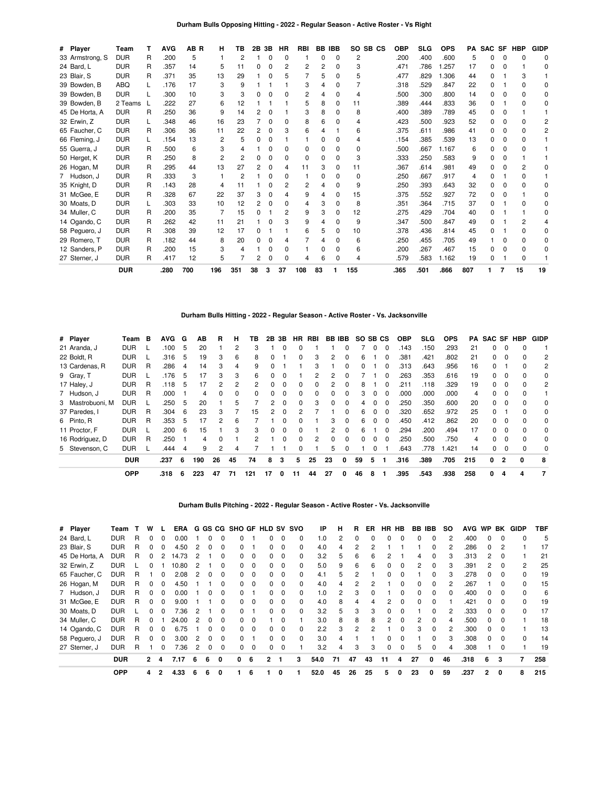## **Durham Bulls Opposing Hitting - 2022 - Regular Season - Active Roster - Vs Right**

| # Player        | Team       |   | AVG  | AB R | н   | ΤВ  | 2Β | 3В       | HR             | RBI          | BB | <b>IBB</b>   | SO           | SB CS | <b>OBP</b> | <b>SLG</b> | <b>OPS</b> | PA  | <b>SAC</b> | <b>SF</b> | <b>HBP</b>   | <b>GIDP</b> |
|-----------------|------------|---|------|------|-----|-----|----|----------|----------------|--------------|----|--------------|--------------|-------|------------|------------|------------|-----|------------|-----------|--------------|-------------|
| 33 Armstrong, S | <b>DUR</b> | R | .200 | 5    |     | 2   |    |          | $\Omega$       |              | o  | 0            | 2            |       | .200       | .400       | .600       | 5   | n          |           |              |             |
| 24 Bard, L      | <b>DUR</b> | R | .357 | 14   | 5   | 11  | 0  | $\Omega$ | $\overline{c}$ | 2            | 2  | $\Omega$     | 3            |       | .471       | .786       | 1.257      | 17  | 0          |           |              | O           |
| 23 Blair, S     | <b>DUR</b> | R | .371 | 35   | 13  | 29  |    |          | 5              |              | 5  | 0            | 5            |       | .477       | .829       | 1.306      | 44  | n          |           |              |             |
| 39 Bowden, B    | ABQ        |   | .176 | 17   | 3   | 9   |    |          |                | 3            |    | 0            |              |       | .318       | .529       | .847       | 22  | 0          |           |              |             |
| 39 Bowden, B    | <b>DUR</b> |   | .300 | 10   |     | 3   |    |          | $\Omega$       | 2            |    | 0            |              |       | .500       | .300       | .800       | 14  | O.         |           |              |             |
| 39 Bowden, B    | 2 Teams    |   | 222  | 27   | 6   | 12  |    |          |                | 5            | 8  | 0            | 11           |       | .389       | .444       | .833       | 36  | 0          |           |              |             |
| 45 De Horta, A  | <b>DUR</b> | R | .250 | 36   | 9   | 14  |    |          |                |              | 8  | 0            | 8            |       | .400       | .389       | .789       | 45  | 0          |           |              |             |
| 32 Erwin, Z     | <b>DUR</b> |   | .348 | 46   | 16  | 23  |    | $\Omega$ | O              | 8            | 6  | <sup>0</sup> |              |       | .423       | .500       | .923       | 52  | 0          |           |              |             |
| 65 Faucher, C   | <b>DUR</b> | R | .306 | 36   | 11  | 22  |    |          |                |              |    |              | 6            |       | .375       | .611       | .986       | 41  | n          |           |              |             |
| 66 Fleming, J   | <b>DUR</b> |   | .154 | 13   | 2   | 5   |    | $\Omega$ |                |              | n  | O            |              |       | .154       | .385       | .539       | 13  | O.         |           |              |             |
| 55 Guerra, J    | <b>DUR</b> | R | .500 | 6    |     | Δ   |    |          | 0              | o            |    | 0            | o            |       | .500       | .667       | 1.167      | 6   |            |           |              |             |
| 50 Herget, K    | <b>DUR</b> | R | .250 | 8    |     | 2   |    | n        | n              | <sup>0</sup> | O  | 0            | 3            |       | .333       | .250       | .583       | 9   |            |           |              |             |
| 26 Hogan, M     | <b>DUR</b> | R | .295 | 44   | 13  | 27  |    | O        |                | 11           | З  | 0            | 11           |       | .367       | .614       | .981       | 49  |            |           |              |             |
| 7 Hudson, J     | <b>DUR</b> | R | .333 | 3    |     | 2   |    | O        | n              |              | ŋ  | <sup>0</sup> | <sup>0</sup> |       | .250       | .667       | .917       | 4   | n          |           | 0            |             |
| 35 Knight, D    | <b>DUR</b> | R | .143 | 28   | 4   | 11  |    |          |                |              |    | <sup>0</sup> | 9            |       | .250       | .393       | .643       | 32  | 0          |           |              |             |
| 31 McGee, E     | <b>DUR</b> | R | .328 | 67   | 22  | 37  |    | n        |                | 9            |    | <sup>0</sup> | 15           |       | .375       | .552       | .927       | 72  | O.         |           |              | n           |
| 30 Moats, D     | <b>DUR</b> |   | .303 | 33   | 10  | 12  |    | $\Omega$ | O              | 4            | 3  | 0            | 8            |       | .351       | .364       | .715       | 37  | n.         |           |              |             |
| 34 Muller, C    | <b>DUR</b> | R | .200 | 35   |     | 15  |    |          | 2              | 9            | 3  | U            | 12           |       | .275       | .429       | .704       | 40  | n          |           |              | O           |
| 14 Ogando, C    | <b>DUR</b> | R | .262 | 42   | 11  | 21  |    | n        | 3              | 9            |    | 0            | 9            |       | .347       | .500       | .847       | 49  | 0          |           |              |             |
| 58 Peguero, J   | <b>DUR</b> | R | .308 | 39   | 12  | 17  |    |          |                | հ            | 5  | 0            | 10           |       | .378       | .436       | .814       | 45  | n          |           | n            | O           |
| 29 Romero. T    | <b>DUR</b> | R | .182 | 44   | 8   | 20  |    | O        |                |              |    | <sup>0</sup> | 6            |       | .250       | .455       | .705       | 49  |            |           |              | O           |
| 12 Sanders, P   | <b>DUR</b> | R | .200 | 15   | 3   |     |    |          | O              |              |    | 0            | հ            |       | .200       | .267       | .467       | 15  | O.         |           |              |             |
| 27 Sterner, J   | <b>DUR</b> | R | .417 | 12   | 5   |     | 2  | O        | O              |              | հ  | 0            | 4            |       | .579       | .583       | 1.162      | 19  | O.         |           | <sup>0</sup> |             |
|                 | <b>DUR</b> |   | .280 | 700  | 196 | 351 | 38 |          | 37             | 108          | 83 |              | 155          |       | .365       | .501       | .866       | 807 |            |           | 15           | 19          |

#### **Durham Bulls Hitting - 2022 - Regular Season - Active Roster - Vs. Jacksonville**

| # Player         | Team       | в | AVG. | G   | AВ  | R            | н  | ΤВ  | 2Β | 3Β           | HR.          | RBI          |              | BB IBB   |    |          | SO SB CS     | <b>OBP</b> | <b>SLG</b> | <b>OPS</b> | РA  |              |                  | SAC SF HBP | <b>GIDP</b>              |
|------------------|------------|---|------|-----|-----|--------------|----|-----|----|--------------|--------------|--------------|--------------|----------|----|----------|--------------|------------|------------|------------|-----|--------------|------------------|------------|--------------------------|
| 21 Aranda, J     | <b>DUR</b> |   | .100 | 5   | 20  |              | 2  | 3   |    |              |              |              |              |          |    | 0        | 0            | .143       | .150       | .293       | 21  | 0            | 0                |            |                          |
| 22 Boldt, R      | <b>DUR</b> |   | .316 | 5   | 19  | 3            | 6  | 8   | 0  |              | <sup>0</sup> | 3            | 2            | $\Omega$ | 6  |          | 0            | .381       | .421       | .802       | 21  | 0            | $\Omega$         |            | $\overline{c}$           |
| 13 Cardenas, R   | <b>DUR</b> | R | .286 | 4   | 14  | з            | 4  | 9   | ŋ  |              |              | з            |              |          |    |          |              | .313       | .643       | .956       | 16  | <sup>0</sup> |                  |            | 2                        |
| 9 Gray, T        | <b>DUR</b> |   | .176 | 5   | 17  | 3            | 3  | 6   | 0  |              |              | 2            |              |          |    |          | 0            | .263       | .353       | .616       | 19  | 0            | $\Omega$         |            | 0                        |
| 17 Haley, J      | <b>DUR</b> | R | .118 | 5   | 17  | 2            | 2  | 2   | 0  | <sup>0</sup> | <sup>0</sup> | 0            |              |          | 8  |          | 0            | .211       | .118       | .329       | 19  | 0            | $\Omega$         |            | $\overline{c}$           |
| 7 Hudson, J      | <b>DUR</b> | R | .000 |     | 4   |              | 0  | 0   |    |              |              | <sup>0</sup> | 0            |          | 3  |          |              | .000       | .000       | .000       | 4   | 0            |                  |            |                          |
| 3 Mastrobuoni, M | <b>DUR</b> |   | .250 | 5   | 20  |              | 5  |     | 2  |              | <sup>0</sup> | 3            | $\Omega$     | $\Omega$ | 4  | 0        | 0            | .250       | .350       | .600       | 20  | 0            | $\Omega$         |            | 0                        |
| 37 Paredes. I    | <b>DUR</b> | R | .304 | 6   | 23  | 3            |    | 15  | 2  | $\Omega$     |              |              |              |          | 6  | $\Omega$ | <sup>0</sup> | .320       | .652       | .972       | 25  | <sup>0</sup> |                  |            | 0                        |
| 6 Pinto, R       | DUR        | R | .353 | 5   | 17  |              | 6  |     |    |              |              |              | 3            |          | 6  |          |              | .450       | .412       | .862       | 20  | 0            |                  |            | 0                        |
| 11 Proctor, F    | <b>DUR</b> |   | .200 | 6   | 15  |              | 3  | 3   | 0  | $\Omega$     | <sup>0</sup> |              | 2            | $\Omega$ | 6  |          | $\Omega$     | .294       | .200       | .494       | 17  | 0            | 0                | 0          | 0                        |
| 16 Rodríguez, D  | <b>DUR</b> | R | .250 |     | 4   | <sup>n</sup> |    | 2   |    |              | U            | 2            | <sup>0</sup> | $\Omega$ |    |          |              | .250       | .500       | .750       | 4   | <sup>0</sup> | $\Omega$         |            | 0                        |
| 5 Stevenson, C   | <b>DUR</b> |   | .444 | 4   | 9   |              | 4  |     |    |              |              |              | 5            |          |    |          |              | .643       | .778       | .421       | 14  | 0            | 0                |            | 0                        |
|                  | <b>DUR</b> |   | .237 | 6   | 190 | 26           | 45 | 74  | 8  | 3            | 5            | 25           | 23           | 0        | 59 | 5        |              | .316       | .389       | .705       | 215 | 0            | $\overline{2}$   | 0          | 8                        |
|                  | <b>OPP</b> |   | .318 | - 6 | 223 | 47           | 71 | 121 | 17 | 0            | 11           | 44           | 27           | 0        | 46 | 8        |              | .395       | .543       | .938       | 258 | 0            | $\boldsymbol{4}$ | 4          | $\overline{\phantom{a}}$ |

# **Durham Bulls Pitching - 2022 - Regular Season - Active Roster - Vs. Jacksonville**

| # Player       | Team       |   | W            |          | <b>ERA</b> |                |          |              | G GS CG SHO GF HLD |          |          | <b>SV</b> | svo          | IP   | н  | R              | ER | <b>HR</b>    | HB           |              | BB IBB   | SO.      | <b>AVG</b> | <b>WP</b>      | BK           | <b>GIDP</b>    | TBF |
|----------------|------------|---|--------------|----------|------------|----------------|----------|--------------|--------------------|----------|----------|-----------|--------------|------|----|----------------|----|--------------|--------------|--------------|----------|----------|------------|----------------|--------------|----------------|-----|
| 24 Bard, L     | <b>DUR</b> | R |              |          | 0.00       |                |          | 0            |                    |          |          |           | 0            | 1.0  | 2  |                |    |              |              | 0            | 0        | 2        | .400       | <sup>0</sup>   | $\Omega$     |                | 5   |
| 23 Blair, S    | <b>DUR</b> | R |              | 0        | 4.50       | 2              |          | 0            |                    |          |          | $\Omega$  | 0            | 4.0  | 4  | 2              |    |              |              |              | 0        |          | .286       |                |              |                | 17  |
| 45 De Horta, A | <b>DUR</b> | R | 0            | 2        | 14.73      | 2              |          | 0            | 0                  | - 0      | 0        | 0         | 0            | 3.2  | 5. | 6              | 6  |              |              | 4            | 0        | 3        | .313       | 2              | 0            |                | 21  |
| 32 Erwin, Z    | <b>DUR</b> |   | <sup>0</sup> |          | 10.80      | 2              |          | 0            | 0                  | $\Omega$ | 0        | $\Omega$  | 0            | 5.0  | 9  | 6              | 6  | <sup>0</sup> | $\Omega$     | $\mathbf{2}$ | $\Omega$ | 3        | .391       | $\mathbf{2}$   | $\Omega$     | 2              | 25  |
| 65 Faucher, C  | <b>DUR</b> | R |              | 0        | 2.08       | 2              | $\Omega$ | 0            | <sup>o</sup>       | $\Omega$ | 0        | $\Omega$  |              | 4.1  | 5  | $\overline{2}$ |    |              |              |              | $\Omega$ | з        | .278       | <sup>0</sup>   | $\Omega$     | <sup>0</sup>   | 19  |
| 26 Hogan, M    | <b>DUR</b> | R | 0            | 0        | 4.50       |                |          | ŋ            | <sup>o</sup>       | - 0      | O.       | $\Omega$  | 0            | 4.0  | 4  | 2              | 2  |              |              | O.           | 0        |          | .267       |                |              | <sup>0</sup>   | 15  |
| 7 Hudson, J    | <b>DUR</b> | R | 0            | $\Omega$ | 0.00       |                |          | 0            | <sup>o</sup>       |          | 0        | 0         | 0            | 1.0  | 2  | 3              |    |              | 0            | 0            | 0        | $\Omega$ | .400       | 0              | $\Omega$     | 0              | 6   |
| 31 McGee, E    | <b>DUR</b> | R | <sup>0</sup> | $\Omega$ | 9.00       |                |          | 0            | 0                  | $\Omega$ | 0        | $\Omega$  | $\Omega$     | 4.0  | 8  | 4              | 4  | 2            | <sup>0</sup> | O.           | 0        |          | .421       | <sup>0</sup>   | $\Omega$     | $\Omega$       | 19  |
| 30 Moats, D    | <b>DUR</b> |   |              |          | 7.36       | 2              |          | 0            | <sup>o</sup>       |          | O.       | $\Omega$  | <sup>0</sup> | 3.2  | 5  | 3              | 3  |              |              |              | 0        | 2        | .333       | <sup>0</sup>   | $\Omega$     | <sup>0</sup>   | 17  |
| 34 Muller, C   | <b>DUR</b> | R | 0            |          | 24.00      | $\overline{2}$ | $\Omega$ | <sup>0</sup> | 0                  | $\Omega$ |          | $\Omega$  |              | 3.0  | 8  | 8              | 8  | 2            |              | 2            | $\Omega$ | 4        | .500       | 0              |              |                | 18  |
| 14 Ogando, C   | <b>DUR</b> | R | 0            | $\Omega$ | 6.75       |                | 0        | 0            | <sup>o</sup>       | - 0      | 0        | 0         | 0            | 2.2  | 3  | 2              |    |              | $\Omega$     | 3            | 0        | 2        | .300       | 0              | $\Omega$     |                | 13  |
| 58 Peguero, J  | <b>DUR</b> | R | $\Omega$     | $\Omega$ | 3.00       | $\mathcal{P}$  | $\Omega$ | $\Omega$     | 0                  |          | $\Omega$ | $\Omega$  | $\Omega$     | 3.0  | 4  |                |    | <sup>0</sup> | $\Omega$     |              | $\Omega$ | 3        | .308       | $\Omega$       | $\Omega$     | $\Omega$       | 14  |
| 27 Sterner, J  | <b>DUR</b> | R |              | 0        | 7.36       | 2              | 0        | 0            | 0                  | 0        | 0        | 0         |              | 3.2  | 4  | 3              | 3  | 0            | 0            | 5            | 0        |          | .308       |                | $\Omega$     |                | 19  |
|                | <b>DUR</b> |   | $\mathbf{2}$ | 4        | 7.17       | 6              | 6        | 0            | 0                  | 6        | 2        |           | 3            | 54.0 | 71 | 47             | 43 | 11           | 4            | 27           | 0        | 46       | .318       | 6              | 3            | $\overline{7}$ | 258 |
|                | <b>OPP</b> |   | 4            | 2        | 4.33       | 6              |          |              |                    | 6        |          | 0         |              | 52.0 | 45 | 26             | 25 | 5            | 0            | 23           | 0        | 59       | .237       | $\overline{2}$ | $\mathbf{0}$ | 8              | 215 |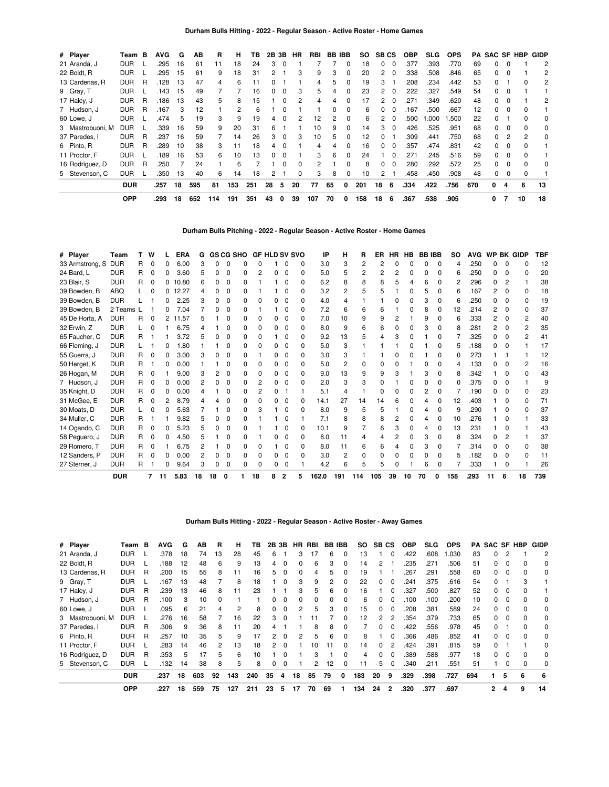| # Player         | Team       | B | <b>AVG</b> | G  | AВ  | R   | н   | ΤВ  | 2В | 3В       | НR       | RBI | BB. | IBB | SO. | <b>SBCS</b>    |          | <b>OBP</b> | <b>SLG</b> | <b>OPS</b> | PA  |              |              | <b>SAC SF HBP</b> | GIDP |
|------------------|------------|---|------------|----|-----|-----|-----|-----|----|----------|----------|-----|-----|-----|-----|----------------|----------|------------|------------|------------|-----|--------------|--------------|-------------------|------|
| 21 Aranda, J     | <b>DUR</b> |   | .295       | 16 | 61  | 11  | 18  | 24  | 3  |          |          |     |     | 0   | 18  | $\Omega$       | 0        | .377       | .393       | .770       | 69  |              |              |                   | 2    |
| 22 Boldt, R      | <b>DUR</b> |   | .295       | 15 | 61  | 9   | 18  | 31  |    |          | 3        | 9   | 3   | 0   | 20  | $\overline{2}$ | 0        | .338       | .508       | .846       | 65  |              | 0            |                   | 2    |
| 13 Cardenas, R   | <b>DUR</b> | R | .128       | 13 | 47  | 4   | 6   | 11  |    |          |          | 4   | 5   | 0   | 19  | 3              |          | .208       | .234       | .442       | 53  |              |              |                   | 2    |
| 9 Gray, T        | <b>DUR</b> |   | .143       | 15 | 49  |     |     | 16  |    | $\Omega$ | 3        | 5   | 4   | 0   | 23  | $\overline{2}$ | $\Omega$ | .222       | .327       | .549       | 54  | 0            | 0            |                   |      |
| 17 Haley, J      | <b>DUR</b> | R | .186       | 13 | 43  | 5   | 8   | 15  |    |          | 2        | 4   | 4   | 0   | 17  | $\overline{2}$ | $\Omega$ | .271       | .349       | .620       | 48  | <sup>0</sup> | 0            |                   | 2    |
| 7 Hudson, J      | <b>DUR</b> | R | .167       | 3  | 12  |     | 2   | 6   |    |          |          |     |     | 0   | 6   | 0              | 0        | 167        | .500       | .667       | 12  |              | 0            |                   |      |
| 60 Lowe, J       | <b>DUR</b> |   | .474       | 5  | 19  | 3   | 9   | 19  |    |          |          | 12  |     | 0   | 6   | 2              | 0        | .500       | .000       | .500       | 22  |              |              |                   | 0    |
| 3 Mastrobuoni, M | <b>DUR</b> |   | .339       | 16 | 59  | 9   | 20  | 31  | 6  |          |          | 10  | 9   | 0   | 14  | 3              | $\Omega$ | .426       | .525       | .951       | 68  |              | 0            |                   | 0    |
| 37 Paredes, I    | <b>DUR</b> | R | .237       | 16 | 59  |     | 14  | 26  | 3  | 0        | 3        | 10  | 5   | 0   | 12  | $\Omega$       |          | .309       | .441       | .750       | 68  | 0            | 2            | 2                 | 0    |
| 6 Pinto, R       | <b>DUR</b> | R | .289       | 10 | 38  | 3   | 11  | 18  | 4  |          |          | 4   | 4   | 0   | 16  | $\Omega$       | $\Omega$ | .357       | .474       | .831       | 42  | 0            | 0            |                   |      |
| 11 Proctor, F    | <b>DUR</b> |   | .189       | 16 | 53  | 6   | 10  | 13  | U  |          |          | 3   | 6   | 0   | 24  |                | $\Omega$ | .271       | .245       | .516       | 59  | $\Omega$     | $\Omega$     |                   |      |
| 16 Rodríguez, D  | <b>DUR</b> | R | .250       |    | 24  |     | 6   |     |    |          | $\Omega$ | 2   |     | 0   | 8   | 0              | 0        | .280       | .292       | .572       | 25  |              | <sup>0</sup> |                   | 0    |
| 5 Stevenson, C   | <b>DUR</b> |   | .350       | 13 | 40  | 6   | 14  | 18  |    |          | $\Omega$ | 3   | 8   | 0   | 10  | 2              |          | .458       | .450       | .908       | 48  | 0            | 0            |                   |      |
|                  | <b>DUR</b> |   | .257       | 18 | 595 | 81  | 153 | 251 | 28 | 5        | 20       | 77  | 65  | 0   | 201 | 18             | 6        | .334       | .422       | .756       | 670 | 0            | 4            | 6                 | 13   |
|                  | <b>OPP</b> |   | .293       | 18 | 652 | 114 | 191 | 351 | 43 | 0        | 39       | 107 | 70  | 0   | 158 | 18             | 6        | .367       | .538       | .905       |     | 0            |              | 10                | 18   |

**Durham Bulls Pitching - 2022 - Regular Season - Active Roster - Home Games**

| # Player        | Team       |    | W            | <b>ERA</b> | G  |   | <b>GS CG SHO</b> |   | <b>GF HLD SV SVO</b> |   |              |   | IP    | н   | R   | ER  | HR | HВ | <b>BBIBB</b> |              | <b>SO</b> | <b>AVG</b> | <b>WP</b> |              | <b>BK GIDP</b> | <b>TBF</b> |
|-----------------|------------|----|--------------|------------|----|---|------------------|---|----------------------|---|--------------|---|-------|-----|-----|-----|----|----|--------------|--------------|-----------|------------|-----------|--------------|----------------|------------|
| 33 Armstrong, S | <b>DUR</b> | R. | 0            | 6.00       |    |   |                  |   |                      |   |              | ŋ | 3.0   | 3   | 2   |     |    |    |              | <sup>0</sup> |           | .250       |           |              |                | 12         |
| 24 Bard, L      | <b>DUR</b> | R  | 0            | 3.60       | 5  | o |                  | 0 | 2                    | 0 | O            | 0 | 5.0   | 5   | 2   |     | 2  |    |              | o            |           | .250       | 0         | 0            |                | 20         |
| 23 Blair, S     | <b>DUR</b> | R  | <sup>0</sup> | 10.80      |    | n |                  | n |                      |   | n            | o | 6.2   |     |     |     |    |    |              |              |           | .296       |           | 2            |                | 38         |
| 39 Bowden, B    | <b>ABQ</b> |    | n            | 12.27      |    | n |                  | ŋ |                      |   | n            | ŋ | 3.2   | 2   |     |     |    |    |              |              |           | .167       | 2         | <sup>0</sup> |                | 18         |
| 39 Bowden, B    | <b>DUR</b> |    |              | 2.25       |    | ი |                  |   |                      | n | ŋ            | ŋ | 4.0   |     |     |     |    |    |              |              |           | .250       |           |              |                | 19         |
| 39 Bowden, B    | 2 Teams    |    |              | 7.04       |    | n |                  | ŋ |                      |   | O            | ŋ | 7.2   | հ   |     |     |    |    |              |              | 12        | .214       | 2         | 0            |                | 37         |
| 45 De Horta, A  | <b>DUR</b> | R  | 0            | 11.57      |    |   |                  |   |                      |   |              | ŋ | 7.0   | 10  |     |     |    |    |              |              |           | .333       |           |              |                | 40         |
| 32 Erwin, Z     | <b>DUR</b> |    |              | 6.75       |    |   |                  | ŋ | 0                    | 0 | $\Omega$     | ŋ | 8.0   | 9   |     |     |    |    |              |              |           | .281       | 2         |              |                | 35         |
| 65 Faucher, C   | <b>DUR</b> | R  |              | 3.72       |    |   |                  |   |                      |   | O            |   | 9.2   | 13  |     |     |    |    |              |              |           | .325       |           |              |                | 41         |
| 66 Fleming, J   | <b>DUR</b> |    |              | 1.80       |    |   |                  |   | O                    |   | O            | ŋ | 5.0   | 3   |     |     |    |    |              |              |           | .188       |           |              |                | 17         |
| 55 Guerra. J    | <b>DUR</b> | R. | $\Omega$     | 3.00       |    |   |                  |   |                      | 0 | O            | o | 3.0   |     |     |     |    |    |              |              |           | .273       |           |              |                | 12         |
| 50 Herget, K    | <b>DUR</b> | R. |              | 0.00       |    |   |                  |   | O                    | 0 | $\Omega$     | 0 | 5.0   | 2   |     |     |    |    |              |              |           | .133       | n         |              |                | 16         |
| 26 Hogan, M     | <b>DUR</b> | R. | 0            | 9.00       |    |   | 0                |   | O                    | 0 | O            | o | 9.0   | 13  |     |     |    |    |              | o            |           | .342       |           |              |                | 43         |
| 7 Hudson, J     | <b>DUR</b> | R. | O            | 0.00       |    | ი |                  |   |                      | 0 | <sup>0</sup> | ŋ | 2.0   | 3   |     |     |    |    |              |              |           | .375       | n         |              |                |            |
| 35 Knight, D    | <b>DUR</b> | R  | 0            | 0.00       |    |   |                  |   |                      | 0 |              |   | 5.1   |     |     |     |    |    |              | 0            |           | .190       |           |              |                | 23         |
| 31 McGee, E     | <b>DUR</b> | R  | 0            | 8.79       |    |   |                  |   | O                    | 0 | O            | o | 14.1  | 27  | 14  | 14  |    |    |              |              | 12        | .403       |           |              |                | 71         |
| 30 Moats, D     | <b>DUR</b> |    |              | 5.63       |    |   |                  |   |                      |   | 0            | o | 8.0   | 9   |     |     |    |    |              | O            | q         | .290       |           |              |                | 37         |
| 34 Muller, C    | <b>DUR</b> | R  |              | 9.82       |    |   |                  | n |                      |   | O            |   | 7.1   |     |     |     |    |    |              | 0            | 10        | .276       |           |              |                | 33         |
| 14 Ogando, C    | <b>DUR</b> | R. | 0            | 5.23       |    | ი | 0                | ი |                      |   | O            | 0 | 10.1  |     |     | 6   |    |    |              | 0            | 13        | .231       |           |              |                | 43         |
| 58 Peguero, J   | <b>DUR</b> | R. | 0            | 4.50       |    |   |                  | n |                      |   | O            | 0 | 8.0   | 11  |     |     |    |    |              | 0            | 8         | .324       |           |              |                | 37         |
| 29 Romero, T    | <b>DUR</b> | R. | O            | 6.75       |    |   |                  |   | O                    |   | O            | ŋ | 8.0   | 11  |     |     |    |    |              |              |           | .314       |           |              |                | 38         |
| 12 Sanders, P   | <b>DUR</b> | R. | O            | 0.00       |    |   |                  |   | O                    |   | O            |   | 3.0   |     |     |     |    |    |              |              |           | .182       |           |              |                | 11         |
| 27 Sterner, J   | <b>DUR</b> | R. |              | 9.64       |    |   |                  | n | 0                    | 0 | $\Omega$     |   | 4.2   |     |     | 5   |    |    |              | 0            |           | .333       |           |              |                | 26         |
|                 | <b>DUR</b> |    |              | 5.83       | 18 |   |                  |   | 18                   |   |              |   | 162.0 | 191 | 114 | 105 | 39 |    |              |              | 158       | .293       |           |              | 18             | 739        |

# **Durham Bulls Hitting - 2022 - Regular Season - Active Roster - Away Games**

| # Player         | Team       | в | AVG  | G  | AВ  | R        | н   | ΤВ  | 2B 3B |          | HR | RBI | <b>BB IBB</b> |              | so  | SB CS |                | <b>OBP</b> | SLG. | <b>OPS</b> | PA  | <b>SAC SF HBP</b> |              |   | GIDP |
|------------------|------------|---|------|----|-----|----------|-----|-----|-------|----------|----|-----|---------------|--------------|-----|-------|----------------|------------|------|------------|-----|-------------------|--------------|---|------|
| 21 Aranda, J     | <b>DUR</b> |   | .378 | 18 | 74  | 13       | 28  | 45  | 6     |          | 3  | 17  | 6             | 0            | 13  |       | $\Omega$       | .422       | .608 | 1.030      | 83  | 0                 |              |   | 2    |
| 22 Boldt, R      | <b>DUR</b> |   | .188 | 12 | 48  | 6        | 9   | 13  | 4     | $\Omega$ |    | 6   | 3             | 0            | 14  | 2     |                | 235        | .271 | .506       | 51  | 0                 |              |   | 0    |
| 13 Cardenas, R   | <b>DUR</b> | R | .200 | 15 | 55  | 8        | 11  | 16  |       |          |    | 4   | 5             | 0            | 19  |       |                | 267        | .291 | .558       | 60  |                   | 0            |   | 0    |
| 9 Gray, T        | <b>DUR</b> |   | .167 | 13 | 48  |          | 8   | 18  |       | 0        | 3  | 9   | 2             | 0            | 22  | 0     | $\Omega$       | .241       | .375 | .616       | 54  | 0                 |              | 3 |      |
| 17 Haley, J      | <b>DUR</b> | R | .239 | 13 | 46  | 8        | 11  | 23  |       |          | 3  | 5   | 6             | $\Omega$     | 16  |       | $\Omega$       | .327       | .500 | .827       | 52  | 0                 | $\Omega$     |   |      |
| 7 Hudson, J      | <b>DUR</b> | R | .100 | з  | 10  | $\Omega$ |     |     | O.    | 0        |    | 0   | 0             | 0            | 6   | 0     |                | .100       | .100 | .200       | 10  | 0                 | $\Omega$     | 0 | 0    |
| 60 Lowe, J       | <b>DUR</b> |   | .095 | 6  | 21  | 4        | 2   | 8   |       | 0        | 2  | 5   | 3             | 0            | 15  | 0     | $\Omega$       | .208       | .381 | .589       | 24  |                   | <sup>0</sup> |   | 0    |
| 3 Mastrobuoni. M | <b>DUR</b> |   | .276 | 16 | 58  |          | 16  | 22  |       | $\Omega$ |    |     |               | 0            | 12  | 2     | $\overline{2}$ | .354       | .379 | .733       | 65  | 0                 | $\Omega$     |   | 0    |
| 37 Paredes, I    | <b>DUR</b> | R | .306 | 9  | 36  | 8        | 11  | 20  |       |          |    | 8   | 8             | 0            |     | 0     | $\Omega$       | .422       | .556 | .978       | 45  | 0                 |              | 0 | 0    |
| 6 Pinto, R       | <b>DUR</b> | R | 257  | 10 | 35  | 5        | 9   | 17  |       | $\Omega$ |    | 5   | 6             | 0            | 8   |       | $\Omega$       | .366       | .486 | .852       | 41  | 0                 | $\Omega$     | 0 | 0    |
| 11 Proctor, F    | <b>DUR</b> |   | .283 | 14 | 46  | 2        | 13  | 18  |       | $\Omega$ |    | 10  | 11            | <sup>0</sup> | 14  | O.    |                | .424       | .391 | .815       | 59  |                   |              |   | 0    |
| 16 Rodríguez, D  | <b>DUR</b> | R | .353 | 5  | 17  | 5        | 6   | 10  |       | $\Omega$ |    | 3   |               | 0            | 4   | 0     | $\Omega$       | .389       | .588 | .977       | 18  | 0                 | $\Omega$     |   | 0    |
| 5 Stevenson, C   | <b>DUR</b> |   | 132  | 14 | 38  | 8        | 5   | 8   | 0     | 0        |    | 2   | 12            | 0            | 11  | 5.    | $\Omega$       | .340       | .211 | .551       | 51  |                   | $\Omega$     | 0 | 0    |
|                  | <b>DUR</b> |   | .237 | 18 | 603 | 92       | 143 | 240 | 35    | 4        | 18 | 85  | 79            | 0            | 183 | 20    | 9              | .329       | .398 | .727       | 694 | 1.                | 5            | 6 | 6    |
|                  | <b>OPP</b> |   | .227 | 18 | 559 | 75       | 127 | 211 | 23    | 5        | 17 | 70  | 69            |              | 134 | 24    | $\mathbf{2}$   | .320       | .377 | .697       |     | 2                 | 4            | 9 | 14   |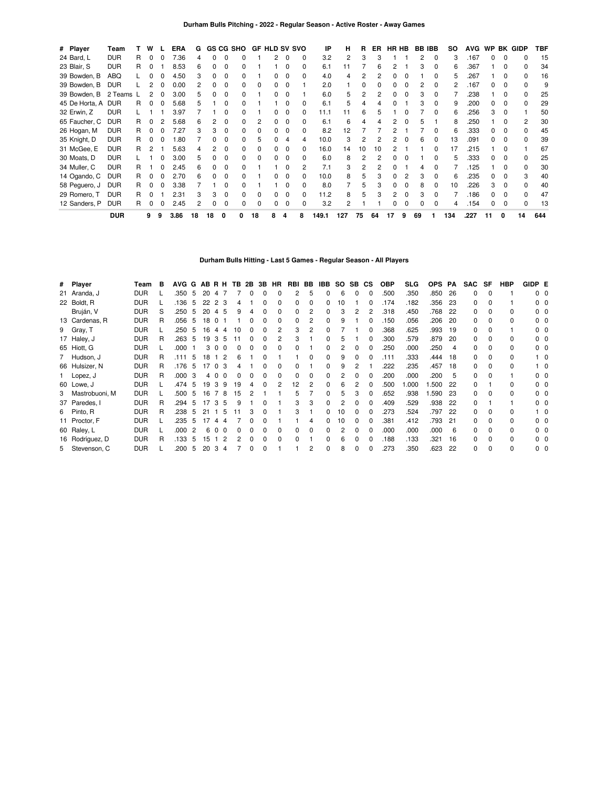| # Player       | Team       | т  | W            |              | <b>ERA</b> | G  |              |              | GS CG SHO    | <b>GF HLD SV SVO</b> |                |          |              | ΙP    | н   | R  | ER. | HR HB |              | <b>BB IBB</b> |              | so  | <b>AVG</b> | <b>WP</b> | BK           | <b>GIDP</b>  | TBF |
|----------------|------------|----|--------------|--------------|------------|----|--------------|--------------|--------------|----------------------|----------------|----------|--------------|-------|-----|----|-----|-------|--------------|---------------|--------------|-----|------------|-----------|--------------|--------------|-----|
| 24 Bard, L     | <b>DUR</b> | R  | $\Omega$     | $\Omega$     | 7.36       | 4  | 0            | 0            | 0            |                      | $\overline{c}$ | $\Omega$ | 0            | 3.2   | 2   | 3  |     |       |              | 2             | $\Omega$     | 3   | .167       | 0         | $\Omega$     | o            | -15 |
| 23 Blair, S    | <b>DUR</b> | R  | 0            |              | 8.53       | 6  | 0            | 0            | <sup>0</sup> |                      |                |          | 0            | 6.1   | 11  |    | 6   | 2     |              |               | $\Omega$     | 6   | .367       |           | O            | <sup>0</sup> | 34  |
| 39 Bowden, B   | ABQ        |    | 0            | 0            | 4.50       | 3  | 0            | 0            | 0            |                      | 0              | $\Omega$ | 0            | 4.0   | 4   |    |     | 0     | 0            |               | 0            | 5   | .267       |           | 0            | 0            | 16  |
| 39 Bowden, B   | <b>DUR</b> |    | 2            | 0            | 0.00       | 2  | 0            | 0            | 0            | 0                    | 0              | $\Omega$ |              | 2.0   |     | 0  |     | 0     | 0            |               | 0            | 2   | 167        | 0         | 0            | <sup>0</sup> | 9   |
| 39 Bowden, B   | 2 Teams L  |    | 2            | 0            | 3.00       | 5  |              | 0            | 0            |                      | 0              | $\Omega$ |              | 6.0   | 5   |    |     | 0     | 0            |               |              |     | .238       |           |              |              | 25  |
| 45 De Horta, A | <b>DUR</b> | R  | 0            | 0            | 5.68       | 5  |              | 0            | 0            |                      |                |          |              | 6.1   | 5   |    |     |       |              |               | 0            | 9   | .200       | 0         |              | 0            | 29  |
| 32 Erwin, Z    | <b>DUR</b> |    |              |              | 3.97       |    |              | O            |              |                      | 0              | $\Omega$ |              | 11.1  | 11  | 6  |     |       |              |               | <sup>0</sup> | 6   | .256       | З         | O            |              | 50  |
| 65 Faucher, C  | <b>DUR</b> | R  | 0            |              | 5.68       | հ  |              | o            | <sup>0</sup> |                      | 0              | $\Omega$ |              | 6.1   | 6   |    |     |       | <sup>0</sup> |               |              | 8   | .250       |           |              |              | 30  |
| 26 Hogan, M    | <b>DUR</b> | R. |              |              | 7.27       |    |              | o            | 0            | 0                    | 0              | $\Omega$ |              | 8.2   | 12  |    |     |       |              |               | <sup>0</sup> | 6   | .333       | 0         | <sup>0</sup> |              | 45  |
| 35 Knight, D   | <b>DUR</b> | R. |              |              | .80        |    |              | O            | 0            | 5                    |                | 4        | 4            | 10.0  | 3   |    |     |       |              | ี             |              | 13  | .091       |           |              |              | 39  |
| 31 McGee, E    | <b>DUR</b> | R  |              |              | 5.63       |    | 2            | <sup>0</sup> | <sup>0</sup> | 0                    | 0              | $\Omega$ | <sup>0</sup> | 16.0  | 14  | 10 | 10  |       |              |               | n            | 17  | .215       |           |              |              | 67  |
| 30 Moats, D    | <b>DUR</b> |    |              |              | 3.00       | 5  | <sup>0</sup> | <sup>0</sup> | 0            | 0                    | 0              | $\Omega$ |              | 6.0   | 8   |    |     | O     | <sup>0</sup> |               | $\Omega$     | 5   | .333       | 0         | O            | <sup>0</sup> | 25  |
| 34 Muller, C   | <b>DUR</b> | R  |              |              | 2.45       | 6  | <sup>0</sup> | <sup>0</sup> | <sup>0</sup> |                      |                | $\Omega$ | 2            | 7.1   | 3   | 2  |     | ŋ     |              | 4             | <sup>0</sup> |     | .125       |           | O            | <sup>0</sup> | 30  |
| 14 Ogando, C   | <b>DUR</b> | R  | 0            | <sup>0</sup> | 2.70       | 6  | 0            | <sup>0</sup> | <sup>0</sup> |                      | <sup>0</sup>   | $\Omega$ | <sup>0</sup> | 10.0  | 8   | 5  |     | 0     | 2            | з             | n            | 6   | .235       | 0         | O            | 3            | 40  |
| 58 Peguero, J  | <b>DUR</b> | R  | 0            | $\Omega$     | 3.38       |    |              | <sup>0</sup> | <sup>0</sup> |                      |                | $\Omega$ | 0            | 8.0   | 7   | 5  |     | 0     | <sup>0</sup> | 8             | $\Omega$     | 10  | .226       | 3         | <sup>0</sup> | <sup>0</sup> | 40  |
| 29 Romero, T   | <b>DUR</b> | R  | <sup>0</sup> |              | 2.31       | 3  | 3            | 0            | 0            | 0                    | 0              | $\Omega$ | 0            | 11.2  | 8   | 5  |     | 2     | 0            | з             | 0            |     | 186        | 0         | $\Omega$     | <sup>0</sup> | 47  |
| 12 Sanders, P  | <b>DUR</b> | R  | 0            | 0            | 2.45       |    |              | 0            | 0            | 0                    | 0              | $\Omega$ | 0            | 3.2   | 2   |    |     | 0     | 0            |               | 0            | 4   | 154        | 0         | $\Omega$     | 0            | 13  |
|                | <b>DUR</b> |    | 9            | 9            | 3.86       | 18 | 18           | 0            |              | 18                   | 8              | 4        | 8            | 149.1 | 127 | 75 | 64  | 17    | 9            | 69            |              | 134 | .227       | 11        | 0            | 14           | 644 |

**Durham Bulls Hitting - Last 5 Games - Regular Season - All Players**

| # Player         | Team       | в | AVG G |    |     | ABRH                 | TB. | 2B | 3B | HR           | RBI | BB | IBB | <b>SO</b> | SB CS |              | <b>OBP</b> | SLG  | OPS PA |    | <b>SAC</b> | SF           | <b>HBP</b> | GIDP E |              |
|------------------|------------|---|-------|----|-----|----------------------|-----|----|----|--------------|-----|----|-----|-----------|-------|--------------|------------|------|--------|----|------------|--------------|------------|--------|--------------|
| 21 Aranda, J     | <b>DUR</b> |   | .350  | 5  | 20  | 4                    |     |    |    |              | 2   | 5  | 0   | 6         |       | 0            | .500       | .350 | .850   | 26 | 0          |              |            |        | $0\quad 0$   |
| 22 Boldt, R      | <b>DUR</b> |   | .136  | 5  | 22  | 2<br>3               |     |    |    |              | 0   | 0  | 0   | 10        |       | ŋ            | .174       | .182 | .356   | 23 | O.         |              |            |        | $0\quad 0$   |
| Bruján, V        | <b>DUR</b> | S | .250  | 5  | 20  | - 5<br>4             |     |    |    |              | 0   |    | 0   | 3         |       |              | .318       | .450 | .768   | 22 |            |              |            |        | $0\quad 0$   |
| 13 Cardenas, R   | <b>DUR</b> | R | .056  | 5  | 18  | $\Omega$             |     |    |    |              | 0   |    | 0   | 9         |       | ŋ            | 150        | .056 | .206   | 20 | O.         |              | 0          |        | $0\quad 0$   |
| 9 Gray, T        | <b>DUR</b> |   | .250  | 5  | 16  | 4<br>4               | 10  |    |    |              | 3   |    | 0   |           |       |              | .368       | .625 | .993   | 19 | O.         |              |            |        | $0\quad 0$   |
| 17 Haley, J      | <b>DUR</b> | R | .263  | 5  | 19  | 3<br>5               |     |    |    |              | 3   |    |     | 5         |       | ŋ            | .300       | .579 | .879   | 20 | O.         |              | 0          |        | $0\quad 0$   |
| 65 Hiott, G      | <b>DUR</b> |   | .000  |    |     | $\Omega$             |     |    |    |              |     |    |     |           |       |              | .250       | .000 | .250   | 4  |            |              | 0          |        | $0\quad 0$   |
| 7 Hudson, J      | <b>DUR</b> | R | 111   | 5  | 18  |                      |     |    |    |              |     |    | 0   | 9         |       |              | .111       | .333 | .444   | 18 | 0          |              | 0          |        | $^{\circ}$ 0 |
| 66 Hulsizer, N   | <b>DUR</b> | R | .176  | -5 |     | $\Omega$             |     |    |    |              |     |    |     |           |       |              | .222       | .235 | .457   | 18 | n.         |              |            |        | 10           |
| Lopez, J         | <b>DUR</b> | R | .000  | 3  | 4 0 |                      |     |    |    |              |     |    |     |           |       |              | .200       | .000 | .200   | 5  | O.         |              |            |        | $0\quad 0$   |
| 60 Lowe, J       | <b>DUR</b> |   | .474  | 5  | 19  | 3<br>9               | 19  |    |    |              | 12  |    |     | հ         |       |              | .500       | .000 | .500   | 22 | 0          |              | 0          |        | $0\quad 0$   |
| 3 Mastrobuoni, M | <b>DUR</b> |   | .500  | 5  | 16  | 8                    | 15  |    |    |              |     |    | 0   |           |       |              | .652       | .938 | .590   | 23 | O.         |              | 0          |        | $0\quad 0$   |
| 37 Paredes, I    | <b>DUR</b> | R | .294  | 5  | 17  | 3<br>5               | 9   |    |    |              | 3   | 3  | 0   | 2         |       | o            | .409       | .529 | .938   | 22 | 0          |              |            |        | $0\quad 0$   |
| 6 Pinto, R       | <b>DUR</b> | R | .238  | 5  | 21  | 5                    |     |    |    |              | 3   |    | 0   | 10        |       | ŋ            | .273       | .524 | .797   | 22 | O.         |              | 0          |        | 10           |
| 11 Proctor, F    | <b>DUR</b> |   | .235  | 5  | 17  | 4<br>Δ               |     |    |    |              |     | 4  | 0   | 10        |       | ŋ            | .381       | .412 | .793   | 21 | O.         |              | 0          |        | $0\quad 0$   |
| 60 Raley, L      | <b>DUR</b> |   | .000  | 2  | 6   | $\Omega$<br>$\Omega$ |     |    |    |              | 0   | 0  | 0   | 2         |       | 0            | .000       | .000 | .000   | 6  | O.         |              | 0          |        | 00           |
| 16 Rodríguez, D  | <b>DUR</b> | R | .133  | 5  | 15  | 2                    |     |    |    | <sup>0</sup> | 0   |    | 0   | 6         |       | <sup>0</sup> | 188        | .133 | .321   | 16 | 0          | <sup>0</sup> | $\Omega$   |        | 00           |
| 5 Stevenson, C   | <b>DUR</b> |   | .200  | 5  | 20  | 3<br>4               |     |    |    |              |     | 2  | 0   | 8         |       | 0            | .273       | .350 | .623   | 22 | 0          | $\Omega$     | 0          |        | $0\quad 0$   |
|                  |            |   |       |    |     |                      |     |    |    |              |     |    |     |           |       |              |            |      |        |    |            |              |            |        |              |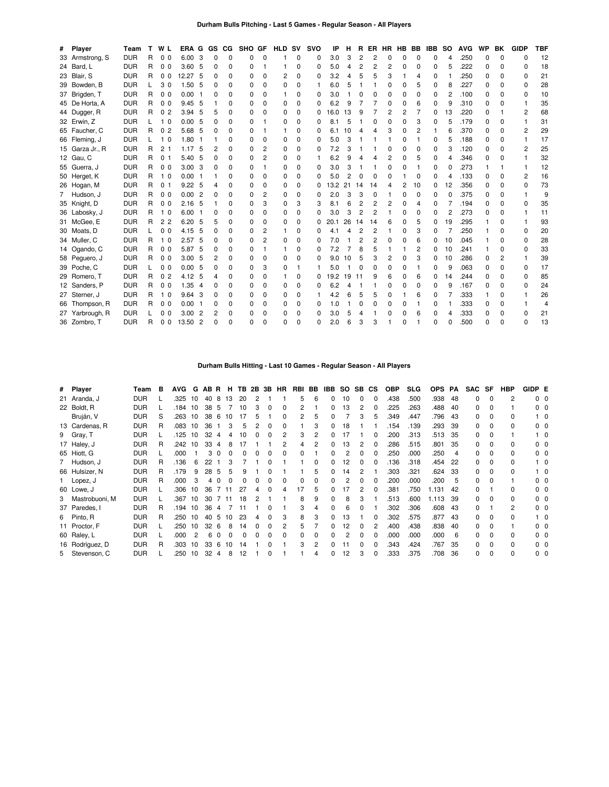## **Durham Bulls Pitching - Last 5 Games - Regular Season - All Players**

| # Player        | Team       | т | W L                              | <b>ERA</b>        | G              | GS | <b>CG</b>    | SHO GF       |                | <b>HLD</b>   | <b>SV</b>    | <b>SVO</b> | ΙP   | н  | R              | ER.            | <b>HR</b> | HB           | BB       | <b>IBB</b> | <b>SO</b> | <b>AVG</b> | WP           | BK             | <b>GIDP</b>    | <b>TBF</b> |
|-----------------|------------|---|----------------------------------|-------------------|----------------|----|--------------|--------------|----------------|--------------|--------------|------------|------|----|----------------|----------------|-----------|--------------|----------|------------|-----------|------------|--------------|----------------|----------------|------------|
| 33 Armstrong, S | <b>DUR</b> | R | 0 <sub>0</sub>                   | 6.00              | 3              | 0  | $\Omega$     | 0            | $\Omega$       | 1            | $\Omega$     | 0          | 3.0  | 3  | $\overline{c}$ | $\overline{c}$ | 0         | $\Omega$     | $\Omega$ | 0          | 4         | .250       | $\Omega$     | $\Omega$       | $\Omega$       | 12         |
| 24 Bard, L      | <b>DUR</b> | R | 0 <sub>0</sub>                   | 3.60              | - 5            | 0  | $\Omega$     | 0            |                |              | $\Omega$     | 0          | 5.0  | 4  | 2              | 2              | 2         | $\Omega$     | 0        | $\Omega$   | 5         | .222       | $\Omega$     | 0              | 0              | 18         |
| 23 Blair, S     | <b>DUR</b> | R | 0 <sub>0</sub>                   | 12.27 5           |                | 0  | $\Omega$     | 0            | $\Omega$       | 2            | $\Omega$     | 0          | 3.2  | 4  | 5              | 5              | 3         |              | 4        | 0          |           | .250       | $\Omega$     | $\Omega$       | 0              | 21         |
| 39 Bowden, B    | <b>DUR</b> |   | 30                               | 1.50, 5           |                | 0  | 0            | 0            | $\Omega$       | $\Omega$     | $\Omega$     |            | 6.0  | 5  |                |                | $\Omega$  | 0            | 5        | $\Omega$   | 8         | .227       | $\Omega$     | 0              | 0              | 28         |
| 37 Brigden, T   | <b>DUR</b> | R | 0 <sub>0</sub>                   | 0.00              |                | 0  | $\Omega$     | 0            | $\Omega$       |              | 0            | 0          | 3.0  |    | $\Omega$       | $\Omega$       | $\Omega$  | $\Omega$     | $\Omega$ | $\Omega$   | 2         | .100       | 0            | 0              | $\Omega$       | 10         |
| 45 De Horta, A  | <b>DUR</b> | R | 0 <sub>0</sub>                   | 9.45 5            |                |    | $\Omega$     | 0            | $\Omega$       | $\Omega$     | $\Omega$     | 0          | 6.2  | 9  |                |                | $\Omega$  | 0            | 6        | $\Omega$   | g         | .310       | O            | $\Omega$       |                | 35         |
| 44 Dugger, R    | <b>DUR</b> | R | 0<br>$\overline{2}$              | $3.94$ 5          |                | 5  | $\Omega$     | 0            | $\Omega$       | $\Omega$     | $\Omega$     | 0          | 16.0 | 13 | 9              |                | 2         | 2            | 7        | 0          | 13        | .220       | $\Omega$     |                | 2              | 68         |
| 32 Erwin, Z     | <b>DUR</b> |   | 1 <sub>0</sub>                   | 0.005             |                | 0  | $\Omega$     | 0            |                | $\Omega$     | 0            | 0          | 8.1  | 5  |                | $\Omega$       | $\Omega$  | $\Omega$     | 3        | $\Omega$   | 5         | .179       | $\Omega$     | $\Omega$       | 1              | 31         |
| 65 Faucher, C   | <b>DUR</b> | R | $\Omega$<br>$\overline{2}$       | 5.68              | - 5            | 0  | 0            | 0            |                |              | 0            | 0          | 6.1  | 10 | 4              | Δ              | 3         | $\Omega$     | 2        |            | 6         | .370       | 0            | 0              | $\overline{2}$ | 29         |
| 66 Fleming, J   | <b>DUR</b> |   | 1 <sub>0</sub>                   | 1.80              |                |    | $\Omega$     | 0            | $\Omega$       | $\Omega$     | $\Omega$     | 0          | 5.0  | 3  |                |                |           | $\Omega$     |          | $\Omega$   | 5         | .188       | $\Omega$     | 0              | $\mathbf{1}$   | 17         |
| 15 Garza Jr., R | <b>DUR</b> | R | 2 <sub>1</sub>                   | 1.17              | -5             | 2  | $\Omega$     | 0            | 2              | 0            | 0            | 0          | 7.2  | 3  |                |                | 0         | 0            | 0        | 0          | 3         | .120       | 0            | 0              | 2              | 25         |
| 12 Gau, C       | <b>DUR</b> | R | 0 <sub>1</sub>                   | 5.40 5            |                | 0  | 0            | $\Omega$     | $\overline{2}$ | $\Omega$     | O            |            | 6.2  | 9  | Δ              | Δ              | 2         | $\Omega$     | 5        | 0          | Δ         | .346       | <sup>0</sup> | $\Omega$       |                | 32         |
| 55 Guerra, J    | <b>DUR</b> | R | 0 <sub>0</sub>                   | 3.00 <sub>3</sub> |                | 0  | $\Omega$     | $\Omega$     |                | $\Omega$     | $\Omega$     | 0          | 3.0  | 3  |                |                | $\Omega$  | 0            |          | $\Omega$   | O         | .273       |              |                |                | 12         |
| 50 Herget, K    | <b>DUR</b> | R | 1 <sub>0</sub>                   | 0.00              |                |    | 0            | 0            | $\Omega$       | 0            | 0            | 0          | 5.0  | 2  | O              | 0              | $\Omega$  |              | 0        | 0          | Δ         | .133       | 0            | $\Omega$       | 2              | 16         |
| 26 Hogan, M     | <b>DUR</b> | R | 0 <sub>1</sub>                   | 9.22, 5           |                | 4  | <sup>0</sup> | <sup>0</sup> | $\Omega$       | 0            | <sup>0</sup> | 0          | 13.2 | 21 | 14             | 14             | 4         | 2            | 10       | 0          | 12        | .356       | <sup>0</sup> | O              | $\Omega$       | 73         |
| 7 Hudson, J     | <b>DUR</b> | R | 0 <sub>0</sub>                   | 0.00              | $\overline{2}$ | 0  | $\Omega$     | 0            | 2              | 0            | $\Omega$     | 0          | 2.0  | 3  | 3              | $\mathbf 0$    |           | 0            | 0        | 0          | 0         | .375       | $\Omega$     | $\Omega$       |                | 9          |
| 35 Knight, D    | <b>DUR</b> | R | 0 <sub>0</sub>                   | $2.16$ 5          |                |    | $\Omega$     | 0            | 3              | $\Omega$     | 3            | 3          | 8.1  | 6  | 2              | 2              | 2         | $\Omega$     | 4        | $\Omega$   |           | .194       | $\Omega$     | 0              | 0              | 35         |
| 36 Labosky, J   | <b>DUR</b> | R | 1 <sub>0</sub>                   | 6.00              |                | 0  | $\Omega$     | 0            | $\Omega$       | $\Omega$     | $\Omega$     | 0          | 3.0  | 3  | 2              | 2              |           | $\Omega$     | 0        | $\Omega$   | 2         | .273       | $\Omega$     | 0              |                | 11         |
| 31 McGee, E     | <b>DUR</b> | R | $\overline{2}$<br>$\overline{c}$ | 6.20              | -5             | 5  | <sup>0</sup> | <sup>0</sup> | $\Omega$       | 0            | O            | O          | 20.1 | 26 | 14             | 14             | 6         | <sup>0</sup> | 5        | 0          | 19        | .295       |              | O              |                | 93         |
| 30 Moats, D     | <b>DUR</b> |   | 0 <sub>0</sub>                   | 4.15              | -5             | 0  | <sup>0</sup> | <sup>0</sup> | 2              | 1            | <sup>0</sup> | 0          | 4.1  | 4  | 2              | 2              |           | <sup>0</sup> | 3        | 0          |           | .250       |              | O              | 0              | 20         |
| 34 Muller, C    | <b>DUR</b> | R | 1 <sub>0</sub>                   | 2.57              | -5             | 0  | 0            | 0            | 2              | $\Omega$     | 0            | 0          | 7.0  |    | 2              | 2              | 0         | 0            | 6        | 0          | 10        | .045       |              | 0              | 0              | 28         |
| 14 Ogando, C    | <b>DUR</b> | R | 0 <sub>0</sub>                   | 5.87 5            |                | 0  | $\Omega$     | 0            |                | 1            | $\Omega$     | 0          | 7.2  |    | 8              | 5              |           |              |          | 0          | 10        | .241       |              | 0              | 0              | 33         |
| 58 Peguero, J   | <b>DUR</b> | R | 0 <sub>0</sub>                   | 3.00, 5           |                | 2  | $\Omega$     | 0            | $\Omega$       | 0            | $\Omega$     | O          | 9.0  | 10 | 5              | 3              | 2         | $\Omega$     | 3        | 0          | 10        | .286       | 0            | $\overline{2}$ |                | 39         |
| 39 Poche, C     | <b>DUR</b> |   | 0 <sub>0</sub>                   | 0.005             |                | 0  | <sup>0</sup> | $\Omega$     | 3              | <sup>0</sup> |              |            | 5.0  |    | $\Omega$       | $\Omega$       | $\Omega$  | <sup>0</sup> |          | 0          | g         | .063       | <sup>0</sup> | $\Omega$       | <sup>0</sup>   | 17         |
| 29 Romero, T    | <b>DUR</b> | R | $\overline{2}$<br>0              | 4.12 5            |                | 4  | <sup>0</sup> | $\Omega$     | $\Omega$       | 1            | <sup>0</sup> | 0          | 19.2 | 19 | 11             | 9              | 6         | <sup>0</sup> | 6        | 0          | 14        | .244       | $\Omega$     | $\Omega$       | $\Omega$       | 85         |
| 12 Sanders, P   | <b>DUR</b> | R | 0 <sub>0</sub>                   | 1.35              | -4             | 0  | 0            | 0            | $\Omega$       | $\Omega$     | 0            | 0          | 6.2  | 4  |                |                | 0         | <sup>0</sup> | $\Omega$ | $\Omega$   | g         | .167       | $\Omega$     | $\Omega$       | 0              | 24         |
| 27 Sterner, J   | <b>DUR</b> | R | 1 <sub>0</sub>                   | 9.64 3            |                | 0  | $\Omega$     | 0            | $\Omega$       | $\Omega$     | 0            |            | 4.2  | 6  | 5              | 5              | $\Omega$  |              | 6        | 0          |           | .333       |              | 0              |                | 26         |
| 66 Thompson, R  | <b>DUR</b> | R | 0 <sub>0</sub>                   | 0.00              | - 1            | 0  | 0            | 0            | $\Omega$       | 0            | $\Omega$     | 0          | 1.0  |    | 0              | 0              | $\Omega$  | $\Omega$     |          | 0          |           | .333       | 0            | 0              |                | 4          |
| 27 Yarbrough, R | <b>DUR</b> |   | 0 <sub>0</sub>                   | 3.00              | $\overline{2}$ | 2  | $\Omega$     | 0            | $\Omega$       | $\Omega$     | 0            | 0          | 3.0  |    | 4              |                | $\Omega$  | $\Omega$     | 6        | 0          |           | .333       | 0            | 0              | $\Omega$       | 21         |
| 36 Zombro, T    | <b>DUR</b> | R | 0 <sub>0</sub>                   | 13.50             | $\overline{2}$ | O  | U            | ŋ            | U              | $\Omega$     | n            | O          | 2.0  |    | З              | 3              |           | $\Omega$     |          | U          | n         | .500       |              | $\Omega$       | $\Omega$       | 13         |

# **Durham Bulls Hitting - Last 10 Games - Regular Season - All Players**

| # Player         | Team       | в | AVG. | G  | AB R |   | н  | TB. | 2B | 3B | HR | RBI | BB | IBB. | SO. | SB.          | <b>CS</b> | <b>OBP</b> | <b>SLG</b> | <b>OPS</b> | PA  | <b>SAC</b> | SF       | HBP | GIDP E |              |
|------------------|------------|---|------|----|------|---|----|-----|----|----|----|-----|----|------|-----|--------------|-----------|------------|------------|------------|-----|------------|----------|-----|--------|--------------|
| 21 Aranda, J     | <b>DUR</b> |   | .325 | 10 | 40   | 8 | 13 | 20  |    |    |    | 5   | 6  |      | 10  | 0            |           | .438       | .500       | .938       | 48  | 0          | $\Omega$ |     |        | $0\quad 0$   |
| 22 Boldt, R      | <b>DUR</b> |   | .184 | 10 | 38   | 5 |    | 10  |    | 0  | 0  |     |    |      | 13  |              |           | .225       | .263       | .488       | 40  | 0          |          |     |        | $0\quad 0$   |
| Bruján, V        | <b>DUR</b> | S | .263 | 10 | 38   | 6 | 10 |     |    |    |    |     | 5  |      |     | 3            |           | .349       | .447       | .796       | 43  | O.         |          | n.  |        | I 0          |
| 13 Cardenas, R   | <b>DUR</b> | R | .083 | 10 | 36   |   | 3  |     |    |    |    |     | 3  |      | 18  |              |           | .154       | .139       | .293       | -39 | 0          |          |     |        | $0\quad 0$   |
| 9 Gray, T        | <b>DUR</b> |   | 125  | 10 | 32   |   |    | 10  |    |    |    | З   | 2  |      |     |              |           | .200       | .313       | .513       | -35 | O.         |          |     |        | $^{\circ}$ 0 |
| 17 Haley, J      | <b>DUR</b> | R | .242 | 10 | 33   | Δ | 8  |     |    |    |    |     |    |      | 13  |              |           | .286       | .515       | .801       | 35  | O.         |          |     |        | $0\quad 0$   |
| 65 Hiott, G      | <b>DUR</b> |   | .000 |    | 3    |   |    |     |    |    | 0  |     |    |      |     | 0            |           | .250       | .000       | .250       | 4   | 0          |          |     |        | $0\quad 0$   |
| 7 Hudson, J      | <b>DUR</b> | R | .136 | 6  | 22   |   |    |     |    |    |    |     | 0  |      | 12  |              |           | .136       | .318       | .454       | 22  | 0          |          |     |        | 0            |
| 66 Hulsizer, N   | <b>DUR</b> | R | 179  | 9  | 28   | 5 | 5  |     |    |    |    |     | 5  |      | 14  |              |           | .303       | .321       | .624       | 33  | O.         |          |     |        | $1\quad0$    |
| 1 Lopez, J       | <b>DUR</b> | R | .000 | 3  | 4    |   |    |     |    |    |    |     |    |      |     |              |           | .200       | .000       | .200       | 5   | 0          |          |     |        | $0\quad 0$   |
| 60 Lowe, J       | <b>DUR</b> |   | .306 | 10 | 36   |   | 11 | 27  |    |    |    | 17  | 5  |      |     |              |           | .381       | .750       | .131       | 42  | 0          |          |     |        | $0\quad 0$   |
| 3 Mastrobuoni, M | <b>DUR</b> |   | .367 | 10 | 30   |   | 11 | 18  |    |    |    | 8   | 9  | 0    | 8   | 3            |           | .513       | .600       | .113       | 39  | 0          |          |     |        | $0\quad 0$   |
| 37 Paredes, I    | <b>DUR</b> | R | .194 | 10 | 36   | 4 |    |     |    |    |    | З   |    |      | 6   |              |           | .302       | .306       | .608       | 43  | 0          |          | 2   |        | $0\quad 0$   |
| 6 Pinto, R       | <b>DUR</b> | R | .250 | 10 | 40   | 5 | 10 | 23  |    |    | З  | 8   | 3  |      | 13  |              |           | .302       | .575       | .877       | 43  | 0          |          |     |        | $1\quad0$    |
| 11 Proctor, F    | <b>DUR</b> |   | 250  | 10 | 32   | 6 | 8  | 14  |    |    |    | 5   |    |      | 12  | O            |           | .400       | .438       | .838       | 40  | 0          |          |     |        | $0\quad 0$   |
| 60 Raley, L      | <b>DUR</b> |   | .000 |    | 6    |   | 0  |     |    |    |    |     |    |      |     |              |           | .000       | .000       | .000       | 6   | 0          |          |     |        | $0\quad 0$   |
| 16 Rodríguez, D  | <b>DUR</b> | R | .303 | 10 | 33   | 6 | 10 | 14  |    |    |    | 3   | 2  |      |     | <sup>0</sup> |           | .343       | .424       | .767       | 35  | 0          |          | n.  |        | $0\quad 0$   |
| 5 Stevenson, C   | <b>DUR</b> |   | 250  | 10 | 32   | 4 | 8  | 12  |    |    |    |     |    |      | 12  | 3            | $\Omega$  | .333       | .375       | .708       | 36  | 0          |          |     |        | $0\quad 0$   |
|                  |            |   |      |    |      |   |    |     |    |    |    |     |    |      |     |              |           |            |            |            |     |            |          |     |        |              |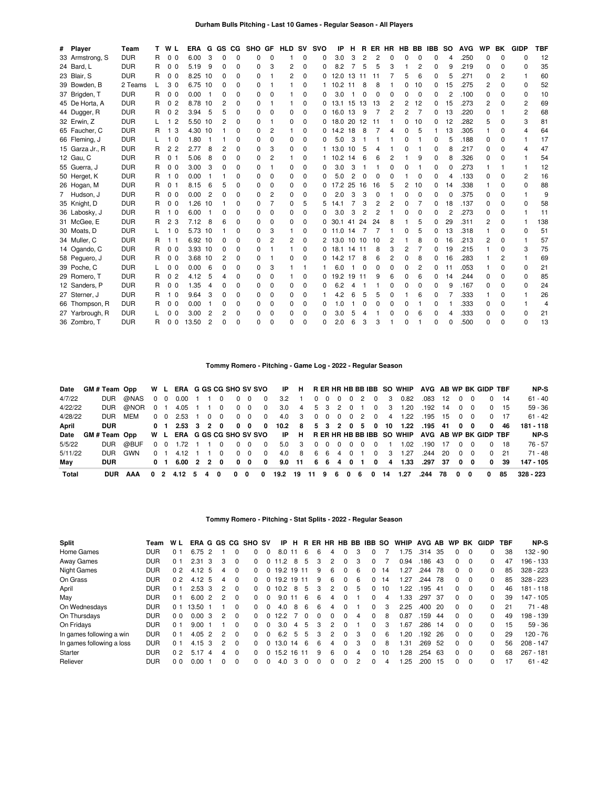| # Player        | Team       |    | W L                 | <b>ERA</b> |                | G GS CG  |          | SHO GF   |              | <b>HLD</b>              | <b>SV</b> | <b>SVO</b> | IP             | н     |                |          | R ER HR HB BB IBB |   |                |   | <b>SO</b> | <b>AVG</b> | WP       | BK             | <b>GIDP</b>    | <b>TBF</b> |
|-----------------|------------|----|---------------------|------------|----------------|----------|----------|----------|--------------|-------------------------|-----------|------------|----------------|-------|----------------|----------|-------------------|---|----------------|---|-----------|------------|----------|----------------|----------------|------------|
| 33 Armstrong, S | <b>DUR</b> | R  | 0 <sub>0</sub>      | 6.00       | 3              | $\Omega$ | $\Omega$ | 0        | $\Omega$     |                         | 0         | 0          | 3.0            | 3     | $\overline{c}$ | 2        | 0                 | 0 | 0              | 0 | 4         | .250       | $\Omega$ | $\Omega$       | $\Omega$       | 12         |
| 24 Bard, L      | <b>DUR</b> | R. | 0 <sub>0</sub>      | 5.19       | 9              | 0        | O        | 0        | 3            | 2                       | 0         | 0          | 8.2            | 7     | 5              | 5        | 3                 | 1 | 2              | 0 | 9         | .219       | 0        | <sup>0</sup>   | O              | 35         |
| 23 Blair, S     | <b>DUR</b> | R  | 0 <sub>0</sub>      | 8.25 10    |                | 0        | 0        | $\Omega$ |              | 2                       | $\Omega$  | 0          | 12.0 13        |       | 11             | 11       |                   | 5 | 6              | 0 | 5         | .271       | 0        | 2              |                | 60         |
| 39 Bowden, B    | 2 Teams    | L  | 30                  | 6.75 10    |                | 0        | O        | 0        |              |                         | $\Omega$  |            | 10.2           | 11    | 8              | 8        |                   | 0 | 10             | 0 | 15        | .275       | 2        | 0              | 0              | 52         |
| 37 Brigden, T   | <b>DUR</b> | R  | 0 <sub>0</sub>      | 0.00       |                | $\Omega$ | O        | $\Omega$ | 0            |                         | $\Omega$  | 0          | 3.0            |       | $\Omega$       | $\Omega$ | $\Omega$          | 0 | $\Omega$       | 0 | 2         | .100       | $\Omega$ | $\Omega$       | $\Omega$       | 10         |
| 45 De Horta, A  | <b>DUR</b> | R  | 0 <sub>2</sub>      | 8.78 10    |                | 2        | 0        | 0        |              |                         | 0         | 0          | 13.1           | 15    | -13            | 13       | 2                 | 2 | 12             | 0 | 15        | .273       | 2        | O              | $\overline{2}$ | 69         |
| 44 Dugger, R    | <b>DUR</b> | R  | $\overline{c}$<br>0 | 3.94       | 5              | 5        | 0        | 0        | 0            | $\Omega$                | $\Omega$  | 0          | 16.0           | 13    | 9              |          | 2                 | 2 | 7              | 0 | 13        | .220       | $\Omega$ |                | 2              | 68         |
| 32 Erwin, Z     | <b>DUR</b> |    | $\overline{c}$      | 5.50 10    |                | 2        | 0        | $\Omega$ |              | $\Omega$                | $\Omega$  |            | $0$ 18.0 20 12 |       |                | 11       |                   | 0 | 10             | 0 | 12        | .282       | 5        | 0              | 3              | 81         |
| 65 Faucher, C   | <b>DUR</b> | R  | 3                   | 4.30 10    |                |          | 0        | $\Omega$ | 2            |                         | $\Omega$  | 0          | 14.2           | 18    | 8              |          | 4                 | 0 | 5              | 1 | 13        | .305       |          | $\Omega$       | 4              | 64         |
| 66 Fleming, J   | <b>DUR</b> |    | 1 <sub>0</sub>      | 1.80       |                |          | O        | $\Omega$ | 0            | 0                       | $\Omega$  | 0          | 5.0            | 3     |                |          |                   | 0 | 1              | 0 | 5         | .188       | 0        | <sup>0</sup>   |                | 17         |
| 15 Garza Jr., R | <b>DUR</b> | R  | 2 <sub>2</sub>      | 2.77       | 8              | 2        | $\Omega$ | 0        | 3            | 0                       | $\Omega$  | 1.         | 13.0           | 10    | -5             | 4        |                   | 0 |                | 0 | 8         | .217       | $\Omega$ | $\Omega$       |                | 47         |
| 12 Gau, C       | <b>DUR</b> | R  | 0 <sub>1</sub>      | 5.06       | 8              | 0        | 0        | 0        | 2            |                         | $\Omega$  |            | 10.2           | 14    | 6              | 6        | 2                 |   | 9              | 0 | 8         | .326       | 0        | 0              |                | 54         |
| 55 Guerra, J    | <b>DUR</b> | R  | 0 <sub>0</sub>      | 3.00       | 3              | 0        | O        | 0        |              | 0                       | 0         | 0          | 3.0            | 3     | -1             |          | 0                 | 0 | 1              | 0 | ŋ         | .273       |          |                | 1              | 12         |
| 50 Herget, K    | <b>DUR</b> | R  | 1 <sub>0</sub>      | 0.00       |                |          | 0        | $\Omega$ | 0            | $\Omega$                | $\Omega$  | 0          | 5.0            | 2     | 0              | $\Omega$ | $\Omega$          |   | 0              | 0 | Δ         | .133       | $\Omega$ | $\Omega$       | $\overline{c}$ | 16         |
| 26 Hogan, M     | <b>DUR</b> | R. | 0 <sub>1</sub>      | 8.15       | 6              | 5        | O        | $\Omega$ | 0            | 0                       | 0         | 0          | 17.2 25        |       | 16             | 16       | 5                 | 2 | 10             | 0 | 14        | .338       |          | <sup>0</sup>   | $\Omega$       | 88         |
| 7 Hudson, J     | <b>DUR</b> | R  | 0 <sub>0</sub>      | 0.00       | 2              | $\Omega$ | O        | $\Omega$ | 2            | $\Omega$                | 0         | 0          | 2.0            | 3     | 3              | $\Omega$ |                   | 0 | 0              | 0 | $\Omega$  | .375       | 0        | 0              |                | 9          |
| 35 Knight, D    | <b>DUR</b> | R. | 0 <sub>0</sub>      | 1.26       | 10             |          | O        | 0        |              | $\Omega$                | 5         | 5          | 14.1           | 7     | 3              | 2        | 2                 | 0 | 7              | 0 | 18        | .137       | 0        | 0              | 0              | 58         |
| 36 Labosky, J   | <b>DUR</b> | R  | 1 <sub>0</sub>      | 6.00       |                | 0        | 0        | $\Omega$ | 0            | $\Omega$                | 0         | 0          | 3.0            | 3     | $\overline{c}$ | 2        |                   | 0 | 0              | 0 | 2         | .273       | $\Omega$ | $\Omega$       |                | 11         |
| 31 McGee, E     | <b>DUR</b> | R  | 23                  | 7.12       | 8              | 6        | 0        | 0        | 0            | $\Omega$                | $\Omega$  | 0          | 30.1           | -41   | 24             | 24       | 8                 |   | 5              | 0 | 29        | .311       | 2        | 0              |                | 138        |
| 30 Moats, D     | <b>DUR</b> |    | 1 <sub>0</sub>      | 5.73 10    |                |          | O        | $\Omega$ | 3            |                         | 0         |            | $0$ 11.0 14    |       |                |          |                   | 0 | 5              | 0 | 13        | .318       |          | $\Omega$       | $\Omega$       | 51         |
| 34 Muller, C    | <b>DUR</b> | R  | 11                  | 6.92 10    |                | 0        | O        | $\Omega$ | 2            | 2                       | $\Omega$  |            | 2 13.0         |       | 10 10          | 10       | 2                 |   | 8              | 0 | 16        | .213       | 2        | 0              |                | 57         |
| 14 Ogando, C    | <b>DUR</b> | R  | 0 <sub>0</sub>      | 3.93 10    |                | 0        | $\Omega$ | 0        |              |                         | 0         | 0          | 18.1           | 14 11 |                | 8        | 3                 | 2 | 7              | 0 | 19        | .215       |          | $\Omega$       | 3              | 75         |
| 58 Peguero, J   | <b>DUR</b> | R  | 0 <sub>0</sub>      | 3.68 10    |                | 2        | 0        | $\Omega$ |              | $\Omega$                | 0         |            | $0$ 14.2 17    |       | -8             | 6        | 2                 | 0 | 8              | 0 | 16        | .283       |          | $\overline{2}$ |                | 69         |
| 39 Poche, C     | <b>DUR</b> |    | 0 <sub>0</sub>      | 0.00       | 6              | 0        | O        | 0        | 3            |                         |           |            | 6.0            | -1    | $\Omega$       | $\Omega$ | 0                 | 0 | $\overline{2}$ | 0 | 11        | .053       |          | $\Omega$       | 0              | 21         |
| 29 Romero, T    | <b>DUR</b> | R  | 0 <sub>2</sub>      | 4.12       | 5              | Δ        | O        | $\Omega$ | 0            | $\overline{\mathbf{1}}$ | 0         | 0          | 19.2 19 11     |       |                | 9        | 6                 | 0 | 6              | 0 | 14        | .244       | $\Omega$ | $\Omega$       | 0              | 85         |
| 12 Sanders, P   | <b>DUR</b> | R  | 0 <sub>0</sub>      | 1.35       | 4              | 0        | O        | $\Omega$ | <sup>0</sup> | 0                       | $\Omega$  | 0          | 6.2            | 4     | -1             |          | 0                 | 0 | 0              | 0 | 9         | .167       | $\Omega$ | <sup>0</sup>   | $\Omega$       | 24         |
| 27 Sterner, J   | <b>DUR</b> | R  | 1 <sub>0</sub>      | 9.64       | 3              | 0        | 0        | 0        | 0            | $\Omega$                | $\Omega$  | 1          | 4.2            | 6     | 5              | 5        | 0                 |   | 6              | 0 |           | .333       |          | 0              |                | 26         |
| 66 Thompson, R  | <b>DUR</b> | R  | 0 <sub>0</sub>      | 0.00       |                | 0        | 0        | 0        | 0            | 0                       | $\Omega$  | 0          | 1.0            |       | 0              | 0        | 0                 | 0 | 1              | 0 |           | .333       | 0        | 0              |                | 4          |
| 27 Yarbrough, R | <b>DUR</b> |    | 0 <sub>0</sub>      | 3.00       | $\overline{2}$ | 2        | $\Omega$ | 0        | $\Omega$     | $\Omega$                | $\Omega$  | 0          | 3.0            | 5     | 4              |          | 0                 | 0 | 6              | 0 | Δ         | .333       | $\Omega$ | $\Omega$       | $\Omega$       | 21         |
| 36 Zombro, T    | <b>DUR</b> | R  | 0 <sub>0</sub>      | 13.50      | $\overline{2}$ | $\Omega$ | $\Omega$ | 0        | O            | 0                       | 0         | 0          | 2.0            | 6     | 3              | 3        |                   | 0 |                | 0 |           | 500        | U        | $\Omega$       | $\Omega$       | 13         |

# **Tommy Romero - Pitching - Game Log - 2022 - Regular Season**

| Date    | GM#Team Opp   |                                                                 |             |                      |  |                   |                |                   |  |  |  | W L ERA G GS CG SHO SV SVO IP H R ER HR HB BB IBB SO WHIP AVG AB WP BK GIDP TBF |               |  |  |              | NP-S      |
|---------|---------------|-----------------------------------------------------------------|-------------|----------------------|--|-------------------|----------------|-------------------|--|--|--|---------------------------------------------------------------------------------|---------------|--|--|--------------|-----------|
| 4/7/22  | <b>DUR</b>    | @NAS                                                            |             | 0 0 0.00 1 1 0       |  | $0\quad 0$        | $\Omega$       | 3.2 1 0 0 0 0 2 0 |  |  |  | 3  0.82  0.83  12  0  0                                                         |               |  |  | $0 \t14$     | $61 - 40$ |
| 4/22/22 | <b>DUR</b>    | @NOR 0 1 4.05 1 1 0 0 0 0 0 3.0 4 5 3 2 0 1 0 3 1.20 192 14 0 0 |             |                      |  |                   |                |                   |  |  |  |                                                                                 |               |  |  | $0 \quad 15$ | $59 - 36$ |
| 4/28/22 | DUR.          | MFM                                                             |             | 0 0 2.53 1 0 0       |  | $0\quad 0\quad 0$ |                |                   |  |  |  | 4.0 3 0 0 0 0 2 0 4 1.22 195 15 0 0                                             |               |  |  | 0 17         | $61 - 42$ |
| April   | <b>DUR</b>    |                                                                 |             |                      |  |                   |                |                   |  |  |  | 0 1 2.53 3 2 0 0 0 0 10.2 8 5 3 2 0 5 0 10 1.22 .195 41 0 0                     |               |  |  | 046          | 181 - 118 |
| Date    | GM # Team Opp |                                                                 |             |                      |  |                   |                |                   |  |  |  | W L ERA G GS CG SHO SV SVO IP H R ER HR HB BB IBB SO WHIP AVG AB WP BK GIDP TBF |               |  |  |              | NP-S      |
|         |               |                                                                 |             |                      |  |                   |                |                   |  |  |  |                                                                                 |               |  |  |              |           |
| 5/5/22  | <b>DUR</b>    | @BUF                                                            |             | 0 0 1.72 1 1 0 0 0 0 |  |                   |                |                   |  |  |  | 5.0 3 0 0 0 0 0 0 1 1.02 .190 17 0 0                                            |               |  |  | 018          | 76 - 57   |
| 5/11/22 | DUR.          | GWN                                                             | $0 \quad 1$ | 4.12 1 1 0           |  | $0\quad 0$        | $\overline{0}$ | 4.0 8 6 6 4 0 1 0 |  |  |  | 3 1.27                                                                          | $.244$ 20 0 0 |  |  | $0\quad 21$  | $71 - 48$ |
| Mav     | <b>DUR</b>    |                                                                 |             |                      |  |                   |                |                   |  |  |  | 0 1 6.00 2 2 0 0 0 0 9.0 11 6 6 4 0 1 0 4 1.33 .297 37 0 0                      |               |  |  | 0 39         | 147 - 105 |

## **Tommy Romero - Pitching - Stat Splits - 2022 - Regular Season**

| <b>Split</b>              | Team       | W L            |                   |                |                |              | ERA G GS CG SHO SV | IP           | н   |          | R ER |          |              |   | HR HB BB IBB SO |    | <b>WHIP</b> | AVG AB |     | <b>WP</b>    | BK       | GIDP         | TBF | NP-S        |
|---------------------------|------------|----------------|-------------------|----------------|----------------|--------------|--------------------|--------------|-----|----------|------|----------|--------------|---|-----------------|----|-------------|--------|-----|--------------|----------|--------------|-----|-------------|
| Home Games                | <b>DUR</b> | 0 <sub>1</sub> | 6.75              | $\overline{2}$ |                | ŋ            | n.                 | 8.0          | -11 | 6        | 6    | 4        |              | 3 | 0               |    | 1.75        | .314   | 35  | 0            | $\Omega$ | 0            | 38  | 132 - 90    |
| <b>Away Games</b>         | <b>DUR</b> | 0 <sub>1</sub> | $2.31 \cdot 3$    |                | 3              | 0            | n.                 | 0.11.2       | 8   | 5        | 3    |          | $\Omega$     | 3 | 0               |    | 0.94        | .186   | 43  | 0            | $\Omega$ | 0            | 47  | 196 - 133   |
| <b>Night Games</b>        | <b>DUR</b> | 0 <sub>2</sub> | 4.12 5            |                | 4              | 0            | 0                  | 19.2 19 11   |     |          | 9    | 6        |              | 6 | 0               | 14 | 1.27        | .244   | 78  | 0            | $\Omega$ | $\Omega$     | 85  | $328 - 223$ |
| On Grass                  | <b>DUR</b> | 0 <sub>2</sub> | 4.12 <sub>5</sub> |                | 4              | 0            | <sup>n</sup>       | 0 19.2 19 11 |     |          | 9    | 6        | <sup>n</sup> | 6 | 0               | 14 | 1.27        | .244   | 78  | $\Omega$     | $\Omega$ | 0            | 85  | $328 - 223$ |
| April                     | <b>DUR</b> | 0 <sub>1</sub> | 2.53 <sup>3</sup> |                | 2              | $\Omega$     | n.                 | 0, 10.2      | 8   | 5        | 3    |          | <sup>0</sup> | 5 | 0               | 10 | 1.22        | .195   | -41 | 0            | $\Omega$ | 0            | 46  | $181 - 118$ |
| May                       | <b>DUR</b> | 0 <sub>1</sub> | 6.00              | $\overline{2}$ | 2              | <sup>0</sup> | n.                 | 9.0          | -11 | 6        | 6    | 4        |              |   | 0               | 4  | 1.33        | .297   | -37 | 0            | $\Omega$ | <sup>0</sup> | 39  | $147 - 105$ |
| On Wednesdays             | <b>DUR</b> | 0 <sub>1</sub> | 13.50 1           |                |                | <sup>0</sup> | n.                 | 4.0          | 8   | 6        | 6    | Δ        |              |   | 0               | 3  | 2.25        | .400   | 20  | $\Omega$     | $\Omega$ | $\Omega$     | 21  | $71 - 48$   |
| On Thursdays              | <b>DUR</b> | 0 <sub>0</sub> | 0.003             |                | $\overline{2}$ | 0            | 0                  | 12.2         |     | $\Omega$ | 0    | $\Omega$ | <sup>n</sup> | 4 | 0               | 8  | 0.87        | .159   | -44 | $\Omega$     | $\Omega$ | 0            | 49  | 198 - 139   |
| On Fridays                | <b>DUR</b> | 0 <sub>1</sub> | 9.00              |                |                | O            | n.                 | 3.0          | 4   | 5        | 3    | 2        |              |   | 0               | 3  | 1.67        | .286   | -14 | 0            | $\Omega$ | $\Omega$     | 15  | $59 - 36$   |
| In games following a win  | <b>DUR</b> | 0 <sub>1</sub> | 4.05              | 2              | $\overline{2}$ | $\Omega$     | n.                 | 6.2          | 5   | 5        | 3    | 2        |              | 3 | 0               | 6  | 1.20        | .192   | 26  | $\Omega$     | $\Omega$ | $\Omega$     | 29  | 120 - 76    |
| In games following a loss | <b>DUR</b> | 0 <sub>1</sub> | $4.15 \text{ } 3$ |                | 2              | $\Omega$     | n.                 | 0, 13.0, 14  |     | -6       | 6    | 4        | <sup>n</sup> | 3 | <sup>0</sup>    | 8  | 1.31        | .269   | 52  | <sup>0</sup> | $\Omega$ | 0            | 56  | $208 - 147$ |
| Starter                   | <b>DUR</b> | 0 <sub>2</sub> | 5.17              | -4             | 4              | 0            | n.                 | 15.2 16 11   |     |          | 9    | 6        |              | 4 |                 | 10 | 1.28        | .254   | -63 | 0            | $\Omega$ | $\Omega$     | 68  | $267 - 181$ |
| Reliever                  | <b>DUR</b> | 0 <sub>0</sub> | 0.00              |                | 0              | 0            | n.                 | 4.0          | 3   |          |      |          |              | 2 |                 | 4  | 1.25        | .200   | 15  | 0            | $\Omega$ | 0            | 17  | $61 - 42$   |